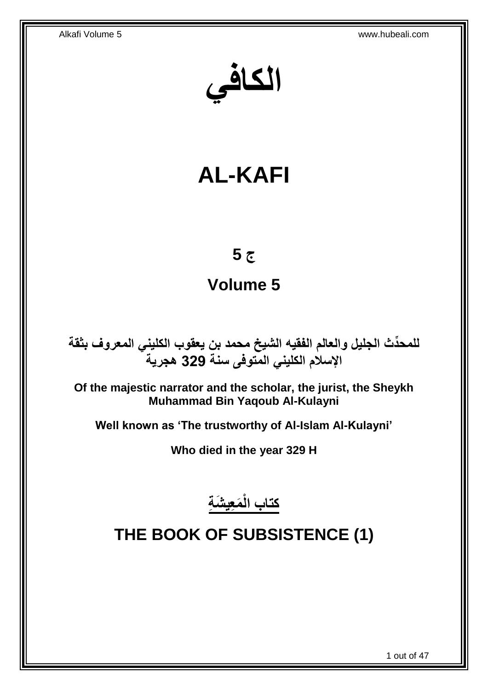**الكافي**

# **AL-KAFI**

# **ج 5**

# **Volume 5**

**دث الجليل والعالم الفقيه الشيخ محمد بن يعقوب الكليني المعروف بثقة للمح ِّ اإلسالم الكليني المتوفى سنة 329 هجرية**

**Of the majestic narrator and the scholar, the jurist, the Sheykh Muhammad Bin Yaqoub Al-Kulayni**

**Well known as 'The trustworthy of Al-Islam Al-Kulayni'**

**Who died in the year 329 H**

**َم ِعي َش ِة كتاب الْ**

# <span id="page-0-0"></span>**THE BOOK OF SUBSISTENCE (1)**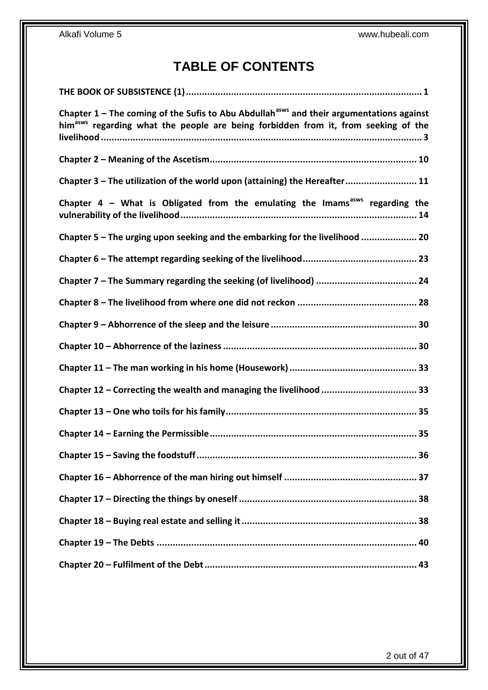# **TABLE OF CONTENTS**

| Chapter $1$ – The coming of the Sufis to Abu Abdullah <sup>asws</sup> and their argumentations against<br>him <sup>asws</sup> regarding what the people are being forbidden from it, from seeking of the |
|----------------------------------------------------------------------------------------------------------------------------------------------------------------------------------------------------------|
|                                                                                                                                                                                                          |
| Chapter 3 - The utilization of the world upon (attaining) the Hereafter 11                                                                                                                               |
| Chapter 4 - What is Obligated from the emulating the Imams <sup>asws</sup> regarding the                                                                                                                 |
| Chapter 5 - The urging upon seeking and the embarking for the livelihood  20                                                                                                                             |
|                                                                                                                                                                                                          |
|                                                                                                                                                                                                          |
|                                                                                                                                                                                                          |
|                                                                                                                                                                                                          |
|                                                                                                                                                                                                          |
|                                                                                                                                                                                                          |
|                                                                                                                                                                                                          |
|                                                                                                                                                                                                          |
|                                                                                                                                                                                                          |
|                                                                                                                                                                                                          |
|                                                                                                                                                                                                          |
|                                                                                                                                                                                                          |
|                                                                                                                                                                                                          |
|                                                                                                                                                                                                          |
|                                                                                                                                                                                                          |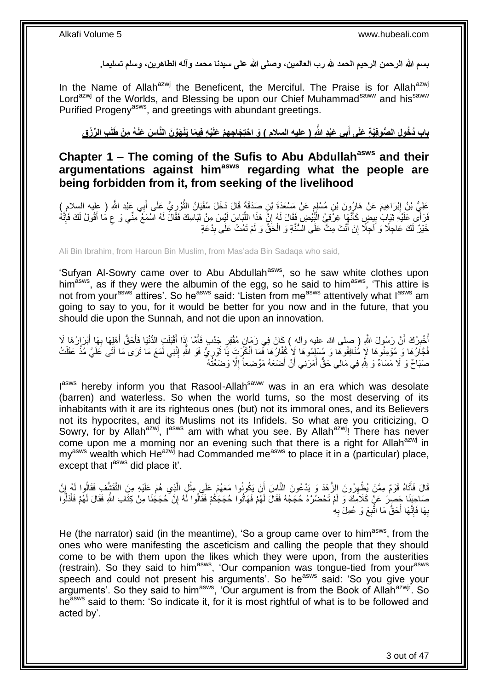**بسم هللا الرحمن الرحيم الحمد هلل رب العالمين، وصلى هللا على سيدنا محمد وآله الطاهرين، وسلم تسليما.**

In the Name of Allah<sup>azwj</sup> the Beneficent, the Merciful. The Praise is for Allah<sup>azwj</sup> Lord<sup>azwj</sup> of the Worlds, and Blessing be upon our Chief Muhammad<sup>saww</sup> and his<sup>saww</sup> Purified Progeny<sup>asws</sup>, and greetings with abundant greetings.

باب دُخُولِ الصُّوفِيَّةِ عَلَى أَبِى عَبْدِ اللّهِ ( عليه السلام ) وَ احْتِجَاجِهِمْ عَلَيْهِ فِيمَا يَذْهَوْنَ النَّاسَ عَنْهُ مِنْ طَلَبِ الرِّزْقِ **َ**

## <span id="page-2-0"></span>**Chapter 1 – The coming of the Sufis to Abu Abdullahasws and their argumentations against himasws regarding what the people are being forbidden from it, from seeking of the livelihood**

عَلِيُّ بْنُ إِبْرَاهِيمَ عَنْ هَارِونَ بْنِ مُسْلِمٍ عَنْ مَسْعَدَةَ بْنِ صِدَقَةَ قَالَ دَخَلَ سُفْيَانُ الثَّوْرِيُّ عَلَى أَبِي عَبْدِ اللَّهِ ( عليه السلامِ )<br>. ِ َّ ֧֧֧֚֓֝֝֬֝֓֝֬ <u>֖֚֚֚֓</u> َ فَرَأَى عَلَيْهِ ثِّيَابَ بِبِضِ كَأَنَّهِا غِرْفِيُ الْبُيْضِ فِقَالَ لَهُ إِنَّ هَذَا اللَّبَاسَ لَيْسَ مِنْ لِبَاسِكَ فَقَالَ لَهُ اسْمَعْ مِنِّي وَ ع مُا أَفُولُ لَكَ فَإِنَّهُ ِ ْ َ ِ  $\frac{1}{2}$ َ ِ ِّ خَيْرٌ لَكَ عَاجِلًا وَ اَجِلًا إِنْ أَنْتَ مِتَّ عَلَى السُّنَّةِ وَ الْحَقِّ وَ لَمْ تَمُتْ عَلَى بِدْعَةٍ ِ ْ َ ِ

Ali Bin Ibrahim, from Haroun Bin Muslim, from Mas'ada Bin Sadaqa who said,

'Sufyan Al-Sowry came over to Abu Abdullah<sup>asws</sup>, so he saw white clothes upon him<sup>asws</sup>, as if they were the albumin of the egg, so he said to him<sup>asws</sup>, 'This attire is not from your<sup>asws</sup> attires'. So he<sup>asws</sup> said: 'Listen from me<sup>asws</sup> attentively what I<sup>asws</sup> am going to say to you, for it would be better for you now and in the future, that you should die upon the Sunnah, and not die upon an innovation.

ُّلْذِينُكَ أَنَّ رَسُولَ اللَّهِ ( صلى الله عليه وآله ) كَانَ فِي زَمَانِ مُقْفِرٍ جَدْبٍ فَأَمَّا إِذَا أَقْبَلَتِ الدُّنْيَا فَأَحَقُّ أَهْلِهَا بِهَا أَبْرَارُهَا لَا<br>مُنْزَلَكَ أَنَّ رَسُولَ اللَّهِ ( صلى الله عليه وآ َ َ َ ِ ا<br>ا َ ِ َ َ َ فُجَّارُهَا وَ مُؤْمِنُوهَا لَإِ مُنَافِقُوهَا وَ مُسْلِمُوهَا لَإِ كُفَّارُهَا فَمَا أَنْكَرْتِ يَا نَّوْرِيُّ فَوَ اللَّهِ إِنَّنِي لَمَعَ مَا نَرَى مَا أَتَى عَلَيَّ مُذْ عَقَلْتُ ْ **ٔ** َ ِ ِ َ صَبَاحٌ وَ لَا مَسَاءٌ وَ لِلَّهِ فِي مَالِي حَقٌّ أَمَرَنِي أَنْ أَضَعَهُ مَوْضِعاً إِلَّا وَضَعْنُهُ ِ َ َ َ

l<sup>asws</sup> hereby inform you that Rasool-Allah<sup>saww</sup> was in an era which was desolate (barren) and waterless. So when the world turns, so the most deserving of its inhabitants with it are its righteous ones (but) not its immoral ones, and its Believers not its hypocrites, and its Muslims not its Infidels. So what are you criticizing, O Sowry, for by Allah<sup>azwj</sup>, I<sup>asws</sup> am with what you see. By Allah<sup>azwj</sup>! There has never come upon me a morning nor an evening such that there is a right for Allah<sup>azwj</sup> in  $mv<sup>asws</sup>$  wealth which He<sup>azwj</sup> had Commanded me<sup>asws</sup> to place it in a (particular) place, except that  $I^{ass}$  did place it'.

قَالَ فَأَتَاهُ قَوْمٌ مِمَّنْ يُظْهِرُونَ الزُّهْدَ وَ يَدْعُونَ النَّاسَ أَنْ يَكُونُوا مَعَهُمْ عَلَى مِثْلِ الَّذِي هُمْ عَلَيْهِ مِنَ التَّقَتْنُفِ فَقَالُوا لَهُ إِنَّ َّ ْ اُ ِ َ ِ صَاحِنَِا حَصِرَ عَنْ كَلاَمِكَ وَ لَمْ تَحْضُرْهُ حُجَجُهُ فَقَالَ لَهُمْ فَهَاتُوا حُجَجَكُمْ فَقَالُوا لَهُ إِنَّ حُجَجَنَا مِنْ كِتَابِ اللَّهِ فَقَالَ لَهُمْ فَأَدْلُوا ِ ُ َ لَ بِهَا فَإِنَّهَا أَحَقُّ مَا اتَّبِعَ وَ عُمِلَ بِهِ **∶** ِ ِ ِ

He (the narrator) said (in the meantime), 'So a group came over to him<sup>asws</sup>, from the ones who were manifesting the asceticism and calling the people that they should come to be with them upon the likes which they were upon, from the austerities (restrain). So they said to him<sup>asws</sup>, 'Our companion was tongue-tied from your<sup>asws</sup> speech and could not present his arguments'. So he<sup>asws</sup> said: 'So you give your arguments'. So they said to him<sup>asws</sup>, 'Our argument is from the Book of Allah<sup>azwj</sup>'. So heasws said to them: 'So indicate it, for it is most rightful of what is to be followed and acted by'.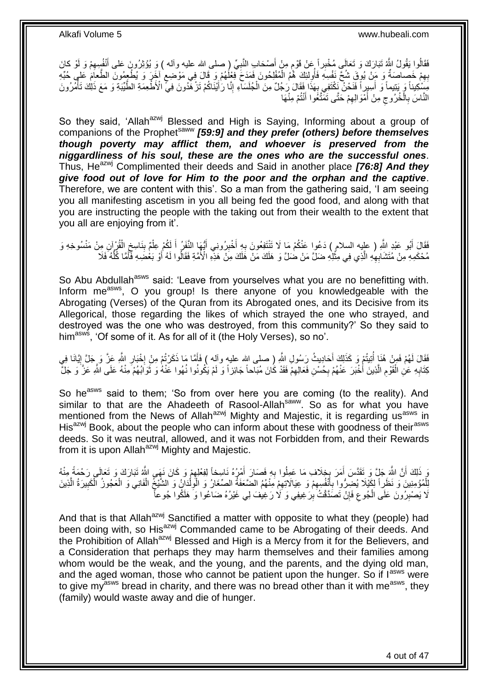فَقَالُوا يَقُولُ اللَّهُ تَبَارَكَ وَ تَعَالَى مُخْبِراً عَنْ قَوْمٍ مِنْ أَصْحَابِ النَّبِيِّ (صلى الله عليه وآله ) وَ يُؤْثِرُونَ عَلى أَنْفُسِهِمْ وَ لَوْ كانَ ِ َ ֧֖֖֧֢֚֚֚֚֚֚֚֚֚֚֚֚֚֚֚֓֝֬֘֝֓֝֓׆֧ ِ بِهِمْ خَصِاصَةٌ وَ مَنْ يُوتَنِ شُحٍّ نَفْسِهِ فَأُولِلَكَ هُمُ الْمُفْلِحُونَ فَمَدَحَ فَعْلُهُمْ وَ قَالَ فِي مَوْصَعِ أَخَرَ وَ يُطْعِمُونَ الطَّعَامَ عَلِي حُبِّهِ ٍ ْ ُ ِ مَشْكِيناً وَ بَنِيماً وَ أَسِيرِاً فَنَحْنٌ نَكْتَفِي بِهَذَا فِقَالَ رَجُلٌ مِنَ الْجُلَسَاءِ إِنَّا رَأَيْنَاكُمْ تَزْهَّدُونَ فِيِّ الْأَطْعِمَةِ الطَّيِّبَةِ وَ مَعَ ذَلِكَ تَأْمُرُونَ ْ **∶** َ ْ َ ِ لَ النَّاسَ بِالْخُرُوجِ مِنْ أَمْوَالِهِمْ حَتَّى تَمَتَّغُوا أَنْتُمْ مِنْهَا َ ِ َ ِ **∶** 

So they said, 'Allah<sup>azwj</sup> Blessed and High is Saying, Informing about a group of companions of the Prophet<sup>saww</sup> [59:9] and they prefer (others) before themselves *though poverty may afflict them, and whoever is preserved from the niggardliness of his soul, these are the ones who are the successful ones*. Thus, He<sup>azwj</sup> Complimented their deeds and Said in another place **[76:8] And they** *give food out of love for Him to the poor and the orphan and the captive*. Therefore, we are content with this'. So a man from the gathering said, 'I am seeing you all manifesting ascetism in you all being fed the good food, and along with that you are instructing the people with the taking out from their wealth to the extent that you all are enjoying from it'.

فَقَالَ أَبُو عَبْدِ اللَّهِ ( عليه السلام ) دَعُوا عَنْكُمْ مَا لَا تَنْتَفِعُونَ بِهِ أَخْيِرُونِي أَيُّهَا النَّفَرُ أَ لَكُمْ عِلْمٌ بِنَاسِغِ الْقُرْآنِ مِنْ مَنْسُوخِهِ وَ َ ْ ِ ْ َ ا<br>ا ِ َ ِ مُحْكَمِهِ مِنْ مُتَشَابِهِهِ الَّذِي فِي مِثْلِهِ ضَلِّ مَنْ ضٰلَّ وَ هَلَكَ مَنْ هَٰلَكَ مِنْ هَذِهِ الْأُمَّةِ فَقَالُوا لَهُ أَوْ بَعْضُبِهِ فَأَمَّا كُلُّهُ فَلاَ **ٔ** َّ ِ ُّ َ َ

So Abu Abdullah<sup>asws</sup> said: 'Leave from yourselves what you are no benefitting with. Inform me<sup>asws</sup>, O you group! Is there anyone of you knowledgeable with the Abrogating (Verses) of the Quran from its Abrogated ones, and its Decisive from its Allegorical, those regarding the likes of which strayed the one who strayed, and destroyed was the one who was destroyed, from this community?' So they said to him<sup>asws</sup>, 'Of some of it. As for all of it (the Holy Verses), so no'.

فَقَالَ لَهُمْ فَمِنْ هُذَاٍ أُنِيتُمْ وَ كَذَلِكَ أَحَادِيثُ رَسُولِ اللَّهِ ( صلى الله عليهِ وآلِه ) فَأَمَّا مَا ذَكَرْتُمْ مِنْ إِخْبَارِ اللَّهِ عَزَّ وَ جَلَّ إِيَّانَا فِي َ ُ ِ ِ **∶** كِتَابِهِ عَلِٰ الْقَوْمِ الَّذِينَ أُخْبَرَ عَنْهُمْ بِحُسْنِ فَعَالِهِمْ فَقَدْ كَانَ مُبَاحاً جَائِزاً وَ لَمْ يَكُونُوا نُهُوا عَنْهُ وَ ثَوَابُهُمْ مِنْهُ عَلَى اللَّهِ عَزَّ وَ جَلَّ ِ **∶** َ ر<br>ا ِ ْ ِ َ

So he<sup>asws</sup> said to them; 'So from over here you are coming (to the reality). And similar to that are the Ahadeeth of Rasool-Allah<sup>saww</sup>. So as for what you have mentioned from the News of Allah<sup>azwj</sup> Mighty and Majestic, it is regarding us<sup>asws</sup> in His<sup>azwj</sup> Book, about the people who can inform about these with goodness of their<sup>asws</sup> deeds. So it was neutral, allowed, and it was not Forbidden from, and their Rewards from it is upon Allah<sup>azwj</sup> Mighty and Majestic.

وَ ذَلِكَ أَنَّ اللَّهَ جَلٍّ وَ تَقَدَّسَ أَمَرَ بِخِلَافِ مَا عَمِلُوا بِهِ فَصَارَ أَمْرُهُ نَاسِخاً لِفِعْلِهِمْ وَ كَانَ نَهَى اللَّهُ تَبَارَكَ وَ تَعَالَى رَحْمَةً مِنْهُ ِ َ ِ ¦ َ اً لِلْمُؤْمِنِينَ وَ نَظَرٍاً لِكَيْلَا يُضِرُّوا بِأَنْفُسِهِمْ وَ عِيَالَاتِهِمْ مَِنْهُمُ الضَّعَفَةُ الصِّغَارُ وَ الْوِلْدَانُ وَ الشَّيْخُ الْفَانِي وَ الْعَجُوزُ الْكَبِيرَةُ الَّذِينَ ْ ْ ْ ِ ِ ِ َ **∶** َّ ِ ْ ْ ِ لَا يَصْبِرُونَ عَلَى الْجُوعِ فَإِنْ تَصَدَّقْتُ بِرَغِيفِي وَ لَا رَغِيفَ لِي غَيْرُهُ ضَاعُوا وَ هَلَكُوا جُوعاً ْ **ِ** ِ ِ

And that is that Allah<sup>azwj</sup> Sanctified a matter with opposite to what they (people) had been doing with, so His<sup>azwj</sup> Commanded came to be Abrogating of their deeds. And the Prohibition of Allah<sup>azwj</sup> Blessed and High is a Mercy from it for the Believers, and a Consideration that perhaps they may harm themselves and their families among whom would be the weak, and the young, and the parents, and the dying old man, and the aged woman, those who cannot be patient upon the hunger. So if  $I^{ass}$  were to give my<sup>asws</sup> bread in charity, and there was no bread other than it with me<sup>asws</sup>, they (family) would waste away and die of hunger.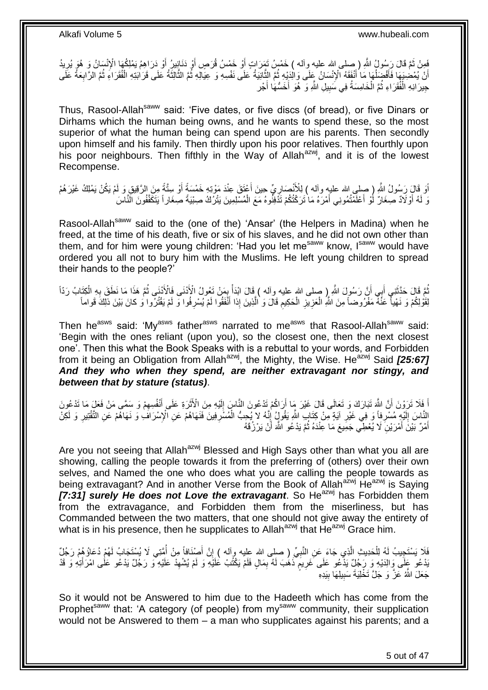فَعِنْ ثَمَّ قَالَ رَسُولُ اللَّهِ ( صلى الله عليه وآله ) خَمْسُ تَمَرَاتٍ أَوْ خَمْسُ قُرَصٍ أَوْ دَنَافِيرُ أَوْ دَرَاهِمُ يَمْلِكُهَا الْإِنْسَانُ وَ هُوَ يُرِيدُ<br>نَسِفْ الْمَرْضِيَةِ فَي اللَّهِ فَي الله عليه وآله ) خ َ َ َ َ ِ ُ أَنْ يُمْضِيَهَا فَأَفْضَلُهَا مَا أَنْفَقَهُ الْإِنْسَانُ عَلَى وَالْدَيْهِ ثُمَّ الثَّانِيَةُ عَلَى نَفْسِهِ وَ عِيَالِهِ ثُمَّ الثَّالِثَةُ عَلَى مَالِّذَا قَدَّامَ مَعَلَى مَالَّذ َّ ُ َ ا<br>ا َ ِ ا<br>:<br>: ْ َ َّ جِيرَانِهِ الْفُقَرَاءِ ثُمَّ الْخَامِسَةُ فِي سَبِيلِ اللَّهِ وَ هُوَ أَخَسُّهَا أَجْر َ َ **!** ْ ُ ْ

Thus, Rasool-Allah<sup>saww</sup> said: 'Five dates, or five discs (of bread), or five Dinars or Dirhams which the human being owns, and he wants to spend these, so the most superior of what the human being can spend upon are his parents. Then secondly upon himself and his family. Then thirdly upon his poor relatives. Then fourthly upon his poor neighbours. Then fifthly in the Way of Allah<sup>azwj</sup>, and it is of the lowest Recompense.

اَوَ قَالَ رَسُولُ اللَّهِ ( صلى الله عليه وآله ) لِلْأَنْصَارِيِّ حِينَ أَعْتَقَ عِنْدَ مَوْتِهِ خَمْسَةً أَو سِتَّةً مِنَ الرَّقِيقِ وَ لَمْ يَكُنْ يَمْلِكُ غَيْرَ هُمْ<br>وَيَسْتَمَعُ رَسُولُ اللَّهِ ( - يَمْزَيْرُ، َ َ ِ وَ لَهُ أَوْلَادٌ صِغَارٌ لَوْ أَعْلَمْتُمُونِي أَمْرَهُ مَا ْتَرَكْتُكُمْ تَذْفِنُوهُ مَعَ الْمُسْلِمِينَ يَتْرُكُ صِبْيَةً صِغَاراً يَتَكَفَّفُونَ الَّنَّاسَ َ َ ز<br>ا ْ

Rasool-Allah<sup>saww</sup> said to the (one of the) 'Ansar' (the Helpers in Madina) when he freed, at the time of his death, five or six of his slaves, and he did not own other than them, and for him were young children: 'Had you let me<sup>saww</sup> know, Isaww would have ordered you all not to bury him with the Muslims. He left young children to spread their hands to the people?'

مُّ قَالَ حَدَّثَنِي أَبِي أَنَّ رَسُولَ اللَّهِ إِن صلى الله عليه وآله ) قَالَ ابْدَأْ بِمَنْ تَعُولُ الْأَنْنَى فَالْأَنْنَى ثُمَّ هَذَا مَا نَطَقَ بِهِ الْكِتَابُ رَدَّاً<br>بِي أَسْفِرُ مِنْ الْقَوْمِ أَبِي أَنَّ رَسُولِ َ **ٔ** ُ ْ ِ ُ ِ *<u>British</u>* لِقَوْلِكُمْ وَ نَهْياً عَنْهُ مَفْرُوضاً مِنَ اللَّهِ الْعَزِيزِ الْحَكِيمِ قَالَ وَ الَّذِينَ إِذا أَنْفَقُوا لَمْ يُسْرِفُوا وَ لَمْ يَقْتُرُوا وَ كانَ بَيْنَ ذلِكَ قَواماً **∶** َ َّ ِ ْ ِ **∶** ْ

Then he<sup>asws</sup> said: 'My<sup>asws</sup> father<sup>asws</sup> narrated to me<sup>asws</sup> that Rasool-Allah<sup>saww</sup> said: 'Begin with the ones reliant (upon you), so the closest one, then the next closest one'. Then this what the Book Speaks with is a rebuttal to your words, and Forbidden from it being an Obligation from Allahazwj, the Mighty, the Wise. Heazwj Said *[25:67] And they who when they spend, are neither extravagant nor stingy, and between that by stature (status)*.

أَ فَلَا تَرَوْنَ أَنَّ اللَّهَ تَبَارَكَ وَ تَعَالَى قَالَ غَيْرَ مَا أَرَاكُمْ تَدْعُونَ النَّاسِ إِلَيْهِ مِنَ الْأَثَرَةِ عَلَى أَنْفُسِهِمْ وَ سَمَّى مَنْ فَعَلَ مَا تَدْعُونَ َ ِ َ َ لَ  $\frac{1}{2}$ َ النَّاسَ إِلَيْهِ مُسْرِفاً وَ فِي غَيْرِ آيَةٍ مِنْ كِتَابٍ اللَّهِ يَقُولٍۢ إِنَّهُ لا يُحِبُّ الْمُسْرِفِينَ فَنَهَاهُمْ عَنِ الْإِسْرَافُ وَ نَهَاهُمْ عَنِ الْتَّقْتِيرِ وَ لَكِنْ<br>أَيْسَمْ النَّوْسِمُ مُسْرِفاً وَ فِي **∶** ْ ِ ِ ِ لَ ِ ِ أَمْرٌ بَيْنَ أَمْرَيْنِ لَا يُعْطِي جَمِيعَ مَا عِنْدَهُ ثُمَّ يَدْعُو اللَّهَ أَنْ يَرْزُقَهُ َ .<br>• • • • َ َ

Are you not seeing that Allah<sup>azwj</sup> Blessed and High Says other than what you all are showing, calling the people towards it from the preferring of (others) over their own selves, and Named the one who does what you are calling the people towards as being extravagant? And in another Verse from the Book of Allah<sup>azwj</sup> He<sup>azwj</sup> is Saying *[7:31] surely He does not Love the extravagant*. So He<sup>azwj</sup> has Forbidden them from the extravagance, and Forbidden them from the miserliness, but has Commanded between the two matters, that one should not give away the entirety of what is in his presence, then he supplicates to Allah<sup>azwj</sup> that  $\overline{He}^{azmj}$  Grace him.

فَلَا يَسْتَجِيبُ لَهُ لِلْحَدِيثِ الَّذِي جَاءَ عَنِ النَّبِيِّ ( صلى الله عليه وآله ) إِنَّ أُصنَافاً مِنْ أُمَّتِي لَا يُسْتَجَابُ لَهُمْ دُعَاؤُهُمْ رَجُلٌ ُ َ ِ **∶** َّ ْ َدْعُو عَلَى وَالِدَيْهِ وَ رَجُلٌ يَذْعُو عَلَى خَرِيمَ ذَهُبَ لَهُ بِمَالٍ فَلَمْ يَكْتُبْ عَلَيْهِ وَ لَمْ يُشْهِدْ عَلَيْهِ وَ رَجُلٌ يَدْعُو عَلَى امْرَأَتِهِ وَ قَدْ ٍ **∶** َ ِ ِ جَعَلَ اللَّهُ عَزَّ وَ جَلَّ تَخْلِيَةَ سَبِيلِهَا بِيَدِهِ **! !** 

So it would not be Answered to him due to the Hadeeth which has come from the Prophet<sup>saww</sup> that: 'A category (of people) from my<sup>saww</sup> community, their supplication would not be Answered to them – a man who supplicates against his parents; and a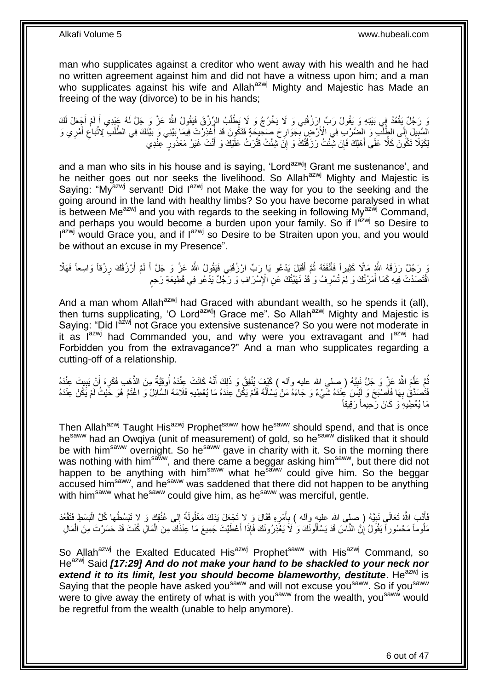man who supplicates against a creditor who went away with his wealth and he had no written agreement against him and did not have a witness upon him; and a man who supplicates against his wife and Allah<sup>azwj</sup> Mighty and Majestic has Made an freeing of the way (divorce) to be in his hands;

َنَّ رَجُلٌ يَقْعُدُ فِِي بَيْتِهِ وَ يَقُولُ رَبِّ إِرْزُقْنِي وَ لَا يَخْرُجُ وَ لَا يَطْلُبُ الرِّرْقَ فَيَقُولُ اللَّهُ عَزَّ وَ جَلَّ لَهُ عَبْدِي أَ لَمْ أَجْعَلْ لَكَ َ لَ َ ُ الْسَّبِيلَ إِلَى الطَّلَبِّ وَ الضَّرْبِ فِي الْأَرْضِ بِجَوَارِحَ صَحِيحَةٍ فَتَكُونَ قَدْ أُعْذِرْتَ فِيمَا<br>السَّبِيلَ إِلَى الطَّلَبِّ وَ إِنْصَرْتِ فِي الْأَرْضِ بِجَوَارِحَ صَحِيحَةٍ فَتَكُونَ قَدْ أُعْذِرْتَ فِيمَا ِ **∶**  $\frac{1}{2}$ **∣** َ ِ ا<br>ا لِكَيْلًا تَكُونَ كَلَّا عَلَى أَهْلِكَ فَإِنْ شِئْتُ رَزَقْتُكَ وَ إِنْ شِئْتُ قَتَّرْتُ عَلَيْكَ وَ أَنْتَ غَيْرُ مَعْنُورٍ عِنْدِي َ ِ ِ َ

and a man who sits in his house and is saying, 'Lord<sup>azwj</sup>! Grant me sustenance', and he neither goes out nor seeks the livelihood. So Allah<sup>azwj</sup> Mighty and Majestic is Saying: "My<sup>azwj</sup> servant! Did l<sup>azwj</sup> not Make the way for you to the seeking and the going around in the land with healthy limbs? So you have become paralysed in what is between Me<sup>azwj</sup> and you with regards to the seeking in following My<sup>azwj</sup> Command, and perhaps you would become a burden upon your family. So if  $I^{azwj}$  so Desire to Iazwj would Grace you, and if lazwj so Desire to be Straiten upon you, and you would be without an excuse in my Presence".

وَ رَجُلٌ رَزَقَهُ اللَّهِ مَالًا كَثِيراً فَأَنْفَقَهُ ثُمَّ أَقْبَلَ يَدْعُو يَا رَبِّ ارْزُقْنِي فَيَقُولُ اللَّهُ عَزَّ وَ جَلَّ أَ لَمْ أَرْزُقُكَ رِزْقاً وَاسِعاً فَهَلَّا َ ُ َ ِ اً لَ َ اقْتَصَدْتَ فِيهِ كَمَا أَمَرْتُكَ وَ لِمَ تُسْرِفُ وَ ٰقَدْ نَهَيْتُكَ عَنِ الْإِسْرَافِ وَ رَجُلٌ يَدْعُو فِي قَطِيعَةِ رَحِمٍ **ٍ** َ ٍ

And a man whom Allah<sup>azwj</sup> had Graced with abundant wealth, so he spends it (all), then turns supplicating, 'O Lord<sup>azwj</sup>! Grace me". So Allah<sup>azwj</sup> Mighty and Majestic is Saying: "Did l<sup>azwj</sup> not Grace you extensive sustenance? So you were not moderate in it as  $I^{azwj}$  had Commanded you, and why were you extravagant and  $I^{azwj}$  had Forbidden you from the extravagance?" And a man who supplicates regarding a cutting-off of a relationship.

ثُمَّ عَلَّمَ اللَّهُ عَزَّ وَ جَلَّ نَبِيَّهُ ( صلى الله عليه وآله ) كَيْفَ يُنْفِقُ وَ ذَلِكَ أَنَّهُ كَانَتْ عِنْدَهُ أُوقِيَّةٌ مِنَ الذَّهَبِ فَكَرِهَ أَنْ يَبِيتَ عِنْدَهُ َّ ُ َ ِ َ ِ ِ فَتَصَدَّقُ بِهَا فَأَصْبَحَ وَ لَيْسَ عِنْدَهُ شَيْءٌ وَ جَاءَهُ مَنْ يَسْأَلُهُ فَلَمْ يَكُنْ عِنْدَهُ مَا يُعْطِيهِ فَلَامَهُ السَّائِلُ وَ اغْتَمَّ هُوَ حََيْثُ لَمْ يَكُنْ عِنْدَهُ َ **∶** ا<br>ا َ مَا يُعْطِيهِۘ وَ كَانَ رَحِيماً رَقِيقاً

Then Allah<sup>azwj</sup> Taught His<sup>azwj</sup> Prophet<sup>saww</sup> how he<sup>saww</sup> should spend, and that is once hesaww had an Owqiya (unit of measurement) of gold, so hesaww disliked that it should be with him<sup>saww</sup> overnight. So he<sup>saww</sup> gave in charity with it. So in the morning there was nothing with him<sup>saww</sup>, and there came a beggar asking him<sup>saww</sup>, but there did not happen to be anything with him<sup>saww</sup> what he<sup>saww</sup> could give him. So the beggar accused him<sup>saww</sup>, and he<sup>saww</sup> was saddened that there did not happen to be anything with him<sup>saww</sup> what he<sup>saww</sup> could give him, as he<sup>saww</sup> was merciful, gentle.

فَأَتَـبَ اللَّهُ تَعَالَى نَبِيَّهُ ( صلى الله عليه وأله ) بِأَمْرِهِ فَقَالَ وَ لا تَجْعَلْ يَدَكَ مَغْلُولَةً إِلى عُنُقِكَ وَ لا تَبْسُطْها كُلَّ الْبَسْطِ فَتَقْعُدَ ِ َ **∶ !** َ ْ ِ مَلْوماً مَحْسُوراً يَقُولُ إِنَّ النَّاسَ قَدْ يَسْأَلُونَكَ وَ` لَا يَعْذِرُونَكَ فَإِذَا أَعْطَيْتَ جَمِيعَ مَا عِنْدَكَ مِنَ الْمَالِ كُنْتَ قَدْ حَسَرْتَ مِنَ الْمَالِ َ َ יֲ<br>י ْ ْ

So Allah<sup>azwj</sup> the Exalted Educated His<sup>azwj</sup> Prophet<sup>saww</sup> with His<sup>azwj</sup> Command, so He<sup>azwj</sup> Said **[17:29] And do not make your hand to be shackled to your neck nor** extend it to its limit, lest you should become blameworthy, destitute. He<sup>azwj</sup> is Saying that the people have asked you<sup>saww</sup> and will not excuse you<sup>saww</sup>. So if you<sup>saww</sup> were to give away the entirety of what is with you<sup>saww</sup> from the wealth, you<sup>saww</sup> would be regretful from the wealth (unable to help anymore).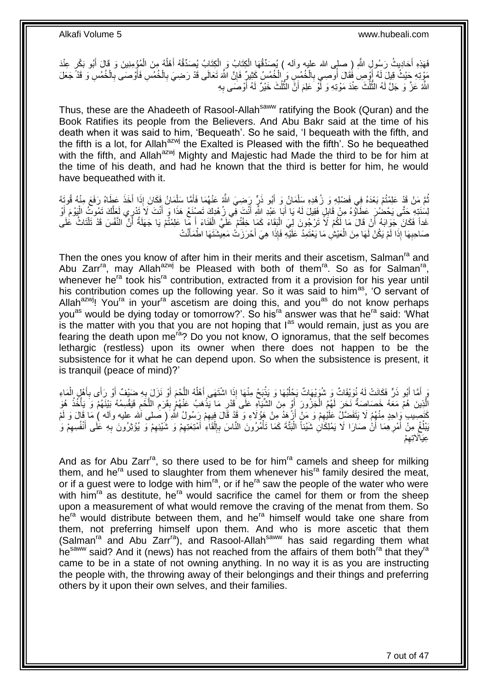فَهَذِهِ أَحَادِيثُ رَسُولِ اللَّهِ (ِ صلى الله عليه وآله ) يُصَدِّقُهَا الْكِتَابُ إِصَدَيْتُهُ أَهْلُهُ مِنَ الْمُؤْمِنِينَ وَ قَالَ أَبُو بَكْرٍ عِنْدَ َ َ ْ ُ َ ْ ْ مَوْتِهِ جَيْثُ قِيلَ لَهُ أُوْصِ فَقَالَ أُوصِي بِالْخُمُسِ وَ الْخُمُسُ كَثِيرٌ فَإِنَّ اللَّهَ تَعَالَى قَدْ رَضِيَ بِالْخُمُسِ فَأَوْصَى بِالْخُمُسِ وَ قَدْ جَعَلَ ∣ٍ إ ِ ا<br>ا َ ِ َ ِ اللَّهُ عَزَّ وَ جَلَّ لَهُ النَّلُثَ عِنْدَ مَوْتِهِ وَ لِّو َعَلِمَ أَنَّ النَّلُثَ خَيْرٌ لَهُ أَوْصَى بِهِ ِ ُّ َ ا معنی م

Thus, these are the Ahadeeth of Rasool-Allah<sup>saww</sup> ratifying the Book (Quran) and the Book Ratifies its people from the Believers. And Abu Bakr said at the time of his death when it was said to him, 'Bequeath'. So he said, 'I bequeath with the fifth, and the fifth is a lot, for Allah<sup>azwj</sup> the Exalted is Pleased with the fifth'. So he bequeathed with the fifth, and Allah<sup>azwj</sup> Mighty and Majestic had Made the third to be for him at the time of his death, and had he known that the third is better for him, he would have bequeathed with it.

ثُمَّ مَنْ قَدْ عَلِمْتُمْ بَعْدَهُ فِي فَضْلِهِ وَ زُهْدِهِ سَلْمَانُ وَ أَبُو ذَرٍّ رَضِيَ اللَّهُ عَنْهُمَا فَأَمَّا سَلْمَانُ فَكَانَ إِذَا أَخَذَ عَطَاهُ رَفَعَ مِنْهُ قُوتَهُ َ ْ َ َ ْ لِمُنَتِهِ حَتَّى يَحْضُرُ عَطَاؤُهُ مِنْ قَابِلٍ فَقِيلَ لَهُ يَا أَبَا عَبْدِ اللَّهِ أَنْتَ فِي زُهْدِكَ تَصنُنَعُ هَذَا وَ أَنْتَ لَا تَنْزِي لَعَلَّكَ تَمُوتُ الْيَوْمَ أَوْ َ َ ׀<br>֢֝֓֝֓֓֝֓ َ ْ َّ َ غَداً فَكَانَ جَوَابَهُ أَنْ قَالَ مَا لَكُمْ لَا تَرْجُونَ لِيَ الْبَقَاءَ كَمَا خِفْتُمْ عَلَيَّ الْفَنَاءَ أَ مِّا عَلِمْتُمْ يَا جَهَلَةُ أَنَّ النَّفْسَ قَدْ تَلْتَاثُ عَلَى َ ْ ْ َ ْ َ صَاحِبِهَا ۖ إِذَا لَمْ يَكُنْ لَهَا مِنَ الْعَيْشِٰ مَا يَعْتَمِدُ ۖ عَلَيْهِ فَإِذَا هِيَ أَحْرَزَتْ مَعِينتنَتَهَا اطْمَأَنَّتْ َ َ ْ **∶** 

Then the ones you know of after him in their merits and their ascetism, Salman<sup>ra</sup> and Abu Zarr<sup>ra</sup>, may Allah<sup>azwj</sup> be Pleased with both of them<sup>ra</sup>. So as for Salman<sup>ra</sup>, whenever he<sup>ra</sup> took his<sup>ra</sup> contribution, extracted from it a provision for his year until his contribution comes up the following year. So it was said to him<sup>as</sup>, 'O servant of Allah $a^{2xy}$ ! You<sup>ra</sup> in your<sup>ra</sup> ascetism are doing this, and you<sup>as</sup> do not know perhaps you<sup>as</sup> would be dying today or tomorrow?'. So his<sup>ra</sup> answer was that he<sup>ra</sup> said: 'What is the matter with you that you are not hoping that  $I^{as}$  would remain, just as you are fearing the death upon me<sup>ra</sup>? Do you not know, O ignoramus, that the self becomes lethargic (restless) upon its owner when there does not happen to be the subsistence for it what he can depend upon. So when the subsistence is present, it is tranquil (peace of mind)?'

َّ وَ أَمَّا أَبُو ذَرٍّ فَكَانَتْ لَهُ نُوَيْقَاتٌ وَ شُوَيْهَاتٌ يَحْلُبُهَا وَ يَذْبَحُ مِنْهَا إِذَا اشْتَهَى أَهْلُهُ اللَّحْمَ أَوْ نَزَلَ بِهِ حَبْيْفٌ أَوْ رَأَى بِأَهْلِ الْمَاءِ ا<br>ا َ **ٔ:** ا<br>ا ْ َ ِ َ ِ َ الَّذِينَ هُمْ مَعَهُ خَصَاصِنَةٌ نَحَرَ لَهُمُ الْجَزُورَ أَوْ مِنَ الشَّيَاهِ عَلَى قَدْرِ مَا يَذْهَبُ عَنْهُمْ بِقَرَمِ اللَّحْمِ فَيَقْسِمُهُ بَيْنَهُمْ وَ يَأْخُذُ هُوَ ْ ْ ِ َّ ِ ِ **ٔ** ِ كَنَصِيبِ وَاحِدٍ مِنْهُمْ لَا يَتَفَضَّلُ عَلَيْهِمْ وَ مَنْ أَزْهِدُ مِنْ هَؤُلَاءِ وَ قَدْ قَالَ فِيهِمْ رَسُولُ اللَّهِ ( صَلى اَلله عليه وآله ) مَا قَالَ وَ لَمْ ِ َ ِ َبْلُغْ مِنْ أَمْرِهِمَا أَنْْ صَارَا لَا يَمْلِكَانِ شَيْئاً الْبَتَّةَ كَمَا تَأْمُرُونَ النَّاسَ بِإِلْقَاءِ أَمْتِعَتِهِمْ وَ شُيْئِهِمْ وَ يُؤْثِرُونَ بِهِ عَلَى أَنْفُسِهِمْ وَ ِ َ ِ َ **∶** ِ ِ َ ْ ∣ا<br>∶ ِ ْ ْ ْم ِ عِيَا*َلاَتِ*هِ

And as for Abu Zarr<sup>ra</sup>, so there used to be for him<sup>ra</sup> camels and sheep for milking them, and he<sup>ra</sup> used to slaughter from them whenever his<sup>ra</sup> family desired the meat, or if a guest were to lodge with him<sup>ra</sup>, or if he<sup>ra</sup> saw the people of the water who were with him<sup>ra</sup> as destitute, he<sup>ra</sup> would sacrifice the camel for them or from the sheep upon a measurement of what would remove the craving of the menat from them. So  $he<sup>ra</sup>$  would distribute between them, and  $he<sup>ra</sup>$  himself would take one share from them, not preferring himself upon them. And who is more ascetic that them (Salman<sup>ra</sup> and Abu Zarr<sup>ra</sup>), and Rasool-Allah<sup>saww</sup> has said regarding them what hesaww said? And it (news) has not reached from the affairs of them both<sup>ra</sup> that they<sup>ra</sup> came to be in a state of not owning anything. In no way it is as you are instructing the people with, the throwing away of their belongings and their things and preferring others by it upon their own selves, and their families.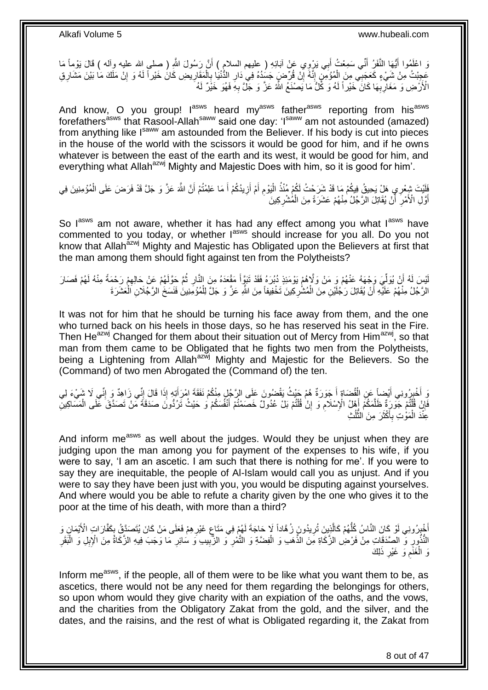وَ اعْلَمُوا أَيُّهَا النَّفَرُ أَنِّي سَمِعْتُ أَبِي يَرْوِي عَنْ آبَائِهِ ( عليهم السلام ) أَنَّ رَسُولَ اللَّهِ ( صلى الله عليه وآله ) قَالَ يَوْمِأَ مَا َ َ َ عَجِبْتُ مِنْ شَيْءٍ كَعَجَبِي مِنَ الْمُؤْمِنِ إِنَّهُ إِنْ قُرِّضٍ جَسَدُهُ فِي دَارِ الدُّنْنِا بِالْمَقَارِيضِ كَانَ خَيْراً لَهُ وَ إِنْ مَلَكَ مَا بَيْنَ مَشَارِقِ<br>فَيَجِبْتُ مِنْ شَيْءٍ فَجَبَتِي وَبَعَ الْمُؤْمِنِ ِ لَ ِ ْ ِ **∶** ِ ِ ْ لَ الْأَرَْضِ وَ مَغَالِّرِبِّهَا كَانَ ۖ خَيْراً لَهُ وَ كُلُّ مَا يَصْنَعُ اللَّهُ عَزَّ وَ جَلَّ بِهِ فَهُوَ خَيْرٌ لَهُ **∶** ِ **∶** لَ

And know, O you group! l<sup>asws</sup> heard my<sup>asws</sup> father<sup>asws</sup> reporting from his<sup>asws</sup> forefathers<sup>asws</sup> that Rasool-Allah<sup>saww</sup> said one day: 'I<sup>saww</sup> am not astounded (amazed) from anything like I<sup>saww</sup> am astounded from the Believer. If his body is cut into pieces in the house of the world with the scissors it would be good for him, and if he owns whatever is between the east of the earth and its west, it would be good for him, and everything what Allah<sup>azwj</sup> Mighty and Majestic Does with him, so it is good for him'.

فَلَيْتَ شِعْرِي هَلْ يَحِيقُ فِيكُمْ مَا قَدْ شَرَحْتُ لَكُمْ مُنْذُ الْيَوْمِ أَمْ أَزِيدُكُمْ أَ مَا عَلِمْتُمْ أَنَّ اللَّهَ عَزَّ وَ جَلَّ قَدْ فَرَضَ عَلَى الْمُؤْمِنِينَ فِي<br>يَهْدَفُ وَجَلَ الْمَسْرَةِ فَذَا وَقَدْ اُ َ ِ َ َ ِ ْ ْ أَوَّلِ الْأَمْرِ ۖ أَنْ يُقَاتِلَ الرَّجُلُ مِنْهُمْ عَشَرَةً مِنَ الْمُشْرِكِينَ **∶** ْ َ **∶** َ

So lasws am not aware, whether it has had any effect among you what lasws have commented to you today, or whether last should increase for you all. Do you not know that Allah<sup>azwj</sup> Mighty and Majestic has Obligated upon the Believers at first that the man among them should fight against ten from the Polytheists?

ِ لْيْسَ لَهُ أَنْ يُوَلِّيَ وَجْهَهُ عَنْهُمْ وَ مَنْ وَلَإِهُمْ يَوْمَئِذٍ دُبُرَهُ فَقَدْ تَبَرَّأَ مَقْعَدَهُ مِنَ النَّارِ ثُمَّ حَوَّلَهُمْ عَنْ حَالِهِمْ رَحْمَةً مِنْهُ لَهُمْ فَصَارَ َ ِّ َ ِ ُ الرَّجُلُ مِنْهُمْ عَلَيْهِ أَنْ يُقَاتِلَ رَجُلَيْنِ مِنَ الْمُشْرِكِينَ تَخْفِيفاً مِنَ اللَّهِ عَزَّ وَ جَلَّ لِلْمُوُمِنِينَ فَنَسَخَ الرَّجُلَانِ اَلْعَشَرَةَ ْ اً ْ ْ ِ

It was not for him that he should be turning his face away from them, and the one who turned back on his heels in those days, so he has reserved his seat in the Fire. Then He<sup>azwj</sup> Changed for them about their situation out of Mercy from Him<sup>azwj</sup>, so that man from them came to be Obligated that he fights two men from the Polytheists, being a Lightening from Allah<sup>azwj</sup> Mighty and Majestic for the Believers. So the (Command) of two men Abrogated the (Command of) the ten.

وَ أَخْبِرُونِي أَيْضِاً عَنِ الْقُضَاةِ أَ جَوَرَةٌ هُمْ حَيْثُ يَقْضُونَ عَلَى الرَّجُلِ مِنْكُمْ نَفَقَةَ امْرَأَتِهِ إِذَا قَالَ إِنِّي زَاهِدٌ وَ إِنِّي لَا شَيْءَ لِي<br>وَ أَخْبِرُونِي أَيْسَ عَلَى أَنِّذَا فَقَدْ اللَ َ َ ْ َ וּ<br>ֳ ِ ِ فَإِنْ قُلْتُمْ جَوَرَةٌ ظَلَّمَكُمْ إِهْلُ الْإِسْلَامِ وَ إِنْ قُلْتُمْ بَلْ عُدُولٌ خَصَمْتُمْ أَنْفُسَكُمْ وَ حَيْثُ تَرُدُّونَ صَدَقَةً مِّنْ تَصَدَّقَ عَلَى الْمَسَاكِينِّ ֦֧֦֧֦֦֧֦֦֦֦֦֦֦֦֦֦֦֦֦֦֦֦֦֦֦֧֦֧֦֧֦֦֧֦֪֪֦֦֧֦֦֦֧֦֪֪֪֦֟֟֟֟֟֟֟֟֟֟֟֟֟֟֓֕֟֟֓֕֟֓֟֓֞֟֝֟֓֟֓֟֓֞֟֓֞֟֟֓֞֟֓֞֟֓֞֟ ِ َ ֺ֦֦֦֧֦֦֪ׅ֧֦֧֦֧֦֧֦֧֦֪ׅ֦֧֦֪֪֦֧֦֧֝֟֟֓֕֓֕֓֕֓֕֓֕֓֓֡֓֓֡֟֓֡֟֓֡֟֓֡֟֓֡֟֓֡֟֩֓֓֞֓֞֓֞֟֓֡֟֓֡֟֓֟֩֓֟֓֟֓֟֟<br>֧֧֧֪֧֪֝֩֘֝֬֞֟׆<br>֧֪֘ ِ ِ َ َّ ْ عَِنْدَ الْمَوْتِ بِأَكْثَرَ مِنَ النَّلْثِ ٔ<br>ا ا<br>پاک ة<br>ا َ **∶** ْ

And inform me<sup>asws</sup> as well about the judges. Would they be unjust when they are judging upon the man among you for payment of the expenses to his wife, if you were to say, 'I am an ascetic. I am such that there is nothing for me'. If you were to say they are inequitable, the people of Al-Islam would call you as unjust. And if you were to say they have been just with you, you would be disputing against yourselves. And where would you be able to refute a charity given by the one who gives it to the poor at the time of his death, with more than a third?

أُخْيِرُونِي لَوْ كَانَ النَّاسُ كُلُّهُمْ كَالَّذِينَ تُرِيدُونَ زُهَّاداً لَا حَاجَةَ لَهُمْ فِي مَتَاعٍ غَيْرِهِمْ فَعَلَى مَنْ كَانَ يُتَصَدِّقُ بِكَفَّارَاتٍ الْأَيْمَانِ وَ ِ ِ ِ **∶** َّ ُّ ار<br>و النُّذُورِ وَّ الصَّدَقَاتِ مِنْ فَرْضِ الزَّكَاةِ مِنَ الذَّهَبِ وَ الْفِضَّةِ وَ الثَّمْرِ ۖ وَ الزَّبِيبِ وَ سَائِرِ مَا وَجَبَ فِيهِ الزَّكَاةُ مِنَ الْإِبِلِ وَ الْبَقَرِ ِ ْ ِ ِ ْ ِ ِ لِ َك ذَ َو َغْير َغَنم َو ال **∶** ِ ْ

Inform me<sup>asws</sup>, if the people, all of them were to be like what you want them to be, as ascetics, there would not be any need for them regarding the belongings for others, so upon whom would they give charity with an expiation of the oaths, and the vows, and the charities from the Obligatory Zakat from the gold, and the silver, and the dates, and the raisins, and the rest of what is Obligated regarding it, the Zakat from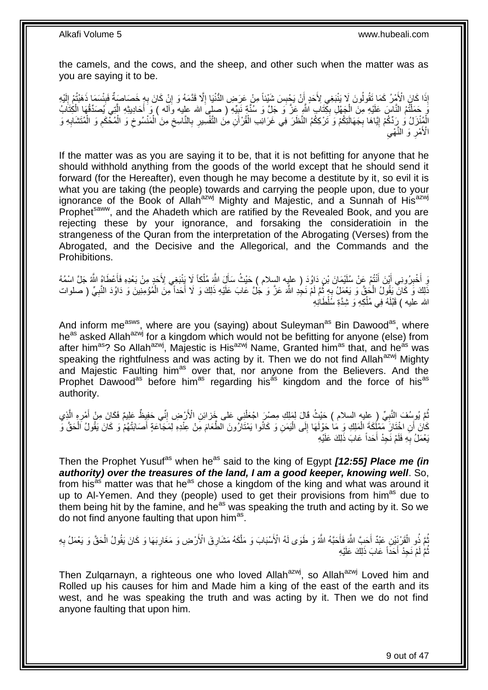the camels, and the cows, and the sheep, and other such when the matter was as you are saying it to be.

إِذَا كَانَ الْأَمْرُ كَمَا تَقُولُونَ لَا يَنْبَغِي لِأَحَدٍ إِنْ يَجْبِسَ شَيْئاً مِنْ عَرَضِ الدُّنْيَا إِلَّا قَدَّمَهُ وَ إِنْ كَانَ بِهِ خَصَاصَةٌ فَبِئْسَمَا ذَهَبْتُمْ إِلَيْهِ ِ ِ ِ اُ لَ ِ ¦ ِ وَ كَمَلْتُمُ النَّاسَ عَلَيْهِ مِنَ الْجَهْلِ بِكِّتَابٍ اللَّهِ عَزَّ وَ جَلَّ وَ سُنَّةٍ نَبِيِّهِ ( صلى الله عليه وآله ) وَ أَكادِيثِهِ الَّتِي يُصَدِّقُهَا الْكِتَابُ ِ ِ ْ ْ َّ َ الْمُنْزَلُ وَ رِدِّكُمْ إِيَّاهَا بِجَهَالَتِكُمْ وَ تَرْكِكُمُ النَّظَرَ فِي غَرَائِبِ الْقُرْآَنِ مِنَ النَّفْسِيرِ بِالنَّاسِخِ مِنَ الْمَنْسُوخِ وَ الْمُخْكَمِ وَ الْمُتَشَابِهِ وَ **∶** ْ ِ ْ  $\zeta$ ِ ِ ْ ِ ِ ْ ِ ِ الْأَمْرِ وَ النَّهْي **∶** 

If the matter was as you are saying it to be, that it is not befitting for anyone that he should withhold anything from the goods of the world except that he should send it forward (for the Hereafter), even though he may become a destitute by it, so evil it is what you are taking (the people) towards and carrying the people upon, due to your ignorance of the Book of Allah<sup>azwj</sup> Mighty and Majestic, and a Sunnah of His<sup>azwj</sup> Prophet<sup>saww</sup>, and the Ahadeth which are ratified by the Revealed Book, and you are rejecting these by your ignorance, and forsaking the consideratioin in the strangeness of the Quran from the interpretation of the Abrogating (Verses) from the Abrogated, and the Decisive and the Allegorical, and the Commands and the Prohibitions.

وَ أَخْبِرُونِي أَيْنَ أَنْتُمْ عِنْ سُلَيْمَانَ بْنِ دَاوُدَ ( عليه السِلام ) حَيْثُ سَأَلَ اللَّهَ مُلْكاً لَا يَنْبَغِي لِأَحَدٍ مِنْ بَعْدِهِ فَأَعْطَاهُ اللَّهُ جَلَّ اسْمُهُ َ َ َ **ِ** َ ْ ذَلِكَ وَ كَانَّ يَقُولُ الْحُقَّ وَ يَعْمَلُ بِهِ ثُمَّ لَمْ نَجُدِ اللَّهَ عَزَّ وَ جُلَّ عَابَ عَلَيْهِ ذَلِكَ وَ لَا أَحَداً مِنَ الْمُؤْمِنِينَ وَ دَاوُدَ النَّبِيِّ ( صلوات َ ُ ֢֧֦֧֦֧֦֧֦֚ ْ ْ الله عليه ) قَبْلَهُ فِي مُلْكِهِ وَ شِدَّةِ سَُلْطَانِهِ ْ

And inform me<sup>asws</sup>, where are you (saying) about Suleyman<sup>as</sup> Bin Dawood<sup>as</sup>, where he<sup>as</sup> asked Allah<sup>azwj</sup> for a kingdom which would not be befitting for anyone (else) from after him<sup>as</sup>? So Allah<sup>azwj</sup>, Majestic is His<sup>azwj</sup> Name, Granted him<sup>as</sup> that, and he<sup>as</sup> was speaking the rightfulness and was acting by it. Then we do not find Allah<sup>azwj</sup> Mighty and Majestic Faulting him<sup>as</sup> over that, nor anyone from the Believers. And the Prophet Dawood<sup>as</sup> before him<sup>as</sup> regarding his<sup>as</sup> kingdom and the force of his<sup>as</sup> authority.

ثُمَّ يُوسُفَ النَّبِيِّ (عِليه السلام ) حَيْثُ قَالَ لِمَلِكِ مِصْرٍ اجْعَلْنِي عَلى خَزائِنِ الْأَرْضِ إِنِّي حَفِيظٌ عَلِيمٌ فَكَانَ مِنْ أَمْرِهِ الَّذِي ِ ْ ِ َّ ِ َ َمَانَ أَنِ اخْتَانَ مَمْلُكَةَ الْمَلِكِ وَ مَا حَوْلَهَا إِلَى الْيَمَنِ وَ كَانُوا يَمْتَارُونَ الطَّعَامَ مِنْ عِنْدِهِ لِمَجَاّعَةٍ أَصَابَتْهُمْ وَ كَانَ يَقُولُ اَلْحَقَّ وَّ ْ َ ا<br>ا ِ ْ يَعْمَلُ بِهِ فَلَمْ نَجِدْ أَحَداً عَابَ ذَلِكَ عَلَيْهِ **∶** 

Then the Prophet Yusuf<sup>as</sup> when he<sup>as</sup> said to the king of Egypt [12:55] Place me (in authority) over the treasures of the land, I am a good keeper, knowing well. So, from his<sup>as</sup> matter was that he<sup>as</sup> chose a kingdom of the king and what was around it up to Al-Yemen. And they (people) used to get their provisions from him<sup>as</sup> due to them being hit by the famine, and he<sup>as</sup> was speaking the truth and acting by it. So we do not find anyone faulting that upon him<sup>as</sup>.

ُّئُمَّ ذُو الْقَرْنِِيْنِ عَبْدٌ أَحَبَّ اللَّهَ فَأَحَبَّهُ اللَّهُ وَ طَوَى لَهُ الْأَسْبَابَ وَ مَلَّكَهُ مَشَارِقَ الْأَرْضِ وَ مَغَارِبَهَا وَ كَانَ يَقُولُ الْحَقَّ وَ يَعْمَلُ بِهِ َّ َ َ ْ ِ ْ ِ **ٍ** ثُمَّ لَمْ نَجِدْ أَحَداً عَابَ ذَلِكَ عَلَيْهِ ُ

Then Zulgarnayn, a righteous one who loved Allah<sup>azwj</sup>, so Allah<sup>azwj</sup> Loved him and Rolled up his causes for him and Made him a king of the east of the earth and its west, and he was speaking the truth and was acting by it. Then we do not find anyone faulting that upon him.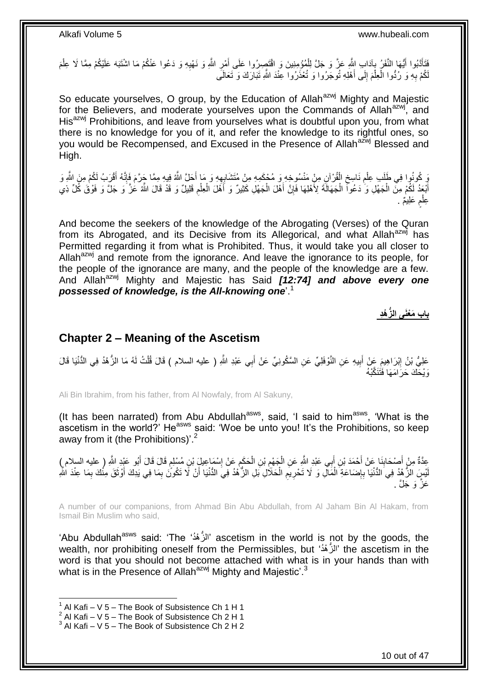ِ فَتَأَدَّبُوا أَيُّهَا النَّفَرُ بِآدَابِ ابِثَّهِ عَزَّ وَ جَلَّ لِلْمُؤْمِنِينَ وَ اقْتَصِرُوا عَلَى أَمْرِ اللَّهِ وَ نَهْيِهِ وَ دَعُوا عَنْكُمْ مَا اشْتَبَهَ عَلَيْكُمْ مِمَّا لَا عِلْمَ **∶** َ ْ **∶** َ َ ْ لَّكُمْ بِهِ وَ رُدُّوا الْعِلْمَ إِلَى أَهْلِهِ تُوجَرُوا وَ تُعْذَرُوا عِنْدَ اللَّهِ تَبَارَكَ وَ تَعَالَى َ  $\frac{1}{2}$ ْ ْ **∶** 

So educate yourselves, O group, by the Education of Allah<sup>azwj</sup> Mighty and Majestic for the Believers, and moderate yourselves upon the Commands of Allah<sup>azwj</sup>, and His<sup>azwj</sup> Prohibitions, and leave from yourselves what is doubtful upon you, from what there is no knowledge for you of it, and refer the knowledge to its rightful ones, so you would be Recompensed, and Excused in the Presence of Allah<sup>azwj</sup> Blessed and High.

ُو ذُوا فِي طَلَبِ عِلْمِ نَاسِخِ الْقُرْآنِ مِنْ مَنْسُوخِهِ وَ مُحْكَمِهِ مِنْ مُتَشَابِهِهِ وَ مَا أَحَلَّ اللَّهُ فِيهِ مِمَّا جَرَّمَ فَإِنَّهُ أَقْرَبُ لَكُمْ مِنَ اللَّهِ وَ ْ ِ **ُ** ْ َ  $\frac{1}{2}$ َ ِ أَبْعَدُ لَكُمْ مِنَّ الْجَهْلِ وَ ٰ دَعُوآ الْجَهَالَةَ لِأَهْلِهَا فَإِنَّ أَهْلَ الْجَهْلِ كَثِيرٌ وَ أَهْلَ الْعِلْمِ قَلِيلٌ وَ قَدْ قَالَ اللَّهُ عَٰزَ ۖ وَ جَلَّ وَ فَوْقَ كُلِّ ذِي ِ ْ ْ َ ْ َ ِ ْ ْ عِلْمِ عَلِيمٌ . ٍ ْ

And become the seekers of the knowledge of the Abrogating (Verses) of the Quran from its Abrogated, and its Decisive from its Allegorical, and what Allah<sup>azwj</sup> has Permitted regarding it from what is Prohibited. Thus, it would take you all closer to Allah<sup>azwj</sup> and remote from the ignorance. And leave the ignorance to its people, for the people of the ignorance are many, and the people of the knowledge are a few. And Allah<sup>azwj</sup> Mighty and Majestic has Said *[12:74] and above every one possessed of knowledge, is the All-knowing one*'.<sup>1</sup>

**باب َم ْعَنى ال ُّز ْهِد**

### <span id="page-9-0"></span>**Chapter 2 – Meaning of the Ascetism**

عَلِيُّ بْنُ إِبْرَاهِيمَ عَنْ أَبِيهِ عَنِ النَّوْفَلِيِّ عَنِ السَّكُونِيِّ عَنْ أَبِي عَبْدِ اللَّهِ ( عليه السلام ) قَالَ قُلْتُ لَهُ مَا الزُّهْدُ فِي الدُّنْيَا قَالَ َ **!** َ ِ ْ وَيْحَكَ حَرَ امَهَا فَتَنَكَّبْهُ

Ali Bin Ibrahim, from his father, from Al Nowfaly, from Al Sakuny,

(It has been narrated) from Abu Abdullah<sup>asws</sup>, said, 'I said to him<sup>asws</sup>, 'What is the ascetism in the world?' He<sup>asws</sup> said: 'Woe be unto you! It's the Prohibitions, so keep away from it (the Prohibitions)'.<sup>2</sup>

عِدَّةٌ مِنْ أَصْحَابِذَا عَنْ أَحْمَدَ بْنِ أَبِي عَبْدِ اللَّهِ عَنِ الْجَهْمِ بْنِ الْحَكَمِ عَنْ إِسْمَاعِيلَ بْنِ مُسْلِمٍ قَالَ قَالَ أَبُو عَيْدِ اللَّهِ ( عليه السلام )<br>-**∣** َ َ ֧֧֖֧֖֧֖֧֧֧֧֧֧֧֧֧֧֧֧֚֚֚֓֝֝֝֝֝֟֓֝֓֬֝֓֝֬֟֓֟֓֝֬֟֓֟֓֝֬֝֬֝֓֟֓֝֬֜֝֬֝֓֝֬֝֓ ِ ِ ْ ِ ْ َ لْيْسٍ الزُّهْدُ فِي الدُّنْيَا بِإِضَاعَةِ الْمَآلِ وَ لَا تَحْرِيمِ الْحَلَالِ بَلِ الزُّهْدُ فِيَ الدُّنْيَا أَنْ لَا تَكُونَٰ بِمَا فِي يَدِكَ أَوْثَقَ مِنْكَ بِمَا عِنْدَ الثَّهِ ْ ِ **∶** ْ ِ ِ اً<br>ا ِ َ َ ِ َ عَزٌ وَ جَلَّ .

A number of our companions, from Ahmad Bin Abu Abdullah, from Al Jaham Bin Al Hakam, from Ismail Bin Muslim who said,

'Abu Abdullah<sup>asws</sup> said: 'The 'الْزُهْدُ' ascetism in the world is not by the goods, the wealth, nor prohibiting oneself from the Permissibles, but 'الْزُهْدُ' the ascetism in the word is that you should not become attached with what is in your hands than with what is in the Presence of Allah<sup>azwj</sup> Mighty and Majestic'.<sup>3</sup>

 $1$  Al Kafi – V 5 – The Book of Subsistence Ch 1 H 1

 $2$  Al Kafi – V 5 – The Book of Subsistence Ch 2 H 1

 $3$  Al Kafi – V 5 – The Book of Subsistence Ch 2 H 2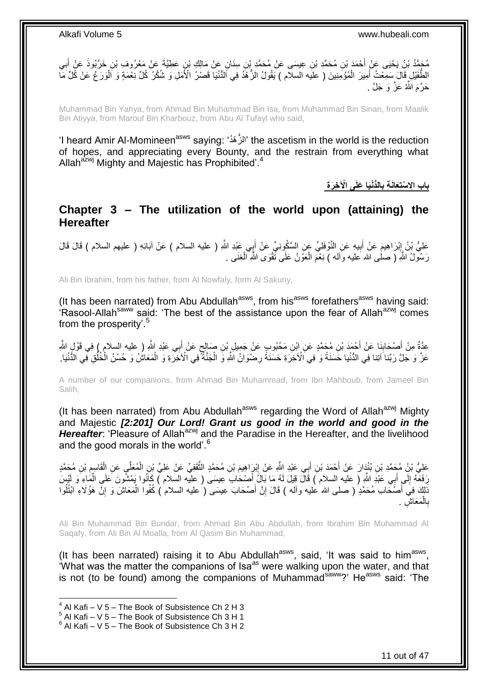مُحَمَّدُ بْنُ يَحْيَى عَنْ أَحْمَدَ بْنِ مُحَمَّدِ بْنِ عِيسَى عَنْ مُحَمَّدٍ بْنِ سِنَانٍ عَنْ مَالِكٍ بْنِ عَطِيَّةَ عَنْ مَعْرُوفِ بْنِ خَرَّبُوذَ عَنْ أَبِي<br>مُحَمَّدُ بَنُ يَحْيَى عَنْ أَحْمَدَ بْنِ مُحَمَّدِ بْنِ عِ **∶** َ الطُّفَيْلِ قَالَ سَمِعْتُ أَمِيرَ الْمُؤْمِنِينَ ( عليه السلام ) يَقُولُ الزُّهْدُ فِي أَلدُّنْيَا قَصْرُ الْأَمَلِ وَ شُكْرُ كُلِّ نِّعْمَةٍ وَ أَلْوَرَ عُ عَنْ كَلِّ مَا ْ َ ْ حَرَّ مَ اللَّهُ عَزُّ ۚ وَ ۖ جَلَّ .

Muhammad Bin Yahya, from Ahmad Bin Muhammad Bin Isa, from Muhammad Bin Sinan, from Maalik Bin Atiyya, from Marouf Bin Kharbouz, from Abu Al Tufayl who said,

'I heard Amir Al-Momineen<sup>asws</sup> saying: 'الْزُهْدُ' the ascetism in the world is the reduction of hopes, and appreciating every Bounty, and the restrain from everything what Allah<sup>azwj</sup> Mighty and Majestic has Prophibited'.<sup>4</sup>

> **الُّدْنَيا َعلَى اْْل ِخ َر ِة باب اِِل ْستِ َعاَن ِة ب ِ**

<span id="page-10-0"></span>**Chapter 3 – The utilization of the world upon (attaining) the Hereafter**

عَلِيُّ بْنُ إِبْرَاهِيمَ عَنْ أَبِيهِ عَنِ النَّوْفَلِيِّ عَنِ السَّكُونِيِّ عَنْ أَبِي عَبْدِ اللَّهِ ( عليه السلام ) عَنْ آبَائِهِ ( عليهم السلام ) قَالَ قَالَ َ **!** َ <u>֖֓</u> رَسُولُ اللَّهِ ( صلْمى الله َعليه وَاله ) نِعْمَ الْعَوْنُ عَلَى تَقْوَى اللَّهِ الْغِنَى . ْ ْ

Ali Bin Ibrahim, from his father, from Al Nowfaly, form Al Sakuny,

(It has been narrated) from Abu Abdullah<sup>asws</sup>, from his<sup>asws</sup> forefathers<sup>asws</sup> having said:  $\hat{H}$  Rasool-Allah<sup>saww</sup> said: 'The best of the assistance upon the fear of Allah<sup>azwj</sup> comes from the prosperity'.<sup>5</sup>

عِدَّةٌ مِنْ أَصْحَابِنَا عَنْ أَحْمَدَ بْنِ مُحَمَّدٍ عَنِ ابْنِ مَحْبُوبٍ عَنْ جَمِيلٍ بْنِ صَالِحٍ عَنْ أَبِي عَبْدِ اللَّهِ ( عليه السلام ) فِي قَوْلٍ اللَّهِ َ ٍ َ **∣** عَزَّ وَ جَلَّ رَبَّنا َاتِنا فِي الدُّنْيا حَسَنَةً وَ فِي اَلْآخِرَةِ حَسَنَةً رِضْوَانُ اللَّهِ وَ الْجَنَّةَ فِي الْأَخِرَةِ وَ الْمَعَاشُ وَ حُسْنُ الْخُلُقِ فِي الثُّنْيَا. ْ ِ ا<br>ا ْ

A number of our companions, from Ahmad Bin Muhammad, from Ibn Mahboub, from Jameel Bin Salih,

(It has been narrated) from Abu Abdullah<sup>asws</sup> regarding the Word of Allah<sup>azwj</sup> Mighty and Majestic *[2:201] Our Lord! Grant us good in the world and good in the Hereafter*: 'Pleasure of Allah<sup>azwj</sup> and the Paradise in the Hereafter, and the livelihood and the good morals in the world'.<sup>6</sup>

عَلِيُّ بْنُ مُجَمَّدِ بْنِ بُنْذٍارَ عَنْ أَحْمَدَ بْنِ أَبِي عَبْدِ اللَّهِ عَنْ إِبْرَاهِيمَ بْنِ مُحَمَّدٍ الثَّقَفِيِّ عَنْ عَلِيٍّ بْنِ الْمُعَلَّي عَنِ الْقَاسِمِ بْنِ مُحَمَّدٍ َّ  $\frac{1}{2}$ َ َ ِ ْ ْ رَفَعَهُ إِلَى أَبِي عَنْدِ اللَّهِ ( عليه السلام ) قَالَ قِيلَ لَهُ مَا بَالَ أَصْحَابَ عِيسَى ( عِلْيه السلام ) كَانُوا بَمْشُونَ عَلَى الْمَاءِ وَ لَيْسَ َ َ יִי<br>; ْ ذَلِكَ فِي أَصْحَابِ مُحَمَّدٍ ( صلى الله عليه وأله ) قَالَ إِنَّ أَصْحَابَ عِيسَى ( عليه السلام ) كُفُوا الْمَعَاشَ وَ إِنَّ هَؤُلَاءِ ابْتُلُوا َ ِ َ :<br>نا اُ ِ ْ بِالمَعَاشِ <sub>.</sub> ْ **∶** 

Ali Bin Muhammad Bin Bundar, from Ahmad Bin Abu Abdullah, from Ibrahim Bin Muhammad Al Saqafy, from Ali Bin Al Moalla, from Al Qasim Bin Muhammad,

(It has been narrated) raising it to Abu Abdullah<sup>asws</sup>, said, 'It was said to him<sup>asws</sup>, 'What was the matter the companions of Isa<sup>as</sup> were walking upon the water, and that is not (to be found) among the companions of Muhammad<sup>saww</sup>?' He<sup>asws</sup> said: 'The

 $<sup>4</sup>$  Al Kafi – V 5 – The Book of Subsistence Ch 2 H 3</sup>

 $5$  Al Kafi – V 5 – The Book of Subsistence Ch 3 H 1

 $6$  Al Kafi – V 5 – The Book of Subsistence Ch 3 H 2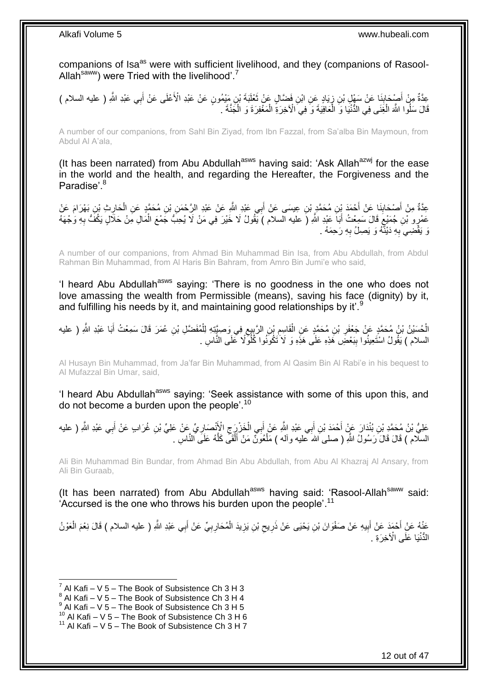companions of Isa<sup>as</sup> were with sufficient livelihood, and they (companions of Rasool-Allah<sup>saww</sup>) were Tried with the livelihood'.<sup>7</sup>

عِدَّةٌ مِنْ أَصْحَابِنَا عَنْ سَهْلٍ بْنِ زِيَادٍ عَنِ ابْنِ فَضَّالٍ عَنْ تَعْلَيَةَ بْنِ مَيْمُونٍ عَنْ عَبْدِ الْأَعْلَى عَنْ أَبِي عَبْدِ اللَّهِ ( عليه السلام ) َ ¦ ِ َ َ قَالَ سَلُوا اللَّهَ الْغِنَى فِي الدُّنْيَا وَ الْعَافِيَةَ وَ فِي الْأَخِرَةِ الْمَغْفِرَةَ وَ الْجَنَّةَ . ْ ْ ْ ْ

A number of our companions, from Sahl Bin Ziyad, from Ibn Fazzal, from Sa'alba Bin Maymoun, from Abdul Al A'ala,

(It has been narrated) from Abu Abdullah<sup>asws</sup> having said: 'Ask Allah<sup>azwj</sup> for the ease in the world and the health, and regarding the Hereafter, the Forgiveness and the Paradise<sup>'8</sup>

َ عِدَّةٌ مِنْ أَصْحَابِذَا عَنْ أَحْمَدَ بِنِ مُحَمَّدٍ بْنِ عِيسَى عَنْ أَبِي عَبْدِ الثَّهِ عَنْ عَبْدِ الرَّحْمَنِ بْنِ مُحَمَّدٍ عَنِ الْحَارِثِ بْنِ بَهْرَامَ عَنْ **∣** َ ِ ْ عَمْرٍو بْنِ جُمَيْعٍ قَالَ سَمِعْتُ أَبَاَ عَبْدِ اللَّهِ (َ عليه السلام ) يَّقُولُ لَا خَيْرَ فِي مَنْ لَا يُحِبَّ جَمْعَ الْمَالِ مَِنْ حَلَالٍ يَكُفُّ بِهِ وَجْهَهُ ْ َ ٍ **∶** رَ يَقْضِيَ بِهِ دَيْنَّهُ وَ يَصِلُ بِهِ رَحِمَهُ . **∶ ∶** 

A number of our companions, from Ahmad Bin Muhammad Bin Isa, from Abu Abdullah, from Abdul Rahman Bin Muhammad, from Al Haris Bin Bahram, from Amro Bin Jumi'e who said,

'I heard Abu Abdullah<sup>asws</sup> saying: 'There is no goodness in the one who does not love amassing the wealth from Permissible (means), saving his face (dignity) by it, and fulfilling his needs by it, and maintaining good relationships by it'.<sup>9</sup>

ِ الْحُسَيْنُ بْنُ مُحَمَّدٍ عَنْ جَعْفَرِ بْنِ مُحَمَّدٍ عَنِ الْقَاسِمِ بْنِ الرَّبِيعِ فِي وَصِيَّتِهِ لِلْمُفَضَّلِ بْنِ عُمَرَ قَالَ سَمِعْتُ أَبَا عَبْدِ اللَّهِ ( عليه ْ َ ْ ِ ِ ِ ْ السلام ) يَقُولُ اسْتَعِينُوا بِبَعْضَ هَذِهِ عَلَى هَذِهِ وَ لَا َتَكُونُوا كُلُوٍّ لَا عَلَى الذَّاسِ .  $\frac{1}{2}$ 

Al Husayn Bin Muhammad, from Ja'far Bin Muhammad, from Al Qasim Bin Al Rabi'e in his bequest to Al Mufazzal Bin Umar, said,

'I heard Abu Abdullah<sup>asws</sup> saying: 'Seek assistance with some of this upon this, and do not become a burden upon the people'.<sup>10</sup>

عَلِيُّ بْنُ مُحَمَّدِ بْنِ بُنْدَارَ عَنْ أَحْمَدَ بْنِ أَبِي عَبْدِ اللَّهِ عَنْ أَبِي الْخَزْرِِّ جِ الْإِنْصَارِ يِّ عَنْ عَلِيِّ بْنِ غُرَابٍ عَنْ أَبِي عَبْدِ اللَّهِ ( عليه َ ِ ِ ْ َ َ َ السلّام ) قَالَ قَالَ َرَسُولُ اللَّهِ ( صلى َاللهَ عليه وآله ) مَلْعُوَنَّ مَنْ أَلْقَى كَلَّهُ عَلَى النَّاسِ َّ ْ َ ْ

Ali Bin Muhammad Bin Bundar, from Ahmad Bin Abu Abdullah, from Abu Al Khazraj Al Ansary, from Ali Bin Guraab,

(It has been narrated) from Abu Abdullah<sup>asws</sup> having said: 'Rasool-Allah<sup>saww</sup> said: Accursed is the one who throws his burden upon the people'.<sup>11</sup>

عَنْهُ عَنْ أَحْمَدَ عَنْ أَبِيهِ عَنْ صَفْوَانَ بْنِ يَحْيَى عَنْ ذَرِيحِ بْنِ يَزِيدَ الْمُحَارِبِيِّ عَنْ أَبِي عَبْدِ اللَّهِ ( عليه السلام ) قَالَ نِعْمَ الْعَوْنُ<br>\* َ **∶ ∶** ْ **ٍ**  $\zeta$ **ٍ !** َ َ ْ الْدُّنْيَا عَلَى الْآخِرَةِ .

<sup>7</sup> Al Kafi – V 5 – The Book of Subsistence Ch 3 H 3

 $8$  Al Kafi – V 5 – The Book of Subsistence Ch 3 H 4

 $^9$  Al Kafi – V 5 – The Book of Subsistence Ch 3 H 5

 $^{10}$  Al Kafi – V 5 – The Book of Subsistence Ch 3 H 6

 $11$  Al Kafi – V 5 – The Book of Subsistence Ch 3 H 7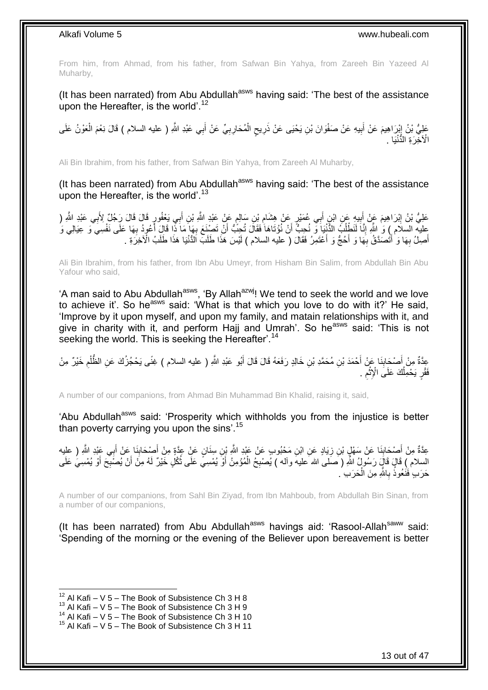From him, from Ahmad, from his father, from Safwan Bin Yahya, from Zareeh Bin Yazeed Al Muharby,

(It has been narrated) from Abu Abdullah<sup>asws</sup> having said: 'The best of the assistance upon the Hereafter, is the world'.<sup>12</sup>

ٍ عَلِيُّ بْنُ إِبْرَاهِيمَ عَنْ أَبِيهِ عَنْ صَفْوَانَ بْنِ يَحْيَى عَنْ ذَرِيحٍ الْمُحَارِبِيِّ عَنْ أَبِي عَبْدِ اللَّهِ ( عليه السلام ) قَالَ نِعْمَ الْعَوْنُ عَلَى ِ **!** َ ֦֦֦֦֦֦֦֦֧֦֧֦֧ׅ֧֦֧֦֧֦֧֦֧֦֧ׅ֧ׅ֧֦֧ׅ֧֧֧ׅ֧֧֚֚֚֚֚֚֚֚֚֚֚֚֚֚֚֚֚֚֚֚֚֚֚֝֝֝֝֝֝֝֝֝֜֜֜֜֜֜֜֜ ْ َ ِ ِ ْ الْآخِرَةِ النُّنْيَا .

Ali Bin Ibrahim, from his father, from Safwan Bin Yahya, from Zareeh Al Muharby,

(It has been narrated) from Abu Abdullah<sup>asws</sup> having said: 'The best of the assistance upon the Hereafter, is the world'. $13$ 

عَلِيُّ بْنُ اِبْرَاهِيمَ عَنْ أَبِيهِ عَنِ ابْنِ أَبِي عُمَيْرِ عَنْ هِشَامِ بْنِ سَالِمٍ عَنْ عَبْدِ اللَّهِ (<br>عَلِيُّ بْنُ اِبْرَاهِيمَ عَنْ أَبِيهِ مِنْ ابْنِ أَبِي عُمَيْرٍ عَنْ هِشَامِ بْنِ سَالِمٍ عَنْ عَبْدِ اللَّه َ ٍ ِ َ ِ َ <u>֖֓</u> عليه السلام ) وَ ٰ اللَّهِ إِنَّا لَنَطْلُبُ الدُّنْنِيَا وَّ نُحِبٌّ أَنْ نُوْتَاهَا ٰفَقَالَ تُحِبُّ أَنْ نَصْنَعَ بِهَا مَا ذًّا قَالَ أُعُودُ بِهَا عَلَى نَفْسِيَ وَ عِيَالِي وَ ِ َ َ ِ َ َ ٔ<br>ا َّ ِ أَصِلُ بِهَا وَ أَتَْصَدَّقُ بِهَا وَ أَحُجُّ وَ أَعْتَمِرُ فَقَالَ ( عليه السلام ) لَيْسَ هَذَا طَلَبٌ الْأُنْيَا هَذَا طَلَبُ الْأَخِرَةِ . َ َ **∶** ا<br>ا **∶** َ

Ali Bin Ibrahim, from his father, from Ibn Abu Umeyr, from Hisham Bin Salim, from Abdullah Bin Abu Yafour who said,

'A man said to Abu Abdullah<sup>asws</sup>, 'By Allah<sup>azwj</sup>! We tend to seek the world and we love to achieve it'. So he<sup>asws</sup> said: 'What is that which you love to do with it?' He said. 'Improve by it upon myself, and upon my family, and matain relationships with it, and give in charity with it, and perform Haij and Umrah'. So he<sup>asws</sup> said: 'This is not seeking the world. This is seeking the Hereafter'.<sup>14</sup>

عِدَّةٌ مِنْ أَصْحَابِنَا عَنْ أَحْمَدَ بْنِ مُحَمَّدِ بْنِ خَالِدٍ رَفَعَهُ قَالَ قَالَ أَبُو عَبْدِ اللَّهِ ( عليه السلام ) غِنًى يَحْجُزُكَ عَنِ الظَّلْمِ خَيْرٌ مِنْ َ َ ِ َ ِ ْ فَقْرٍ يَحْمِلُكَ عَلَى الْإِثْمِ . ِ ْ اُ

A number of our companions, from Ahmad Bin Muhammad Bin Khalid, raising it, said,

'Abu Abdullah<sup>asws</sup> said: 'Prosperity which withholds you from the injustice is better than poverty carrying you upon the sins'.<sup>15</sup>

عِدَّةٌ مِنْ أَصْحَابِنَا عَنْ سَهْلٍ بْنِ زِيَادٍ عَنِ ابْنِ مَحْبُوبٍ عَنْ عَبْدِ اللَّهِ بْنِ سِنَانٍ عَنْ عِنْةٍ مِنْ أَصِحَابِنَا عَنْ أَبِي عَبْدِ اللَّهِ ( عليه **∶** ِ َ َ **∶** َ َ السلام ) قَالٍ قَالٍَ رَسُولٍ ُ اللَّهِ ( َصَلَى الله عليه وآله ) يُصْبِحُ الْمُؤْمِنُ أَوْ يُمْسِيَّ عَلَى ثُكْلِ خَيْرٌ لَهُ مِنَ أَنْ يُصَبِّحَ أَوْ يُمْسِيَّ عَلَى ُ َ ْ **∶** َ ِ حَرَبٍ ٰ فَنَْعُوذُ بِاللَّهِ مِنَ الْحَرَبِ ۢ ْ **∶** 

A number of our companions, from Sahl Bin Ziyad, from Ibn Mahboub, from Abdullah Bin Sinan, from a number of our companions,

(It has been narrated) from Abu Abdullah $^{asws}$  havings aid: 'Rasool-Allah $^{saww}$  said: 'Spending of the morning or the evening of the Believer upon bereavement is better

 $12$  Al Kafi – V 5 – The Book of Subsistence Ch 3 H 8

 $13$  Al Kafi – V 5 – The Book of Subsistence Ch 3 H 9

 $^{14}$  Al Kafi – V 5 – The Book of Subsistence Ch 3 H 10

 $15$  Al Kafi – V 5 – The Book of Subsistence Ch 3 H 11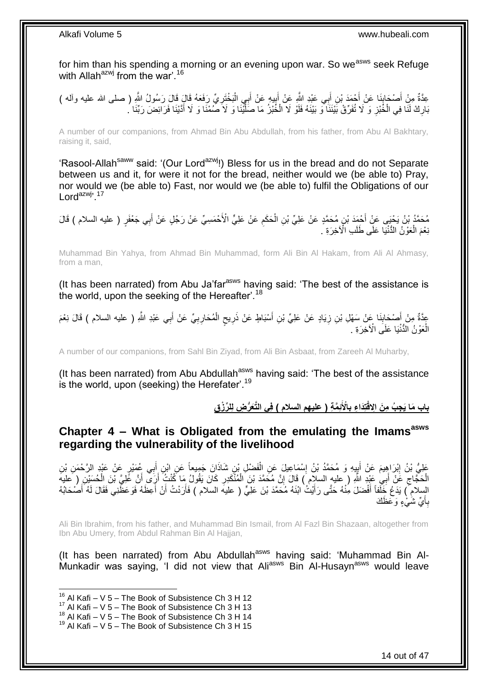for him than his spending a morning or an evening upon war. So we<sup>asws</sup> seek Refuge with Allah $^{azwj}$  from the war'.<sup>16</sup>

ِ عِدَّةٌ مِنْ أَصْحَابِنَا عَنْ أَحْمَدَ بْنِ أَبِي عَيْدِ اللَّهِ عَنْ أَبِي الْمَخْتَرِيِّ رَفَعَهُ قَالَ قَالَ رَسُولُ اللَّهِ ( صلى الله عليه وأله )<br>عِدَّةٌ مِنْ أَصَـٰحَابِنَا عَنْ أَحْمَدَ بْنِ أَبِي عَبْدِ اللَّهِ عَ َ ِ ْ َ **⊥** َ َ َ بَارِكْ لَنَا فِي الْخُبْزِ وَ لَا تُفَرِّقْ بَيْنَنَا ۖ وَ بَيْنَهُ فَلَوْ لَا الْخُبْزُ مَا صَلَّيْنَا وَ لَا صَمْنَا وَ لَا أَدَّيْنَا فَرَائِضَ رَبِّنَا ۢ َّ **∶** ِ َ

A number of our companions, from Ahmad Bin Abu Abdullah, from his father, from Abu Al Bakhtary, raising it, said,

'Rasool-Allah<sup>saww</sup> said: '(Our Lord<sup>azwj</sup>!) Bless for us in the bread and do not Separate between us and it, for were it not for the bread, neither would we (be able to) Pray, nor would we (be able to) Fast, nor would we (be able to) fulfil the Obligations of our Lord<sup>azwj, 17</sup>

مُحَمَّدُ بْنُ يَحْيَى عَنِْ أَحْمَدَ بْنِ مُحَمَّدٍ عَنْ عَلِيِّ بْنِ الْحَكَمِ عَنْ عَلِيٍّ الْأَحْمَسِيِّ عَنْ رَجُلٍ عَنْ أَبِي جَعْفَرٍ ( عليه السلام ) قَالَ<br>. ْ َ ِ نِعْمَ الْعَوْنُ الدُّنْيَا عَلَى طَلَبِ الْأخِرَةِ ۚ. ْ

Muhammad Bin Yahya, from Ahmad Bin Muhammad, form Ali Bin Al Hakam, from Ali Al Ahmasy, from a man,

(It has been narrated) from Abu Ja'far<sup>asws</sup> having said: 'The best of the assistance is the world, upon the seeking of the Hereafter'.<sup>18</sup>

عِدَّةٌ مِنْ أَصْحَابِنَا عَنْ سَهْلِ بْنِ زِيَادٍ عَنْ عَلِيِّ بْنِ أَسْبَاطٍ عَنْ ذَرِيحٍ الْمُحَارِبِيِّ عَنْ أَبِي عَبْدِ اللَّهِ ( عليه السلام ) قَالَ نِعْمَ َ ِ **∶** ْ ٍ **ٍ** ِ ِ الْعَوْنُ الدُّنْيَا عَلَى الْأَخِرَةِ . ْ

A number of our companions, from Sahl Bin Ziyad, from Ali Bin Asbaat, from Zareeh Al Muharby,

(It has been narrated) from Abu Abdullah<sup>asws</sup> having said: 'The best of the assistance is the world, upon (seeking) the Herefater'.<sup>19</sup>

> باب مَا يَجِبُ مِنَ الِاقْتِدَاعِ بِالْأَنِمَّةِ ( عليهم السلام ) فِى التَّعَرُّضِ لِلرِّزْقِ **ِ**

### <span id="page-13-0"></span>**Chapter 4 – What is Obligated from the emulating the Imamsasws regarding the vulnerability of the livelihood**

عَلِيُّ بْنُ إِبْرَاهِيمَ عَنْ أَبِيِهِ وَ مُحَمَّدُ بْنُ إِسْمَاعِيلَ عَنِ الْفَضْلِ بْنِ شَاذَانَ جَمِيعاً عَنِ ابْنِ أَبِي عُمَيْرٍ عَنْ عَبْدِ الرَّحْمَنِ بْنِ َ ْ ِ ِ ِ الْحَجَّاجِ عََنْ أَبِي عَيْدِ اللَّهِ ( عليهِ السلام ) قَالَ إِنَّ مُحَمَّدَ بْنَ الْمُنْكَدِرِ كَانَ يَقُولُ مَا كُنْتُ أَرَى أَنَّ عَلِيَّ بْنَ الْحُسَيْنِ ( عَليه َ ِ ْ َ اً **∶** ْ ِ الِسلام ۖ) يَدَعُ خَلَفاً أَفْضَلَ مِنْهُ حَتَّى رَأَيْتُ ٰابْنَهُ مُحَمَّدَ بْنَ عَلِيٍّ ( عليه السلام ) فَأَرَدْتُ أَنْ أَعِظَهُ فَوَعَظَنِي فَقَالَ لَهُ أَصْحَابُهُ َ َ َ َ َ َ لَ بِأَيِّ شَيْءٍ وَعَظَكَ َ أ **∶** 

Ali Bin Ibrahim, from his father, and Muhammad Bin Ismail, from Al Fazl Bin Shazaan, altogether from Ibn Abu Umery, from Abdul Rahman Bin Al Hajjan,

(It has been narrated) from Abu Abdullah<sup>asws</sup> having said: 'Muhammad Bin Al-Munkadir was saying, 'I did not view that Ali<sup>asws</sup> Bin Al-Husayn<sup>asws</sup> would leave

 $16$  Al Kafi – V 5 – The Book of Subsistence Ch 3 H 12

 $17$  Al Kafi – V 5 – The Book of Subsistence Ch 3 H 13

 $18$  Al Kafi – V  $5$  – The Book of Subsistence Ch 3 H 14

 $19$  Al Kafi – V 5 – The Book of Subsistence Ch 3 H 15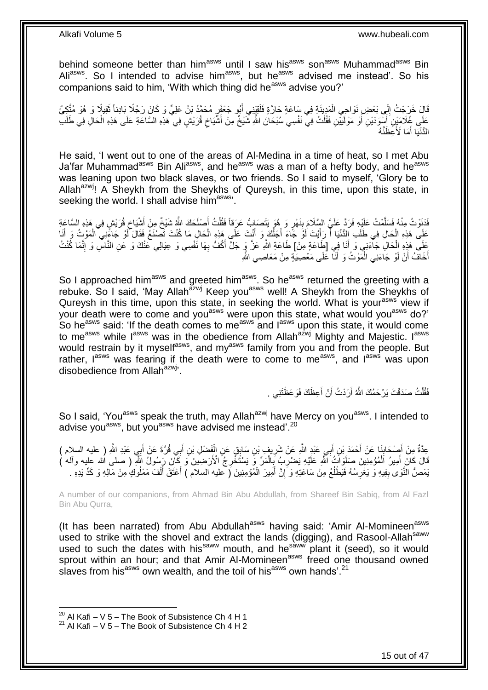behind someone better than him<sup>asws</sup> until I saw his<sup>asws</sup> son<sup>asws</sup> Muhammad<sup>asws</sup> Bin Aliasws. So I intended to advise him<sup>asws</sup>, but he<sup>asws</sup> advised me instead'. So his companions said to him, 'With which thing did he<sup>asws</sup> advise you?'

قَالَ خَرَجْتُ إِلَى بَعْضِ نَوَاحِي الْمَدِينَةِ فِي سَاعَةٍ خَارَّةٍ فَلَقِيَنِي أَبُو جَعْفَوٍ مُحَمَّدُ بْنُ عَلِيٍّ وَ كَانَ رَجُلًا بَادِناً ثَقِيلًا وَ هُوَ مُتَّكِيٍّ َ ْ ∣∣<br>∶ َ عَلَى غُلَامَيْنِ َأَسْوَدَيْنِ أَوْ مَوْلَيَيْنِ فَقُلْتُ فِي نَفْسِي سُبْحَانَ اللَّهِ شَيْخٌ مِنْ أَشَّيَاخِ قُرَيْشٍ فِي هَذِهِ السَّاعَةِ عَلَى هَذِهِ الْحَالِ فِي طَلَبِ<br>وفي السَّاعَةِ عَلَى هَذِهِ الْحَالِ فِي ظَلَ  $\zeta$ َ ْ َ َ ْ الْذُّنْيَا أَمَا لَأُعِظَنَّهُ َ

He said, 'I went out to one of the areas of Al-Medina in a time of heat, so I met Abu Ja'far Muhammad<sup>asws</sup> Bin Ali<sup>asws</sup>, and he<sup>asws</sup> was a man of a hefty body, and he<sup>asws</sup> was leaning upon two black slaves, or two friends. So I said to myself, 'Glory be to Allah<sup>azwj</sup>! A Sheykh from the Sheykhs of Qureysh, in this time, upon this state, in seeking the world. I shall advise him<sup>asws</sup>'.

فَدَنَوْتُ مِنْهُ فَسَلَّمْتُ عَلَيْهِ فَرَدَّ عَلَيَّ السَّلَامَ بِنَهْرٍ وَ هُوَ يَتَصَبَابُّ عَرَفَاً فَقُلْتُ أَصْلَحَكَ اللَّهُ شَيْخٌ مِنْ أَشْيَاخٍ قُرَيْشٍ فِي هَذِهِ السَّاعَةِ َ ْ **!** َّ ِ َ عَلَى هَذِهِ الْحَالِ فِي طَلَبِ الِدُّنْيَا أَ رَأَيْتَ لَوْ جََاءِ أَجَلُكَ وَ أَنْتَ عَلَى هَذِهِ الْحَالِ مَا كُنْتَ تَصْنَعُ فَقَالَ لَوْ جَاءَنِي الْمَوْثُ وَ أَنَا ْ َ اُ َ َ َ ْ َ ْ عَلَى هَذِهِ الْحَالِ جَاءَنِي وَ أَنَا فِي [طَاعَةٍ مِنْ] طَاعَةِ اللَّهِ عَزَّ وٍَ جَلَّ أَكُفُّ بِهَا نَّفْسِي وَ عِيَالِي عَنْكَ وَ عَنِ النَّاسِ وَ إِنَّمَا كُنْتُ َ ْ ِ ِ َ أَخَافُ أَنْ لَوْ جَاءَنِي الْمَوْثُ وَ أَنَا عَلَى مَعْصِيَةٍ مِنْ مَعَاصِي اللَّهِ َ ْ َ َ

So I approached him<sup>asws</sup> and greeted him<sup>asws</sup>. So he<sup>asws</sup> returned the greeting with a rebuke. So I said, 'May Allah<sup>azwj</sup> Keep you<sup>asws</sup> well! A Sheykh from the Sheykhs of Qureysh in this time, upon this state, in seeking the world. What is your<sup>asws</sup> view if your death were to come and you<sup>asws</sup> were upon this state, what would you<sup>asws</sup> do?' So he<sup>asws</sup> said: 'If the death comes to me<sup>asws'</sup> and l<sup>asws</sup> upon this state, it would come to me<sup>asws</sup> while I<sup>asws</sup> was in the obedience from Allah<sup>azwj</sup> Mighty and Majestic. I<sup>asws</sup> would restrain by it myself<sup>asws</sup>, and my<sup>asws</sup> family from you and from the people. But rather,  $I^{asws}$  was fearing if the death were to come to me<sup>asws</sup>, and  $I^{asws}$  was upon disobedience from Allah<sup>azwj</sup>'.

> فَقُلْتُ صَدَقْتَ يَرْحَمُكَ اللَّهُ أَرَدْتُ أَنْ أَعِظَكَ فَوَعَظْتَنِي . َ َ ْ

So I said, 'You<sup>asws</sup> speak the truth, may Allah<sup>azwj</sup> have Mercy on you<sup>asws</sup>. I intended to advise you<sup>asws</sup>, but you<sup>asws</sup> have advised me instead'.<sup>20</sup>

عِدَّةٌ مِنْ أَصْحَابِنَا عَنْ أَحْمَدَ بْنِ أَبِي عَبْدِ اللَّهِ عَنْ شَرِيفٍ بْنِ سَابِقٍ عَنِ الْفَضْلِ بْنِ أَبِي قُرَّةَ عَنْ أَبِي عَبْدِ اللَّهِ ( عليه السلام )<br>-َ ْ ِ َ َ **ِ** َ َ قَالَ كَانَ ِ أَمِيرُ ۖ اَلْمُؤْمِنِينَ صَلَوَاتٍُ اللَّهِ عَلَيْهِ يَصْرِبُ بِّبِالْمَرِّ ۖ وَ يَسْتَخْرِجُ ۖ الْأَرَضِينَ ۖ وَ كَانَ رَبِسُولَ ۖ اللَّهِ ۖ ( صلى الله عليه وآله ) **ٍ** ْ ِ **∶** ْ َ يَمَصُّ الَّذَى بِفِيهِ وَ يَغْرِسُهُ فَيَطْلُعُ مِنْ سَاعَتِهِ وَ إِنَّ أَمِيرَ الْمُؤْمِنِينَ ( عليه السلام ) أَعْتَقَ أَلْفَ مَمْلُوكٍ مِنْ مَالِهِ وَ كَدِّ يَدِهِ َ **׀** ا<br>ا ِ ِ ْ َ َ ْ

A number of our companions, from Ahmad Bin Abu Abdullah, from Shareef Bin Sabiq, from Al Fazl Bin Abu Qurra,

(It has been narrated) from Abu Abdullah<sup>asws</sup> having said: 'Amir Al-Momineen<sup>asws</sup> used to strike with the shovel and extract the lands (digging), and Rasool-Allah<sup>saww</sup> used to such the dates with his<sup>saww</sup> mouth, and he<sup>saww</sup> plant it (seed), so it would sprout within an hour; and that Amir Al-Momineen<sup>asws</sup> freed one thousand owned slaves from his<sup>asws</sup> own wealth, and the toil of his<sup>asws</sup> own hands'.<sup>21</sup>

 $^{20}$  Al Kafi – V 5 – The Book of Subsistence Ch 4 H 1

 $21$  Al Kafi – V 5 – The Book of Subsistence Ch 4 H 2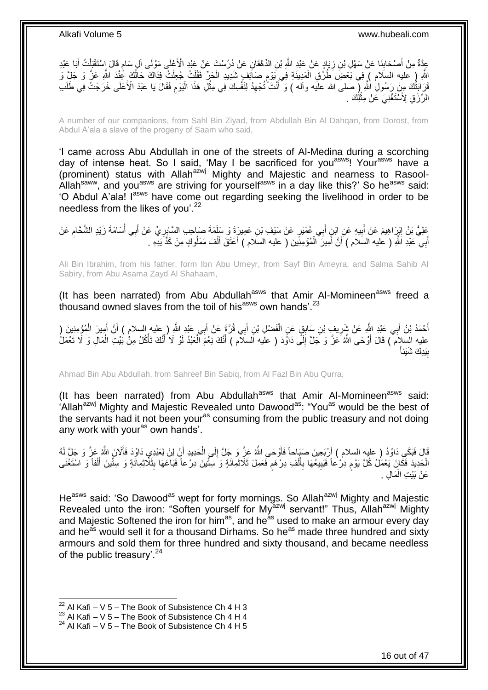عِدَّةٌ مِنْ أَصْحَابِنَا عَنْ سَهْلِ بْنِ زِيَادٍ عَنْ عَبْدِ اللَّهِ بْنِ الدِّهْقَانِ عَنْ دُرُسْتَ عَنْ عَبْدِ الْأَعْلَى مَوْلَى آلِ سَامٍ قَالَ إِسْتَقْتِلْتُ أَبَا عَبْدِ ِ ِ ْ ֖֖֖֖֖֖֦֚֚֚֚֚֚֚֚֚֚֚֚֚֚֬֝֟׆֧ َ اللَّهِ ( عَليه السلام ) فِي بَعْضِ ۖ ظُرُقِ الْمَدِينَةِ فِي بَوْمٍ صَاَئِفٍ شَدِيدِ الْحَرِّ فَقُلْتُ جُعِلْتُ فِدَاكَ حَالُكَ عُنْدَ اللَّهِ عَزَّ وَ جَلِّ وَ اُ ْ ْ ْ ٍ ْ قَرَابَتُكَ مِنْ رَسُولِ اللَّهِ إِ صلى الله علَيه وآله ) وَ أَنْتَ ُتُجْهِدُ لِنَفْسِكَ فِي مِثْلِ هَذَا الْبَوْمِ فَقَالَ يَا عَبْدَ الْأَعْلَى خَرَجْتُ فِي طَلَب ِ َ ِ ْ **ٔ** الرِّرْقِ لِأَسْتَغْنِيَ عَنْ مِثْلِكَ . ْ

A number of our companions, from Sahl Bin Ziyad, from Abdullah Bin Al Dahqan, from Dorost, from Abdul A'ala a slave of the progeny of Saam who said,

'I came across Abu Abdullah in one of the streets of Al-Medina during a scorching day of intense heat. So I said, 'May I be sacrificed for you<sup>asws</sup>! Your<sup>asws</sup> have a (prominent) status with Allah<sup>azwj</sup> Mighty and Majestic and nearness to Rasool-Allah<sup>saww</sup>, and you<sup>asws</sup> are striving for yourself<sup>asws</sup> in a day like this?' So he<sup>asws</sup> said: 'O Abdul A'ala! I<sup>asws</sup> have come out regarding seeking the livelihood in order to be needless from the likes of you'.<sup>22</sup>

عَلِيُّ بْنُ إِبْرَاهِيمَ عَنْ أَبِيهِ عَنِ اِبْنِ أَبِي عُمَيْرٍ عَنْ سَيْفِ بْنِ عَمِيرٍ ةَ وَ سَلَمَةَ صَاحِبِ السَّابِرِيِّ عَنْ أَبِي أَسَامَةَ زَيْدٍ الشَّحَّامِ عَنْ<br>أَحْسَنُ الْبَيْنُ إِبْرَاهِيمَ عَنْ أَبِيهِ عَنِ ِ َ **!** َ ِ ِ ُ َ أَبِي عَبْدِ اَشَّهِ ( عليه السَلام ) أَنَّ أَمِيرَ ۚ الْمُؤْمِنِّينَ ( عليه السَلام ) أَعْتَقَ أَلْفَ مَمْلُوكٍ مِنْ كَذَّ يَدِهِ . َ ْ َ اً َ ُ ْ َ

Ali Bin Ibrahim, from his father, form Ibn Abu Umeyr, from Sayf Bin Ameyra, and Salma Sahib Al Sabiry, from Abu Asama Zayd Al Shahaam,

(It has been narrated) from Abu Abdullah $a<sup>asws</sup>$  that Amir Al-Momineen $a<sup>asws</sup>$  freed a thousand owned slaves from the toil of his<sup>asws</sup> own hands'.<sup>23</sup>

أَحْمَدُ بْنُ أَبِي عَنِدٍ اللَّهِ عَنْ شَرِيفٍ بْنِ سَابِقٍ عَنِ الْفَضْلِ بْنِ أَبِي قُرَّةٍ عَنْ أَبِي عَبْدِ اللَّهِ ( عليه السلام ) أَنَّ أَمِيرَ الْمُؤْمِنِينَ ( َ َ ْ **∶** َ َ ْ َ َ عليه السلام ) قَالَ أَوْحَى اللَّهُ عَنَّ وَ جَلَّ إِلَى دَاوَدَ ( عليه السلام ) أَنَّكَ نِعْمَ الْعَبْدُ لَوْ لَا أَنَّكَ تَأْكُلُ مِنْٰ بَيْتِ الْمَالِ وَ لَا تَعْمَلُ ْ ْ َ ْ َ ِ يَدِكَ شَيْئاً **∣** ب

Ahmad Bin Abu Abdullah, from Sahreef Bin Sabiq, from Al Fazl Bin Abu Qurra,

(It has been narrated) from Abu Abdullah $a<sup>asws</sup>$  that Amir Al-Momineen $a<sup>asws</sup>$  said: 'Allah<sup>azwj</sup> Mighty and Majestic Revealed unto Dawood<sup>as</sup>: "You<sup>as</sup> would be the best of the servants had it not been your<sup>as</sup> consuming from the public treasury and not doing any work with your<sup>as</sup> own hands'.

قَالَ فَبَكَي دَاوُدُ ( عليه السلام ) أَرْبَعِينَ صَيَبِاحاً فَأَوْحَىِ اللَّهُ عَزَّ وَ جَلَّ إِلَى الْحَدِيدِ أَنْ لِنْ لِعَبْدِيِ دَاوُدَ فَأَلَانَ اللَّهُ عَزَّ وَ جَلَّ لَهُ اُ ْ ِ َ اُ َ الْحَدِيدَ فَكَانَ يَعْمَلُ كُلَّ يَوْم دِرْعاً فَيَبِيعُهَا بِأَلْفِ دِرْهَم فَعَمِلَ ثَلَاثَمِائَةٍ وَ سِتّينَ دِرْعاً فَبَاعَهَا بِثَلَاثِمِائَةٍ وَ سِتّينَ أَلْفاً وَ اسْتَغْنَى ٍ ْ َ  $\frac{1}{2}$ َ ֧֧֧֧֧֧֧֧֧֓֝֟֓֝֓֝֬֟֓֝֓֝֓֟֓֟֓֓֟֓<del>֛</del> ْ َ **∶ !** عَنْ بَيْتِ الْمَالِ . ْ

He<sup>asws</sup> said: 'So Dawood<sup>as</sup> wept for forty mornings. So Allah<sup>azwj</sup> Mighty and Majestic Revealed unto the iron: "Soften yourself for My<sup>azwj</sup> servant!" Thus, Allah<sup>azwj</sup> Mighty and Majestic Softened the iron for him<sup>as</sup>, and he<sup>as</sup> used to make an armour every day and he<sup>as</sup> would sell it for a thousand Dirhams. So he<sup>as</sup> made three hundred and sixty armours and sold them for three hundred and sixty thousand, and became needless of the public treasury'.<sup>24</sup>

<sup>&</sup>lt;sup>22</sup> Al Kafi – V 5 – The Book of Subsistence Ch 4 H 3

 $^{23}$  Al Kafi – V 5 – The Book of Subsistence Ch 4 H 4

 $24$  Al Kafi – V 5 – The Book of Subsistence Ch 4 H 5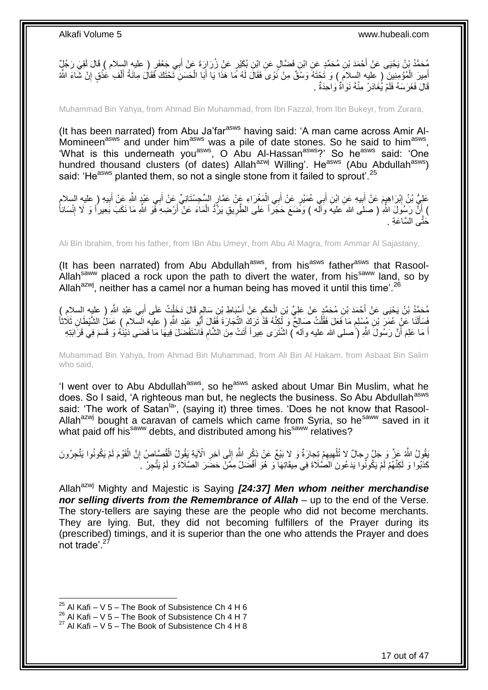مُحَمَّدُ بْنُ يَحْيَى عَنْ أَحْمَدَ بْنِ مُحَمَّدٍ عَنِ ابْنِ فَضَّالٍ عَنِ ابْنِ بُكَيْرٍ عَنْ زُرَارٍةَ عَنْ أَبِي جَعْفَرٍ ( عليه السلام ) قَالَ أَقِيَ رَجُلٌٍ َ أَمِيرَ الْمُؤْمِنِينَ ۚ ( عَليه السلام ) وَ تَحْتَهُ وَسْقٌ مِنْ نَوَىَ فَقَالَ لَهُ مِّا هَذَا يَا أَبَا الْحَسَنِ تَحْتَكَ فَقَالَ مِائَةُ أَلْفِ عَنْقٍ إِنْ شَاءَ اللَّهُ ْ َ ْ ِ **ٔ** ْ َ قَالَ فَغَرَسَهُ فَلَمْ يُغَادَرْ مِنْهُ نَوَاةٌ وَاحِدَةٌ .

Muhammad Bin Yahya, from Ahmad Bin Muhammad, from Ibn Fazzal, from Ibn Bukeyr, from Zurara,

(It has been narrated) from Abu Ja'far<sup>asws</sup> having said: 'A man came across Amir Al-Momineen<sup>asws</sup> and under him<sup>asws</sup> was a pile of date stones. So he said to him<sup>asws</sup>, What is this underneath you<sup>asws</sup>, O Abu Al-Hassan<sup>asws</sup>?' So he<sup>asws</sup> said: 'One hundred thousand clusters (of dates) Allah<sup>azwj</sup> Willing'. He<sup>asws</sup> (Abu Abdullah<sup>asws</sup>) said: 'He<sup>asws</sup> planted them, so not a single stone from it failed to sprout'.<sup>25</sup>

عَلِيُّ بْنُ إِبْرَاهِيمَ عَنْ أَبِيهِ عَنِ ابْنِ أَبِي عُمَيْرٍ عَنْ أَبِي الْمَغْرَاءِ عَنْ عَمَّارٍ السِّحِسْتَانِيِّ عَنْ أَبِي عَيْدٍ النَّهِ عَنْ الْبَدِ ( عليه السلامِ ِ َ ِ ِ َ َ ْ َ َ ) أَنَّ رَسُولَ اللَّهِ ( صلى الله عليه وَالَّه ) وَصَّمَعَ حَجَراً عَلَى الطَّرِيقِ يَرْدُّ الْمَاءَ عَنْ أَرْضِهِ فَمَو اللَّهِ مَا نَكَبَ بَعِيراً وَ لَا إِنْسَاناً َ ْ **∶ ٔ** ِ<br>خَتَّ*ـ ا*لسَّاعَة

Ali Bin Ibrahim, from his father, from IBn Abu Umeyr, from Abu Al Magra, from Ammar Al Sajastany,

(It has been narrated) from Abu Abdullah<sup>asws</sup>, from his<sup>asws</sup> father<sup>asws</sup> that Rasool-Allah<sup>saww</sup> placed a rock upon the path to divert the water, from his<sup>saww</sup> land, so by Allah<sup>azwj</sup>, neither has a camel nor a human being has moved it until this time'.<sup>26</sup>

مُحَمَّدُ بْنُ يَحْيَى عَنْ أَحْمَدَ بْنِ مُحَمَّدٍ عَنْ عَلِيِّ بْنِ الْحَكَمِ عَنْ أَسْبَاطِ بْنِ سَالِمٍ قَالَ دَخَلْتُ عَلَى أَبِي عَبْدِ اللَّهِ ( عليه السلامِ )<br>يُسْتَمَدُّ بْنُ يَحْيَى عَنْ أَحْمَدَ بْنِ مُحَمَّدٍ ع َ ِ ْ َ َ ْ ٍ َفَسَأَلَنَا عَنْ عُمَرَ بْنِ مُسْلِمٍ مَا فَعَلَ فَقُلْتُ صَالِحٌ وَ لَكِنَّهُ قَذْ تَرَكَ التِّجَارَةَ فَقَالَ أَبُو عَبْدِ اللَّهِ ( عليه السَّلامِ ) عَمَلُ الشَّيْطَانِ ثَلَاثَاً َ ْ م َ َ اً مَا عَلِمَ أَنَّ رَسُولَ اللَّهِ (ُ صلى الله عليه وآله ) اشْتَرَى عِيراً أَتَتْ مِنَ الشَّامِ فَاسْتَفْضَلَ فِيهَا مَا قَضَى دَيْنَهُ وَ قَسَمَ فِي قَرَابَتِهِ َ َ ِ َ

Muhammad Bin Yahya, from Ahmad Bin Muhammad, from Ali Bin Al Hakam, from Asbaat Bin Salim who said,

'I went over to Abu Abdullah<sup>asws</sup>, so he<sup>asws</sup> asked about Umar Bin Muslim, what he does. So I said, 'A righteous man but, he neglects the business. So Abu Abdullah<sup>asws</sup> said: 'The work of Satan<sup>la</sup>', (saying it) three times. 'Does he not know that Rasool-Allah<sup>azwj</sup> bought a caravan of camels which came from Syria, so he<sup>saww</sup> saved in it what paid off his<sup>saww</sup> debts, and distributed among his<sup>saww</sup> relatives?

ْقُولُ اللَّهُ عَنَّ وَ جَلَّ رِجالٌ لا تُلْهِيهِمْ تِجارَةٌ وَ لا بَيْعٌ عَنْ ذِكْرِ اللَّهِ إِلَى آخِرِ الْآيَةِ يَقُولُ الْقُصَاصِرُ إِنَّ الْقَوْمَ لَمْ يَكُونُوا يَتَّجِرُونَ<br>كَيْفُونُ سَيِّئَةٍ فَي ذَيْرُ مُرْسَلَةٍ ِ ∣l<br>∶ ِ ِ ِ ْ ْ ِ ْ كَذُبُوا وَ لَكِنَّهُمْ لَمْ يَكُونُوا يَدَعُونَ الصَّلَاةَ فِي مِيقَاتِهَا ۖ وَ هُوَ أَفْضَلُ مِمَّنْ حَضَرَ الصَّلَاةَ وَ لَمْ يَتَّجِرْ ۚ ـ َ

Allah<sup>azwj</sup> Mighty and Majestic is Saying *[24:37] Men whom neither merchandise nor selling diverts from the Remembrance of Allah – up to the end of the Verse.* The story-tellers are saying these are the people who did not become merchants. They are lying. But, they did not becoming fulfillers of the Prayer during its (prescribed) timings, and it is superior than the one who attends the Prayer and does not trade<sup>' 27</sup>

<sup>&</sup>lt;sup>25</sup> Al Kafi – V 5 – The Book of Subsistence Ch 4 H 6

<sup>&</sup>lt;sup>26</sup> Al Kafi – V 5 – The Book of Subsistence Ch 4 H 7

 $27$  Al Kafi – V 5 – The Book of Subsistence Ch 4 H 8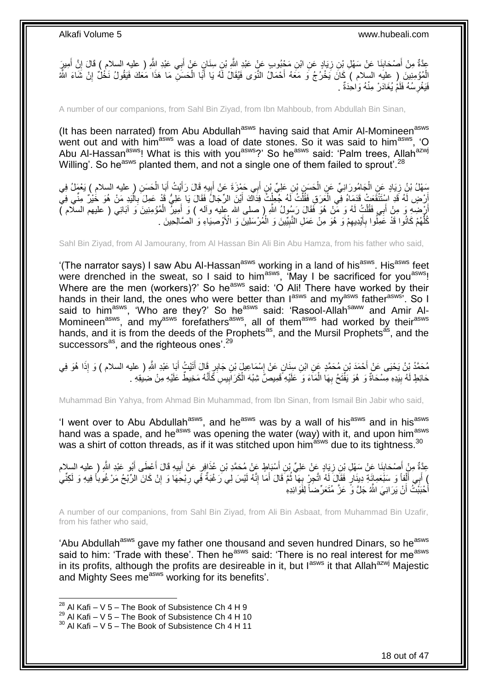عِّدَّةٌ مِنْ أَصْحَابِنَا عَنْ سَهْلِ بِنِ زِيَادٍ عَنِ ابْنِ مَجْبُوبٍ عَنٍْ عَبْدِ اللَّهِ بْنِ سِنَانٍ عَنْ أَبِي عَبْدِ اللَّهِ ( عليهِ السلام ) قَالَ إِنَّ أَمِيرٍ َ ِ ِ َ أَ ِ الْمُؤْمِنِينَ ( عليه السلام ) كَانَ يَخْرُجُ وَ مَعَهُ أَحْمَالُ النَّوَى فَيُقَالُ لَهُ يَا أَبَا الْحَسَنِّ مَا هَذَا مَعَكَ فَيَقُولُ نَخْلٌ إِنْ شَاءَ اللَّهُ ْ َ َ ْ ِ فَيَغْرِسُهُ فَلَمْ يُغَادَرْ مِنْهُ وَاحِدَةٌ . **∶** 

A number of our companions, from Sahl Bin Ziyad, from Ibn Mahboub, from Abdullah Bin Sinan,

(It has been narrated) from Abu Abdullah<sup>asws</sup> having said that Amir Al-Momineen<sup>asws</sup> went out and with him<sup>asws</sup> was a load of date stones. So it was said to him<sup>asws</sup>, 'O Abu Al-Hassan<sup>asws</sup>! What is this with you<sup>asws</sup>?' So he<sup>asws</sup> said: 'Palm trees, Allah<sup>azwj</sup> Willing'. So he<sup>asws</sup> planted them, and not a single one of them failed to sprout'.<sup>28</sup>

سَهْلُ بْنُ زِيَادٍ عَنِ الْجَامُورَانِيِّ عَنِ الْحَسَنِ بْنِ عَلِيٍّ بْنِ أَبِي حَمْزَةَ عَنْ أَبِيهِ قَالَ رَأَيْتُ أَبَا الْحَسَنِ ( عليه السلام ) يَعْمَلُ فِي<br>نَبِّ َ ْ ْ ْ َ َ ِ َ أَرْضٍ لَهُ قَدِ اسْتَنْقَعَتْ قَدَمَاهُ فِي الْعَرَقِ فَقُلْتُ لَهُ جُعِلْتُ فِدَاكَ أَيْنَ الرِّجَالَ فَقَالَ يَا عَلِيُّ قَدْ عَمِلَ بِالْيَدِ مَنْ هُوَ خُيْرٌ مِنِّي فِي َ ْ ْ ْ ْ **∶** أَرْضِهِ وَ مِنْ أَبِي فَقُلْتُ لَهُ وَ مَّنْ هُوَ فَقَالَ رَسُولُ اللَّهِ ( صلى الله عِليه وآله ) وَ أَمِيزُ الْمُؤْمِنِينَ وَ آبَائِي ( عليهم السلام ) ْ َ ْ َ كُلُّهُمْ كَانُوا قَدْ عَمِّلُوا بِأَيْدِيهِمْ وَ هُوَ مِنْ عَمَلِ النَّبِيِّينَ وَ الْمُرْسَلِينَ وَ الْأَوْصِيَاءِ وَ الصَّالِحِينَ . ْ ِ ِ َ ِ ُّ

Sahl Bin Ziyad, from Al Jamourany, from Al Hassan Bin Ali Bin Abu Hamza, from his father who said,

'(The narrator says) I saw Abu Al-Hassan<sup>asws</sup> working in a land of his<sup>asws</sup>. His<sup>asws</sup> feet were drenched in the sweat, so I said to him<sup>asws</sup>, 'May I be sacrificed for you<sup>asws</sup>! Where are the men (workers)?' So he<sup>asws</sup> said: 'O Ali! There have worked by their hands in their land, the ones who were better than lasws and myasws father<sup>asws;</sup> So I said to him<sup>asws</sup>, 'Who are they?' So he<sup>asws</sup> said: 'Rasool-Allah<sup>saww</sup> and Amir Al-Momineen<sup>asws</sup>, and my<sup>asws</sup> forefathers<sup>asws</sup>, all of them<sup>asws</sup> had worked by their<sup>asws</sup> hands, and it is from the deeds of the Prophets<sup>as</sup>, and the Mursil Prophets<sup>as</sup>, and the successors<sup>as</sup>, and the righteous ones'.<sup>29</sup>

مُحَمَّدُ بْنُ يَحْيَى عَنْ أَحْمَدَ بْنِ مُحَمَّدٍ عَنِ ابْنِ سِنَانٍ عَنْ إِسْمَاعِيلَ بْنِ جَابِرٍ قَالَ أَتَيْتُ أَبَا عَبْدِ اللَّهِ ( عليه السلام ) وَ إِذَا هُوَ فِي َ َ ِ ْ حَائِطٍ لَهُ بِيَدِهِ مِسْحَاَةٌ وَ هُوَ يَفَّتَحُ بِهَا الْمَآءَ وَ ۗ عَلَيْهِ ۗ قَمِيصٌّ شِبْهَ الْكَرَابِيسِ كَّأَنَّهُ مَخِيطٌ عَلَيْهِ مِنْ ضِيعَةِ ۚ ۚ ْ ِ **!** َ **!** 

Muhammad Bin Yahya, from Ahmad Bin Muhammad, from Ibn Sinan, from Ismail Bin Jabir who said,

'I went over to Abu Abdullah<sup>asws</sup>, and he<sup>asws</sup> was by a wall of his<sup>asws</sup> and in his<sup>asws</sup> hand was a spade, and he<sup>asws</sup> was opening the water (way) with it, and upon him<sup>asws</sup> was a shirt of cotton threads, as if it was stitched upon him<sup>asws</sup> due to its tightness.<sup>30</sup>

عِدَّةٌ مِنْ أَصْحَابِنَا عَنْ سَهْلِ بْنِ زِيَادٍ عَنْ عَلِيِّ بْنِ أَسْبَاطٍ عَنْ مُحَمَّدِ بْنِ عُذَافٍرٍ عَنْ أَبِيهِ قَالَ أَعْطَى أَبُو عَبْدِ اللَّهِ ( عليه السلام **∶** ِ َ َ ِ َ ) أَبِي أَلْفاً وَ سَبْعَمِائَةِ دِينَارٍ فَقَالَ لَهُ اتَّجِرٍ بِهَا ثُمَّ قَالَ أَمَا إِنَّهُ لَيْسَ لِي رَغْبَةٌ فَي رِبْحِهَا وَ إِنْ كَانَ الرِّبْحُ مَرْغُوباً فِيهِ وَ لَكِنِّي ِ ِ َ ا با اللہ اللہ علیہ اللہ علیہ اللہ علیہ اللہ علیہ اللہ علیہ اللہ علیہ اللہ علیہ اللہ علیہ اللہ علیہ اللہ علیہ<br>منظمہ **∶** ْ َ َ أُحْبَبْتُ أَنْ يَرَانِيَ اللَّهُ جَلَّ وَ عَزَّ مُتَعَرِّضاً لِفَوَائِدِهِ

A number of our companions, from Sahl Bin Ziyad, from Ali Bin Asbaat, from Muhammad Bin Uzafir, from his father who said,

'Abu Abdullah<sup>asws</sup> gave my father one thousand and seven hundred Dinars, so he<sup>asws</sup> said to him: 'Trade with these'. Then he<sup>asws</sup> said: 'There is no real interest for me<sup>asws</sup> in its profits, although the profits are desireable in it, but  $I^{asws}$  it that Allah<sup>azwj</sup> Majestic and Mighty Sees me<sup>asws</sup> working for its benefits'.

 $^{28}$  Al Kafi – V 5 – The Book of Subsistence Ch 4 H 9

 $^{29}$  Al Kafi – V 5 – The Book of Subsistence Ch 4 H 10

 $30$  Al Kafi – V 5 – The Book of Subsistence Ch 4 H 11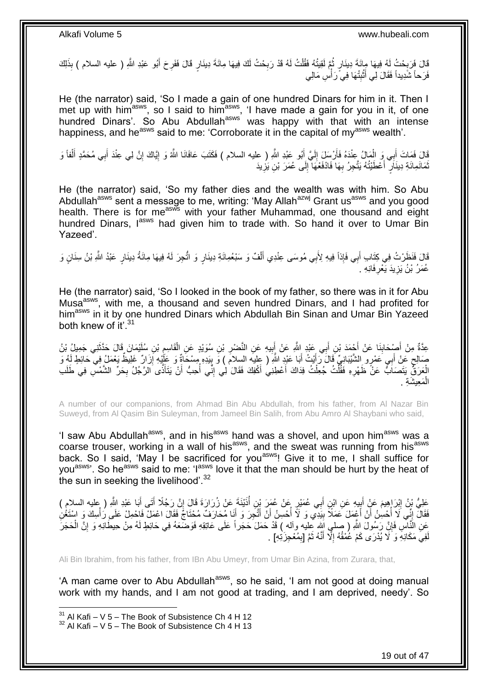قَالَ فَرَبِحْتُ لَهُ فِيهَا مِئَةَ دِينَارٍ ثُمَّ لَقِيتُهُ فَقُلْتُ لَهُ قَدْ رَبِحْتُ لَكَ فِيهَا مِائَةَ دِينَارٍ قَالَ فَفَرِحَ أَبُو عَبْدِ اللّهِ ( عليه السلام ) بِذَلِكَ ِ ْ ا ماہ<br>سال ِ َ **∶** فَرَحاً شَٰدِيداً فَقَالَ لِي أَثْبِتْهَا فِي َرَأْسِ مَالِي **∣** ֦֘<u>֓</u>֖֖֖֖֢֓֓֓֓֓֓׆֧ َ

He (the narrator) said, 'So I made a gain of one hundred Dinars for him in it. Then I met up with him<sup>asws</sup>, so I said to him<sup>asws</sup>, 'I have made a gain for you in it, of one hundred Dinars'. So Abu Abdullah<sup>asws</sup> was happy with that with an intense happiness, and he<sup>asws</sup> said to me: 'Corroborate it in the capital of my<sup>asws</sup> wealth'.

قَالَ فَمَاتَ أَبِي وَ الْمَالُ عِنْدَهُ فَأَرْسَلَ إِلَيَّ أَبُو عَبْدِ اللَّهِ ( عليه السلام ) فَكَتَبَ عَافَانَا اللَّهُ وَ إِيَّاكَ إِنَّ لِي عِنْدَ أَبِي مُحَمَّدٍ أَلْفاً وَ َ لَ ِ اُ ْ َ ْ َ َ ِ ֖֧֦֧֦֧֦֧֦֧֦֧֦֧֦֧ׅ֧֦֧֦֧ׅ֧֦֧֦֧֦֧֦֧֦֧֦֧֦֧֦֧֦֧֦֧֦֧֦֧֦֧֦֧֦֧֦֜֓֓֜֓֓ ثَمَانَمِائَةِ دِينَارٍ ۖ أَعْطَيْتُهُ يَتَّجِرُ بِهَا فَادْفَعْهَا ۚ إِلَى عُمَرَ بْنِ يَزِيدَ ِ  $\frac{1}{2}$ **∶** اً<br>ا

He (the narrator) said, 'So my father dies and the wealth was with him. So Abu Abdullah<sup>asws</sup> sent a message to me, writing: 'May Allah<sup>azwj</sup> Grant us<sup>asws</sup> and you good health. There is for me<sup>asws</sup> with your father Muhammad, one thousand and eight hundred Dinars, lasws had given him to trade with. So hand it over to Umar Bin Yazeed'.

قَالَ فَنَظَرْتُ فِي كِتَابِ أَبِي فَإِذاً فِيهِ لِأَبِي مُوسَى عِنْدِي أَلْفٌ وَ سَبْعُمِائَةِ دِينَارٍ وَ اتُّجِرَ لَهُ فِيهَا مِائَةُ دِينَارٍ عَبْدُ اللَّهِ بْنُ سِنَانٍ وَ ْ َ َ عُمَرُ بْنُ يَزِيدَ يَعْرِفَانِهِ . **∶** ِ

He (the narrator) said, 'So I looked in the book of my father, so there was in it for Abu Musaasws, with me, a thousand and seven hundred Dinars, and I had profited for him<sup>asws</sup> in it by one hundred Dinars which Abdullah Bin Sinan and Umar Bin Yazeed both knew of it'.<sup>31</sup>

عِدَّةٌ مِنْ أَصْحَابِذَا عَنْ أَحْمَدَ بْنِ أَبِي عَبْدٍ اللَّهِ عَنْ النَّصْرِ بْنِ سُوَيْدٍ عَنِ الْقَاسِمِ بْنِ سُلَيْمَانَ قَالَ حَدَّثَنِي جَمِيلُ بْنُ ِ ْ **∶ !** َ َ **∣** َ َ صَالِحٍ عَنْ أَبِي عَمْرٍو الشَّيْبَانِيِّ قَالَ رَأَيْتُ أَبَا عَبْدِ اللَّهِ ( عِلْيَه السِلاَمَ ) وَ بِيَدِهِ مِسْحَاةٌ وَ عَلَيْهِ أَزَارٌ ۚ غَلِيَظٌ يَعْمَلُ فِي حَائِطٍ لَهُ وَ ِ َ َ َ ٍ ِ الْعَرَفِّ يَتَصَابُّ عَنْ ظَهْرِهِ فَقُلْتُ جُعِلْتُ فِدَاكَ أَعْطِنِي أَكْفِكَ فَقَالَ لِي إِنِّي أُحِبُّ أَنْ يَتَأَذَّى الرَّجُلُ بِحَرِّ الشَّمْسِ فِي طَلَبِ ِ **∶** َ َ ا<br>ا ِ َ َ ْ ْ الْمَعِيشَةِ . ْ

A number of our companions, from Ahmad Bin Abu Abdullah, from his father, from Al Nazar Bin Suweyd, from Al Qasim Bin Suleyman, from Jameel Bin Salih, from Abu Amro Al Shaybani who said,

'I saw Abu Abdullah<sup>asws</sup>, and in his<sup>asws</sup> hand was a shovel, and upon him<sup>asws</sup> was a coarse trouser, working in a wall of his<sup>asws</sup>, and the sweat was running from his<sup>asws</sup> back. So I said, 'May I be sacrificed for you<sup>asws</sup>! Give it to me, I shall suffice for you<sup>asws</sup>'. So he<sup>asws</sup> said to me: 'l<sup>asws</sup> love it that the man should be hurt by the heat of the sun in seeking the livelihood'.<sup>32</sup>

عَلِيُّ بْنُ اِبْرَاهِيمَ عَنِْ أَبِيهِ عَنِ ابْنِ أَبِي عُمَيْرٍ عَنْ عُمَرَ بْنِ أُذَيْنَةَ عَنْ زُرَارَةَ قَالَ إِنَّ رَجُلًا أَتَى أَبَا عَبْدِ اللَّهِ ( عليه السلام )<br>-¦ َ ِ َ َ ِ ا<br>ا َ فَقَالَ إِنِّي لَا أُحْسِنُ أَنْ أَعْمِلَ عَمَلًا بِيَدِي وَ لَا أُحْسِنُ أَنْ أَتَّجِرَ وَ أَنَا مُحَارَفٌ مُحْتَاجٌ فَقَالَ اعْمَلْ فَاحْمِلْ عَلَى رَأْسِكَ وَ اسْتَغْنِ َ َ اُ **!** َ ا<br>ا ِ ْ عَنِ النَّاسِ فَإِنَّ رَسُولَ اللَّهِ ( صلى الله عليه وأله ) قَدْ حَمَلَ حَجَراً عَلَى عَاتِقِهِ فَوَضَعَهُ فِي حَائِطٍ لَهُ مِنْ حِيطَانِهِ وَ إِنَّ الْحَجَرَ ِ ْ ِ لَفِيَ مَكَانِهِ وَ لَا يُدْرَى كَمْ عُمْقُهُ إِلَّا أَنَّهُ ثَمَّ [بِمُعْجِزَتِهِ] . ِ ِ َ َ

Ali Bin Ibrahim, from his father, from IBn Abu Umeyr, from Umar Bin Azina, from Zurara, that,

'A man came over to Abu Abdullah<sup>asws</sup>, so he said, 'I am not good at doing manual work with my hands, and I am not good at trading, and I am deprived, needy'. So

 $31$  Al Kafi – V 5 – The Book of Subsistence Ch 4 H 12

 $32$  Al Kafi – V 5 – The Book of Subsistence Ch 4 H 13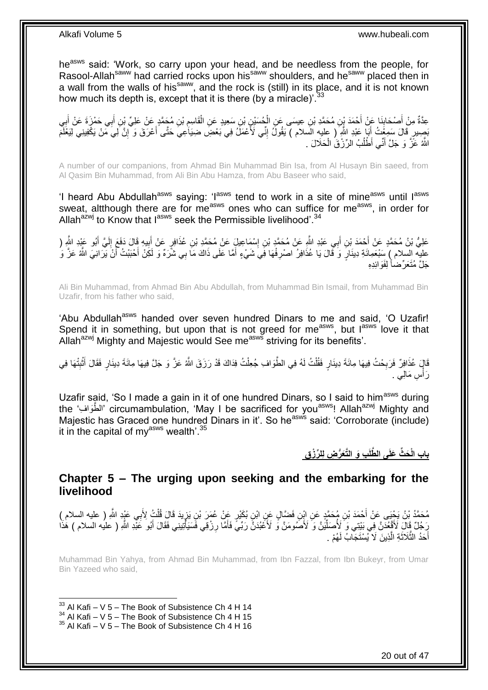heasws said: 'Work, so carry upon your head, and be needless from the people, for Rasool-Allah<sup>saww</sup> had carried rocks upon his<sup>saww</sup> shoulders, and he<sup>saww</sup> placed then in a wall from the walls of his<sup>saww</sup>, and the rock is (still) in its place, and it is not known how much its depth is, except that it is there (by a miracle)<sup>'.33</sup>

عِدَّةٌ مِنْ أَصْحَابِنَا عَنْ أَحْمَدَ بِنِ مُحَمَّدِ بْنِ عِيسَى عَنِ الْجُسَيْنِ بْنِ سَعِيدٍ عَنِ الْقَاسِمِ بْنِ مُجَمَّدٍ عَنْ عَلِيٍّ بِّنِ أَبِي حَمْزَةَ عَنْ أَبِي ِ ْ ْ َ ِ ِ َ ِ َ بَصِيرٍ ۚ قَالَ سَمِعْتُ ۚ أَبَا عَبْدِ الثَّهِ ۖ ( عليهِ الْسلام ) يَقُولُ إِنِّي لَأَعْمَلُ فِي بَعْضِ ضِيَاعِي حَتَّى أَعْرَفَ وَ ۗإِنَّ لِيَ مِّنْ يَكْفِينِي لِيَغْلَمَ َ ِ َ ِ اللَّهُ عَزَّ وَ جَلَّ أَنِّي أَطْلُبُ الرِّزْقُ الْحَلَالَ . ْ ٔ<br>ا َ

A number of our companions, from Ahmad Bin Muhammad Bin Isa, from Al Husayn Bin saeed, from Al Qasim Bin Muhammad, from Ali Bin Abu Hamza, from Abu Baseer who said,

'I heard Abu Abdullah<sup>asws</sup> saying: 'I<sup>asws</sup> tend to work in a site of mine<sup>asws</sup> until I<sup>asws</sup> sweat, altthough there are for me<sup>asws</sup> ones who can suffice for me<sup>asws</sup>, in order for Allah $a^{2}$ wj to Know that  $1^{34}$  seek the Permissible livelihood'.<sup>34</sup>

عَلِيُّ بْنُ مُحَمَّدٍ عَنْ أَحْمَدَ بْنِ أَبِي عَبْدِ النَّهِ عَنْ مُحَمَّدٍ بْنِ إِسْمَاعِيلٍَ عَنْ مُحَمَّدٍ بْنِ عُذَافِرٍ عَنْ أَبِيهِ قَالَ دَفَعَ إِلَيَّ أَبُو عَبْدِ النَّهِ ( ِ َ َ َ لَ ِ ِ َ عليه السلام ) سَنْعَمِائَةِ دِينَارٍ وَ َقَالَ يَا عُذَافِرُ اصْرِفْهَا فَِي شَيْءٍ أَمَّا عَلَى ذَاكَ مَا بِي شَرَهٌ وَ لَكِنْ أَحْبَنْتُ أَنْ يَرَانِيَ اللَّهُ عَزَّ وَ ِ َ َ ِ َ جَلَّ مُتَعَرِّضاً لِفَوَائِدِهِ

Ali Bin Muhammad, from Ahmad Bin Abu Abdullah, from Muhammad Bin Ismail, from Muhammad Bin Uzafir, from his father who said,

'Abu Abdullah<sup>asws</sup> handed over seven hundred Dinars to me and said, 'O Uzafir! Spend it in something, but upon that is not greed for me<sup>asws</sup>, but lasws love it that Allah<sup>azwj</sup> Mighty and Majestic would See me<sup>asws</sup> striving for its benefits'.

قَالٍَ عُذَافِرٌ فَرَبِحْتُ فِيهَا مِائَةَ دِينَارٍ فَقُلْتُ لَهُ فِي الطَّوَافِ جُعِلْتُ فِدَاكَ قَدْ رَزَقَ اللَّهُ عَزَّ وَ جَلَّ فِيهَا مِائَةَ دِينَارٍ فَقَالَ أَثْنِتْهَا فِي ْ ْ **∶** ِ ْ َ رَأسِ مَالِ<sub>بِي</sub> <sub>.</sub> **ٔ** 

Uzafir said, 'So I made a gain in it of one hundred Dinars, so I said to him<sup>asws</sup> during the 'الطُّوَاف' circumambulation, 'May I be sacrificed for you<sup>asws</sup>! Allah<sup>azwj</sup> Mighty and Majestic has Graced one hundred Dinars in it'. So he<sup>asws</sup> said: 'Corroborate (include) it in the capital of my<sup>asws</sup> wealth'.<sup>35</sup>

**ِب َّطلَ َح ِّث َعلَى ال َو الَّتَعُّر ِض لِل ِّر ْز ِق باب الْ**

<span id="page-19-0"></span>**Chapter 5 – The urging upon seeking and the embarking for the livelihood**

مُحَمَّدُ بْنُ يَحْيَى عَنْ أَحْمَدَ بْنِ مُحَمَّدٍ عَنِ ابْنِ فَضَّالٍ عَنِ ابْنِ بُكَيْرٍ عَنْ عُمَرَ بْنِ يَزِيدَ قَالَ قُلْتُ لِأَبِي عَيْدِ اللَّهِ ( عليه السلام )<br>مُحَمَّدُ بْنُ يَجْيَى عَنْ أَحْمَدَ بْنِ مُحَمَّدٍ ع ِ َ ْ رَجُلٌ قَالَ لَأَقْفُدَنَّ فِي بَيْتِي وَ ۖ لَأُصَلِّيَٰنَّ وَ ۗ لَأَصْوِمَنَّ وَ لَأَعْبُدَنَّ رَبّيَّ فَأَمَّا رِزْقِي فََسَيَأْتِيْنِي فَقَالَ أَبُو عَنْدِ اللَّهِ ( عَليه السلام ) هٰذَا ْ **ٍ** َ ِّ َ أَحَدُ الثَّلَاثَةِ الَّذِينَ لَا يُسْتَجَابُ لَهُمْ ر<br>ا َ َّ َ

Muhammad Bin Yahya, from Ahmad Bin Muhammad, from Ibn Fazzal, from Ibn Bukeyr, from Umar Bin Yazeed who said,

 $33$  Al Kafi – V 5 – The Book of Subsistence Ch 4 H 14

 $34$  Al Kafi – V  $5$  – The Book of Subsistence Ch 4 H 15

 $35$  Al Kafi – V 5 – The Book of Subsistence Ch 4 H 16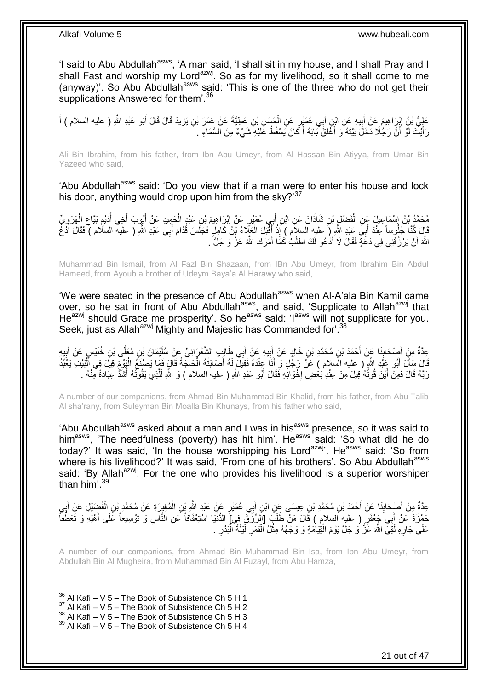'I said to Abu Abdullah<sup>asws</sup>, 'A man said, 'I shall sit in my house, and I shall Pray and I shall Fast and worship my Lord<sup>azwj</sup>. So as for my livelihood, so it shall come to me (anyway)'. So Abu Abdullah<sup>asws</sup> said: 'This is one of the three who do not get their supplications Answered for them'.<sup>36</sup>

عَلِيُّ بْنُ إِبْرَاهِيمَ عَنْ أَبِيهِ عَنِ ابْنِ أَبِي عُمَيْرٍ عَنِ الْحَسَنِ بْنِ عَطِيَّةَ عَنْ عُمَرَ بْنِ يَزِيدَ قَالَ قَالَ أَبُو عَبْدِ اللَّهِ ( عليه السلام ) أَ ْ َ **!** َ ِ َ َ ِ رَأَيْتَ لَوْ أَنَّ رَجُلًا دَخَلَ بَيْتَهُ وَ أَغَلَقَ بَابَهُ أَ كَانَ يَسْقُطُ عَلَيْهِ شَيْءٌ مِنَ السَّمَاءِ . َ َ اً َ

Ali Bin Ibrahim, from his father, from Ibn Abu Umeyr, from Al Hassan Bin Atiyya, from Umar Bin Yazeed who said,

'Abu Abdullah<sup>asws</sup> said: 'Do you view that if a man were to enter his house and lock his door, anything would drop upon him from the sky?'<sup>37</sup>

مُحَمَّدُ بْنُ إِسْمَاعِيلَ عَنِ الْفَضْلِ بْنِ شَاذَانَ عَنِ ابْنِ أَبِي عُمَيْرٍ عَنْ إِبْرَاهِيمَ بْنِ عَبْدٍ الْحَمِيدِ عَنْ أَيُّوِبَ أَخِي أُدَيْمِ بَيَّاعِ الْهَرَوِيِّ ْ ِ ِ ْ ِ ہ<br>پ ُ َ ا<br>ا ْ ِ ِ قَالَ كُنَّا جُلُوساً عِنْدَ أَبِيَ عَبْدِ اللَّهِ ( عليه السلام ) إِذْ أَقْبَلَ الْعَلَّاءُ نَّنُ كَامِلٍ فَجَلَسَ قُدَّامَ أَبِي عَبْدِ اللَّهِ ( عليه السلام ) فَقَالَ ادَّغْ<br>وَيَسَعَمُوا اللَّهُ فَقَالَ اللَّهُ فَقَالَ َ ْ **ٔ** َ اللَّهَ أَنْ يَرْزُقَنِي فِي دَعَةٍ فَقَالَ لَا أَذْعُو لَكَ اطْلُبْ كَمَا أَمَرَكَ اللَّهُ عَزَّ وَ جَلَّ . َ ُ َ

Muhammad Bin Ismail, from Al Fazl Bin Shazaan, from IBn Abu Umeyr, from Ibrahim Bin Abdul Hameed, from Ayoub a brother of Udeym Baya'a Al Harawy who said,

'We were seated in the presence of Abu Abdullah<sup>asws</sup> when Al-A'ala Bin Kamil came over, so he sat in front of Abu Abdullah<sup>asws</sup>, and said, 'Supplicate to Allah<sup>azwj</sup> that He<sup>azwj</sup> should Grace me prosperity'. So he<sup>asws</sup> said: 'I<sup>asws</sup> will not supplicate for you. Seek, just as Allah<sup>azwj</sup> Mighty and Majestic has Commanded for'.<sup>38</sup>

عِدَّةٌ مِنْ أَصِدْحَابِذَا عَنْ أَحْمَدَ بْنِ مُحَمَّدِ بْنِ خَالِدٍ عَنْ إِبِيهِ عَنْ أَبِي طَالِبِ الشَّعْرَانِيِّ عَنْ سُلَيْمَانَ بْنِ مُعَلِّى بْنِ خُنَيْسٍ عَنْ أَبِيهِ َ ِ َ َ ِ َ ِ َ قَالَ سَأَلَ أَبُو عَِبْدِ اللَّهِ ( عليه السلام ) عَنْ رَجُلٍ وَ أَنَا عِنْدَهُ فَقِيلٌ لَهُ أَصَابَتْهُ الْحَاجَةُ قَالٍ فَمَا يَصْنَعُ الْيَوْمَ قِيلَ فِي أَلْبَيْتِ يَغْبُدُ ْ َ َ َ ْ ْ رَبَّهُ قَالَ فَمِنْ أَيْنَ قُوتُهُ فِيلَ مِنْ عِنْدِ بَعْضِ إِخْوَانِهِ فَقَالَ أَبُو عَبْدِ اللَّهِ ( عليه السلام ) وَ اللَّهِ لَلَّذِي يَقُوتُهُ أَشَدُّ عِبَادَةً مِّنْهُ . ·<br>∶ َ َ َّ َ

A number of our companions, from Ahmad Bin Muhammad Bin Khalid, from his father, from Abu Talib Al sha'rany, from Suleyman Bin Moalla Bin Khunays, from his father who said,

'Abu Abdullah<sup>asws</sup> asked about a man and I was in his<sup>asws</sup> presence, so it was said to him<sup>asws</sup>, 'The needfulness (poverty) has hit him'. He<sup>asws</sup> said: 'So what did he do today?' It was said, 'In the house worshipping his Lord<sup>azwj</sup>'. He<sup>asws</sup> said: 'So from where is his livelihood?' It was said, 'From one of his brothers'. So Abu Abdullah<sup>asws</sup> said: 'By Allah<sup>azwj</sup>! For the one who provides his livelihood is a superior worshiper than him'.<sup>39</sup>

عِدَّةٌ مِنْ أَصْدَابِنَا عَنْ أَحْمَدَ بْنِ مُحَمَّدِ بْنِ عِيسَى عَنِ ابْنِ أَبِي عُمَيْرٍ عَنْ عَبْدِ اللَّهِ بِن الْمُغِيرَةِ عَنْ مُحَمَّدِ بْنِ الْفُضِيْلِ عَنْ أَبِي َ **∣** َ ا مہ ہے<br>: َ ْ ْ َ حَمْزَةَ عَنْ أَبِيَ جَعْفَرٍ ( عليهِ السلام ) قَالَ مَنْ طَلَبَ [الرِّزْقَ فِي] الدُّنْيَا اسْتِعْفَافاً عَنِ النَّاسِ وَ تَوْسِيعاً عَلَى أَهْلِهِ وَ تَعَطُّفَاً َ َ عَلَى جَارِهِ لَقِيَّ اللَّهَ عَّزَّ وَ جَلَّ يَوْمَ الْقِيَامَةِ وَ وَجْهُهُ مِثْلُ الْقَمَرِ لَيْلَةَ الْنَدْرِ . ِ ْ لَ ِ ْ **ٔ** ْ ِ

A number of our companions, from Ahmad Bin Muhammad Bin Isa, from Ibn Abu Umeyr, from Abdullah Bin Al Mugheira, from Muhammad Bin Al Fuzayl, from Abu Hamza,

 $36$  Al Kafi – V 5 – The Book of Subsistence Ch 5 H 1

1

- $37$  Al Kafi V 5 The Book of Subsistence Ch 5 H 2
- $38$  Al Kafi V 5 The Book of Subsistence Ch 5 H 3

 $39$  Al Kafi – V 5 – The Book of Subsistence Ch 5 H 4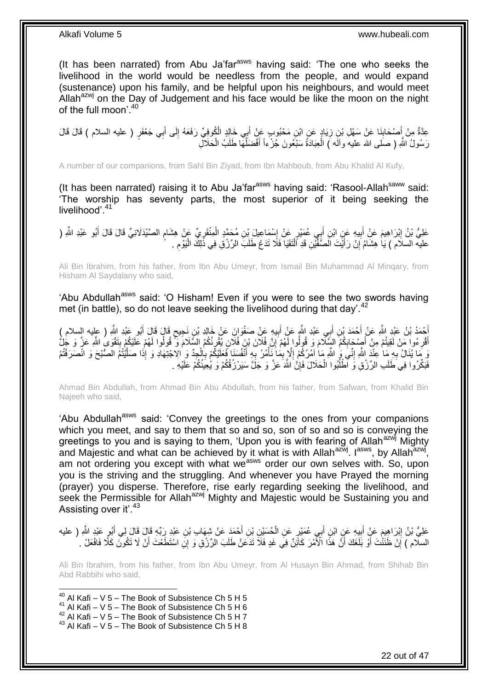(It has been narrated) from Abu Ja'far<sup>asws</sup> having said: 'The one who seeks the livelihood in the world would be needless from the people, and would expand (sustenance) upon his family, and be helpful upon his neighbours, and would meet Allah $a^{2x}$  on the Day of Judgement and his face would be like the moon on the night of the full moon'.<sup>40</sup>

عِدَّةٌ مِنْ إَِصْحَابِنَا عَنْ سَهْلِ بْنِ زِيَادٍ عَنِ ابْنِ مَحْبُوبٍ عَنْ أَبِي خَالِدٍ الْكُوفِيِّ رَفَعَهُ إِلَى أَبِي جَعْفَرٍ ( عليه السلام ) قَالَ قَالَ َ ِ َ **∶ ∣** َ رَسُولُ اللَّهِ ( صَلَى الله عليهُ وآلَه ) الْحِبَادَةُ سَبْعُونَ جُزْءاً أَفْضَلُّهَا طَلَبُ الْحَلَالِ ْ ان<br>ا ْ

A number of our companions, from Sahl Bin Ziyad, from Ibn Mahboub, from Abu Khalid Al Kufy,

(It has been narrated) raising it to Abu Ja'far<sup>asws</sup> having said: 'Rasool-Allah<sup>saww</sup> said: 'The worship has seventy parts, the most superior of it being seeking the livelihood<sup>'41</sup>

عَلِيُّ بْنُ إِبْرَاهِيمَ عَنِْ أَبِيهِ عَنٍ ابْنِ أَبِي عُمَيْرٍ عَنْ إِسْمَاعِيلَ بْنِ مُحَمَّدٍ الْمِنْقَرِيِّ عَنْ هِشَامٍ الصَّيْدَلَانِيِّ قَالَ قَالَ أَبُو عَبْدِ اللَّهِ ( ْ ِ **!** َ ِ َ ֧֖֧֦֧֦֧֦֧֦֚֝֝֝֝֝ ِ عليه السلام ) يَا هِشَامُ إِنْ رَأَيْتَ الْصَّفِّيْنِ قَدِ ٱلْنَقَيَا فَلَا تَدَعْ طَلَبَ الرِّزْقِ فِي ذَلِكَ الْيَوْمِ ِ ْ ْ َ יֲ<br>י

Ali Bin Ibrahim, from his father, from Ibn Abu Umeyr, from Ismail Bin Muhammad Al Minqary, from Hisham Al Saydalany who said,

'Abu Abdullah<sup>asws</sup> said: 'O Hisham! Even if you were to see the two swords having met (in battle), so do not leave seeking the livelihood during that day'.<sup>42</sup>

أَحْمَدُ بْنُ عَبْدِ اللَّهِ عَنْ أَحْمَدَ بْنِ أَبِي عَبْدِ اللَّهِ عَنْ اَبِيهِ عَنْ صَفْوَانَ عَنْ خَالِدِ ب<br>أَمْسَمُ بَنُ عَبْدِ اللَّهِ عَنْ أَحْمَدَ بْنِ أَبِي عَبْدِ اللَّهِ عَنْ أَبِيهِ عَنْ صَفْوَانَ عَنْ خَالِدِ َ َ ٍ **!** َ َ أَقْرِءُوا مَنْ لَقِيتُمْ مِنْ أَصِنْحَابِكُمُ السَّلَّامَ وَ قُولُوا لَهُمْ إِنَّ فُلَانَ بْنَ فُلَانٍ يُقْرِئُكُمُ السَّلَامَ وَ ۖ قُولُوا لَهُمْ عَلَيْكُمْ بِتَقْوَى اللَّهِ عَزَّ وَ جُلُ ِ יֲ<br>י ِ َ ِ ِ **∶** وَ مَا يُنَالُ بِهِ مَا عِنْدَ اللَّهِ إِنِّيَ وَ اللَّهِ مَا آمُرُكُمْ إِلَّا بِمَا نَأْمُرُ بِهِ أَنْفُسَنَا فَعَلَيْكُمْ بِالْجِدِّ وَ اِلاجْتِهَادِ وَ إِذَا صَلَيْلُتُمُ الصُّبْحَ وَ انْصَرَفْتُمْ َ **∶** ْ ِ ِ ِ **∶** َّ فَبَكِّرُوا فِي َطَلَبِ الرِّزْقِ وَّ الْطُلُّوا الْحَلَالَ فَإِنَّ اللَّهَ عَزَّ وَ جَلَّ سَيَرْزُقُهُمْ وَ يُعِيذُكُمْ عَلَيْهِ . ِ ْ ا<br>ا

Ahmad Bin Abdullah, from Ahmad Bin Abu Abdullah, from his father, from Safwan, from Khalid Bin Najeeh who said,

'Abu Abdullah<sup>asws</sup> said: 'Convey the greetings to the ones from your companions which you meet, and say to them that so and so, son of so and so is conveying the greetings to you and is saying to them, 'Upon you is with fearing of Allahazwi Mighty and Majestic and what can be achieved by it what is with Allah<sup>azwj</sup>. I<sup>asws</sup>, by Allah<sup>azwj</sup>, am not ordering you except with what we<sup>asws</sup> order our own selves with. So, upon you is the striving and the struggling. And whenever you have Prayed the morning (prayer) you disperse. Therefore, rise early regarding seeking the livelihood, and seek the Permissible for Allah<sup>azwj</sup> Mighty and Majestic would be Sustaining you and Assisting over it'.<sup>43</sup>

عَلِيُّ بْنُ إِبْرَاهِيمَ عَنْ أَبِيهِ عَنِ ابْنِ أَبِي عُمَيْرٍ عَنِ الْحُسَيْنِ بْنِ أَحْمَدَ عَنْ شِهَاب بْنِ عَبْدِ رَبِّهِ قَالَ قَالَ لِي أَبُو عَبْدٍ اللَّهِ ( عليه ْ َ **!** َ ِ َ َ َّ مِّي َاْتَ أَنْ نُنْتُكَ أَوْ بَلَّغَكَ أَنَّ هَذَا الْأَمْرَ كَائِنٌ فِي غَدٍ فَلَا تَدَعَنَّ طَلَبَ الرِّزْقِ وَ إِنِّ اسْتَطَعْتَ أَنّْ لَا تَكُونَ كَلَّا فَافْعَلْ َ<br>السلام ) إِنْ ظَنَتْكَ أَوْ بَلَّغَكَ أَنَّ هَذَا َ ا َ

Ali Bin Ibrahim, from his father, from Ibn Abu Umeyr, from Al Husayn Bin Ahmad, from Shihab Bin Abd Rabbihi who said,

 $^{40}$  Al Kafi – V 5 – The Book of Subsistence Ch 5 H 5  $41$  Al Kafi – V 5 – The Book of Subsistence Ch 5 H 6  $^{42}$  Al Kafi – V 5 – The Book of Subsistence Ch 5 H 7

1

 $43$  Al Kafi – V 5 – The Book of Subsistence Ch 5 H 8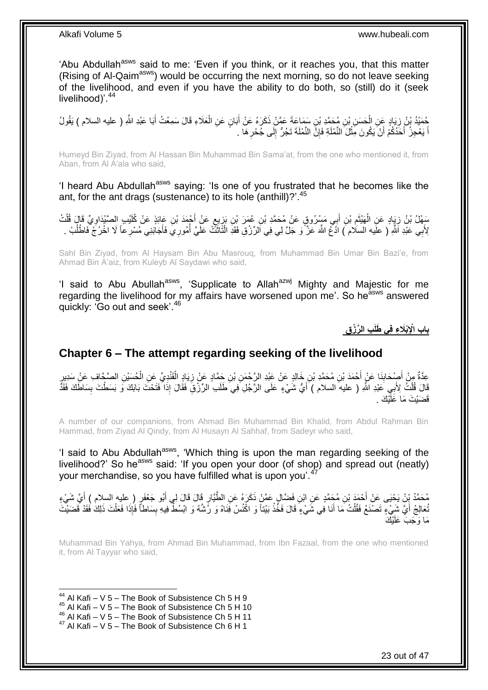'Abu Abdullah<sup>asws</sup> said to me: 'Even if you think, or it reaches you, that this matter (Rising of Al-Qaim<sup>asws</sup>) would be occurring the next morning, so do not leave seeking of the livelihood, and even if you have the ability to do both, so (still) do it (seek livelihood)<sup>'.44</sup>

حُمَّيْدُ بْنُ زِيَادٍ عَنِ الْحَسَنِ بْنِ مُحَمَّدِ بْنِ سَمَاعَةَ عَمَّنْ ذَكَرَهُ عَنْ أَبَانٍ عَنِ الْعَلَاءِ قَالَ سَمِعْتُ أَبَا عَبْدِ اللَّهِ ( عليه السلام ) يَقُولُ<br>يُسْتَمَرُّنَ بِيَ مِنْ أَيْرَ مِنْ الْحَسَنِ ب ْ َ ْ **∶** َ اً يَعْجِزُ أَحَدُكُمْ أَنْ يَكُونَ مِثْلَ النَّمْلَةِ فَإِنَّ النَّمْلَةَ تَجُرُّ إِلَى جُحْرِ هَا . ِ ِ ِ ْ َ َ َ

Humeyd Bin Ziyad, from Al Hassan Bin Muhammad Bin Sama'at, from the one who mentioned it, from Aban, from Al A'ala who said,

'I heard Abu Abdullah<sup>asws</sup> saying: 'Is one of you frustrated that he becomes like the ant, for the ant drags (sustenance) to its hole (anthill)?'.<sup>45</sup>

سَفْلُ بْنُ زِيَادٍ عَنِ الْهَنْثَمِ بْنِ أَبِي مَسْرُوقٍ عَنْ مُحَمَّدِ بْنِ عُهَرَ بْنِ بَزِيعٍ عَنْ أُجْمَدَ بْنِ عَائِذٍ عَنْ كُلَّيْبِ الصَّنْدَاوِيِّ قَالَ قُلْتُ ِ ٌٔ<br>ا ْ ِ ْ ِ َ ٍ ِ َ لِأَبِي عَلْدِ اَللَّهِ ( عليه السلام ) ادَّغُ اللَّهَ عَنَّ ًوَ جَلَّ لِي فِي الرِّرْقِ فَقَدِ الْثَاثَثُ عَلَيَّ أُمُورِ ي فَأَجَابَنِي مُسْرِعاً لَا اخْرُجْ فَاطْلُبْ . ُ ْ َ ُ

Sahl Bin Ziyad, from Al Haysam Bin Abu Masrouq, from Muhammad Bin Umar Bin Bazi'e, from Ahmad Bin A'aiz, from Kuleyb Al Saydawi who said,

'I said to Abu Abullah<sup>asws</sup>, 'Supplicate to Allah<sup>azwj</sup> Mighty and Majestic for me regarding the livelihood for my affairs have worsened upon me'. So he<sup>asws</sup> answered quickly: 'Go out and seek'.<sup>46</sup>

**ِب ال ِّر ْز ِق باب اْإلِْبَال ِء فِي َطلَ**

## <span id="page-22-0"></span>**Chapter 6 – The attempt regarding seeking of the livelihood**

ِعَدَّةٌ مِنْ أَصْحَابِذَا عَنْ أَحْمَدَ بْنِ مُحَمَّدِ بْنِ خَالِدٍ عَنْ عَبْدِ الرَّحْمَنِ بْنِ جَمَّادٍ عَنْ زِيَادٍ الْقَنْدِيِّ عَنِ الْحُسَيْنِ الصَّجَّافِ عَنْ سَدِيرٍ **∣** َ ْ ْ ِ قَالَ قُلْثُ لِأَبِي َعَبْدِ اللَّهِ ( عليه السلام ) أَيُّ شَيْءٍ عَلَى الرَّجُلِ فِي طَلَبِ الرِّزْقِ فَقَالَ إِذَا فَتَحْثَ بَابَكَ وَ بَسَطْتَ بِسَاطَكَ فَقَدْ َ ْ ِ قَضَيْتَ مَا عَلَّيْكَ .

A number of our companions, from Ahmad Bin Muhammad Bin Khalid, from Abdul Rahman Bin Hammad, from Ziyad Al Qindy, from Al Husayn Al Sahhaf, from Sadeyr who said,

'I said to Abu Abdullah<sup>asws</sup>, 'Which thing is upon the man regarding seeking of the livelihood?' So he<sup>asws</sup> said: 'If you open your door (of shop) and spread out (neatly) your merchandise, so you have fulfilled what is upon you'.<sup>47</sup>

مُحَمَّدُ بِنُ يَحْيَى عَنْ أَحْمَدَ بْنِ مُحَمَّدٍ عَنِ ابْنِ فَضَّالٍ عَمَّنٍْ ذَكَرَهُ عَنِ الطَّيَّارِ قَالَ قَالَ لِي أَبُو جَعْفَرٍ ( عليه السلام ) أَيَّ شَيْءٍ<br>مُحَمَّدُ بِّنُ يَحْيَى عَنْ أَحْمَدَ بْنِ مُحَمَّدٍ ع َ َ ֦֧֦֦֝ تُعالِجُ أَيَّ شَيْءٍ تَصْنَعُ فَقُلْتُ مَا أَنَا فَى شَّيْءٍ ۖ قَالَ فَخُذْ بَيْتاً وَ اكْْنُسْ فَِنَاهُ وَ رُشَّهُ وَ ابْسُطْ فِيهِ بِسَاطاً فَإِذَا فَعَلْتَ ذَلِكَ فَقَدْ قَضَيْتَ َ َ ْ ْ ِ **ٔ** مَا وَجَبَ عَلَيْكَ

Muhammad Bin Yahya, from Ahmad Bin Muhammad, from Ibn Fazaal, from the one who mentioned it, from Al Tayyar who said,

1  $44$  Al Kafi – V 5 – The Book of Subsistence Ch 5 H 9

- $45$  Al Kafi V 5 The Book of Subsistence Ch 5 H 10
- $46$  Al Kafi V  $5$  The Book of Subsistence Ch 5 H 11
- $47$  Al Kafi V 5 The Book of Subsistence Ch 6 H 1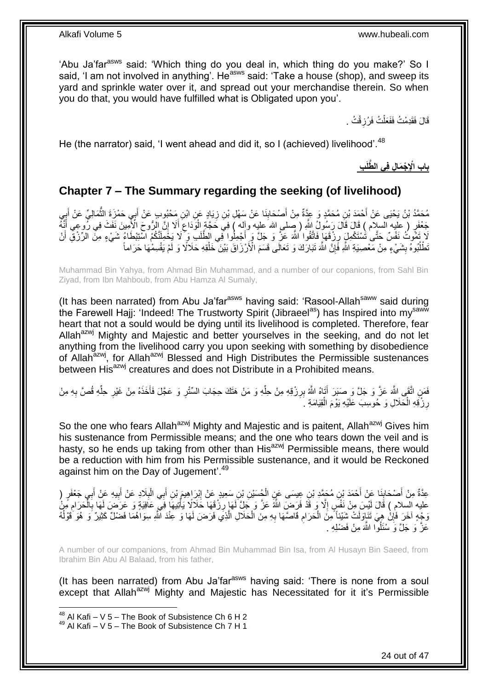'Abu Ja'far<sup>asws</sup> said: 'Which thing do you deal in, which thing do you make?' So I said, 'I am not involved in anything'. He<sup>asws</sup> said: 'Take a house (shop), and sweep its yard and sprinkle water over it, and spread out your merchandise therein. So when you do that, you would have fulfilled what is Obligated upon you'.

> قَالَ فَقَدِمْتُ فَفَعَلْتُ فَرُزِقْتُ . **∶** ْ

He (the narrator) said, 'I went ahead and did it, so I (achieved) livelihood'.<sup>48</sup>

**ِب َّطلَ باب اْإلِ ْج َما ِل فِي ال**

## <span id="page-23-0"></span>**Chapter 7 – The Summary regarding the seeking (of livelihood)**

مُحَمَّدُ بْنُ يَحْيَى عَنْ أَحْمَدَ بْنِ مُحَمَّدٍ وَ عِدَّةٌ مِنْ أَصْحَابِنَا عَنْ سَهْلِ بْنِ زِيَادٍ عَنِ ابْنِ مَحْبُوبٍ عَنْ أَبِي حَمْزِةَ الثَّمَالِيِّ عَنْ أَبِي ِ َ ¦ َ ُّ َ جَعْفَرٍ ( عِليه السلام ) قَالَ قَالَ رَسُولُ اللَّهِ ( صِّلمي الله عليه وآله ) فِي حَجَّةٍ الْوَدَاعَ أَلَا إِنَّ الزُّوحَ الْأَمِينَ نَفَثَ فِي زُوعِي أَنَّهُ َ ِ َ ِ ْ َلَا نَفُّونُ نَفْسٌ حَتَّى ٰتَمْنَكُمِلٍۢ رِزْفَهَا ۚ فَاتَّقُوا ِ اللَّهَ عَنَّ وَ جَلَّ وَ أَجْمِلُوا فِّي الطَّلَبِّ وَ َلَا يَخْمِلَنَّكُمُ اسْتِبْطَاءُ شَيْءٍ مِنَّ الرِّزْقِ أَنْ<br>رَبِّهِ نَفْسُ نَفْسٌ حَتَّى ٰتَمْن َ ِ اُ تَطْلُبُوهُ بِشَيْءٍ مِنْ مَعْصِيَةِ اللَّهِ فَإِنَّ اللَّهَ تَبَارَكَ وَ تَعَالَى قَسَمَ الْأَرْزَاقَ بَيْنَ خَلْقِهِ حَلاَلًا وَ لَمْ يَقْسِمْهَا حَرَاماً ا<br>ا **∣** ِ

Muhammad Bin Yahya, from Ahmad Bin Muhammad, and a number of our copanions, from Sahl Bin Ziyad, from Ibn Mahboub, from Abu Hamza Al Sumaly,

(It has been narrated) from Abu Ja'far<sup>asws</sup> having said: 'Rasool-Allah<sup>saww</sup> said during the Farewell Hajj: 'Indeed! The Trustworty Spirit (Jibraeel<sup>as</sup>) has Inspired into my<sup>saww</sup> heart that not a sould would be dying until its livelihood is completed. Therefore, fear Allah<sup>azwj</sup> Mighty and Majestic and better yourselves in the seeking, and do not let anything from the livelihood carry you upon seeking with something by disobedience of Allah<sup>azwj</sup>, for Allah<sup>azwj</sup> Blessed and High Distributes the Permissible sustenances between His<sup>azwj</sup> creatures and does not Distribute in a Prohibited means.

فَمَنِ اتَّقَى اللَّهَ عَنَّ وَ جَلَّ وَ صَبَرَ أَتَاهُ اللَّهُ بِرِزْقِهِ مِنْ حِلِّهِ وَ مَنْ هَتَكَ حِجَابَ السِّنْرِ وَ عَجَّلَ فَأَخَذَهُ مِنْ غَيْرِ حِلِّهِ قُصَّ بِهِ مِنْ ِّ ِ َ ِ ِّ ِ َ ِ رِزْقِهِ الْحَلَالِ وَ حُوسِبَ عَلَيْهِ يَوْمَ الْقِيَامَةِ ۚ ـ ْ ْ ِ

So the one who fears Allah<sup>azwj</sup> Mighty and Majestic and is paitent, Allah<sup>azwj</sup> Gives him his sustenance from Permissible means; and the one who tears down the veil and is hasty, so he ends up taking from other than His<sup>azwj</sup> Permissible means, there would be a reduction with him from his Permissible sustenance, and it would be Reckoned against him on the Day of Jugement'.<sup>49</sup>

عِدَّةٌ مِنْ أَصْحَابِنَا عَنْ أَحْمَدَ بْنِ مُحَمَّدِ بْنِ عِيسَى عَنِ الْجُسَيْنِ بْنِ سَعِيدٍ عَنْ إِبْرَاهِيمَ بْنِ أَبِي الْبِلَادِ عَنْ أَبِي جَعْفَرٍ ( َ ِ ْ َ **∣** َ َ ِ َ **∶** ْ عليه السلامِ ) قَالَ لَئِسَ مِنْ نَفْسٍ إِلَّا وَ قَدْ فَرَضَ اللَّهُ عَنَّ وَ جَلَّ لَهَا رِزْقَهَا حَلَالًا يَأْتِيهَا فَيَّ وَعَوَّضَ لَهَا بِالْحَرَامِ مِّنُ<br>وهو توسط السلام ِ ْ **∶** ْ ِ وَجْهِ آخَرَ فَإِنْ هِيَ تَنَاوَلَتْ شَيْئاً مِنَ الْحَرَامِ قَاصَّهَا بِهِ مِنَ الْحَلَالِ الَّذِي فَرَضَ لَهَا وَ عِنْدَ اللَّهِ سِوَاهُمَا فَضْلٌ كَثِيرٌ وَ هُوَ قَوْلُهُ َّ ْ ِ ِ ْ ِ ُ عَزَّ وَ جَلَّ وَ سْئَلُوْا اللَّهَ مِنْ فَضْلِهِ .

A number of our companions, from Ahmad Bin Muhammad Bin Isa, from Al Husayn Bin Saeed, from Ibrahim Bin Abu Al Balaad, from his father,

(It has been narrated) from Abu Ja'far<sup>asws</sup> having said: 'There is none from a soul except that Allah<sup>azwj</sup> Mighty and Majestic has Necessitated for it it's Permissible

1

 $^{48}$  Al Kafi – V 5 – The Book of Subsistence Ch 6 H 2

 $49$  Al Kafi – V 5 – The Book of Subsistence Ch 7 H 1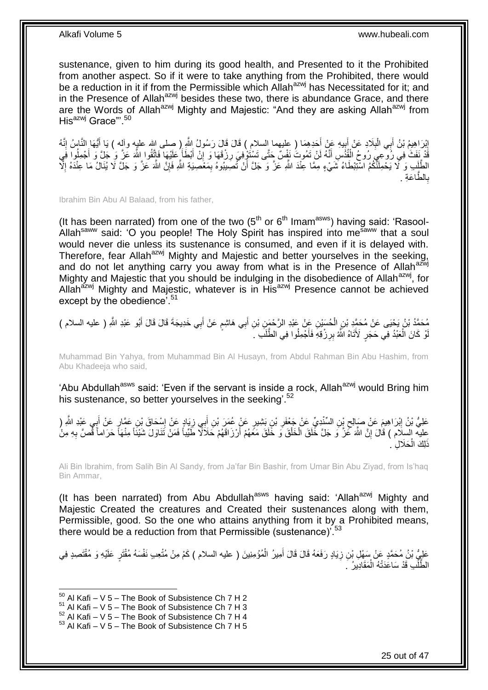sustenance, given to him during its good health, and Presented to it the Prohibited from another aspect. So if it were to take anything from the Prohibited, there would be a reduction in it if from the Permissible which Allah<sup>azwj</sup> has Necessitated for it; and in the Presence of Allah<sup>azwj</sup> besides these two, there is abundance Grace, and there are the Words of Allah<sup>azwj</sup> Mighty and Majestic: "And they are asking Allah<sup>azwj</sup> from His<sup>azwj</sup> Grace"<sup>50</sup>

إِبْرَاهِيمُ بْنُ أَبِي الْبِلَادِ عَنْ أَبِيهِ عَنْ أَحَدِهِمَا ( عليهما السلام ) قَالَ قَالَ رَسُولُ اللَّهِ ( صلى الله عليه وآله ) يَا أَيُّهَا النَّاسُ إِنَّهُ َ  $\ddot{\phantom{a}}$ َ **∶** ْ َ ِ ِ َ َّةٌ نَفَثٌ فِي رُوحٍّ رُوحُ الْقُذُسِ أَنَّهُ لَنْ تَمُوتُ نَفْسٌ حَتَّى تَسْتَوْفِيَ رِزْقَهَا وَ إِنْ أَبْطَأَ عَلَيْهَا فَاتَّقُوا اللَّهَ عَنَّ وَ أَجْمِلُوا فَي **∫** َ ِ **∶** َ ا<br>ا َ الطَّلَبِ وَ لَّا يَحْمِلَنَّكُمُ اسْتِبْطَاءُ شَيْءٍ مِمَّا عِنْدَ اللَّهِ عَزَّ وَ جَلَّ أَنْ تُصَبِيبُوهُ بِمَعْصِيَةِ اللَّهِ فَإِنَّ اللَّهَ عَزَّ وَ جَلَّ لَا يُنَالُ مَا عِنْدَهُ إِلَّا اُ ا<br>ا ∣ļ ِ طًّاعَةِ . ال **∶** ب

Ibrahim Bin Abu Al Balaad, from his father,

(It has been narrated) from one of the two  $(5<sup>th</sup>$  or  $6<sup>th</sup>$  Imam<sup>asws</sup>) having said: 'Rasool-Allah<sup>saww</sup> said: 'O you people! The Holy Spirit has inspired into me<sup>saww</sup> that a soul would never die unless its sustenance is consumed, and even if it is delayed with. Therefore, fear Allah<sup>azwj</sup> Mighty and Majestic and better yourselves in the seeking, and do not let anything carry you away from what is in the Presence of Allah<sup>azwj</sup> Mighty and Majestic that you should be indulging in the disobedience of Allah<sup>azwj</sup>, for Allah<sup>azwj</sup> Mighty and Majestic, whatever is in His<sup>azwj</sup> Presence cannot be achieved except by the obedience<sup>'.51</sup>

مُحَمَّدُ بْنُ يَجْيَى عَنْ مُحَمَّدٍ بْنِ الْحُسَيْنِ عَنْ عَبْدِ الرَّحْمَنِ بْنِ أَبِي هَاشِمٍ عَنْ أَبِي خَدِيجَةَ قَالَ قَالَ أَبُو عَبْدِ اللَّهِ ( عليه السلام )<br>نصحتُ بِأَرْبِدَ اللَّهِ ( َ ٍ َ ْ َ لْوْ كَانَ الْعَبْدُ فِي حَجَرٍ ۖ لَأَتَاهُ الَّهُ بِرِرْقِهِۖ فَأَجْمِلُوا فِي الطَّلَبِ ۚ ۖ َ **∶** ْ

Muhammad Bin Yahya, from Muhammad Bin Al Husayn, from Abdul Rahman Bin Abu Hashim, from Abu Khadeeja who said,

'Abu Abdullah<sup>asws</sup> said: 'Even if the servant is inside a rock, Allah<sup>azwj</sup> would Bring him his sustenance, so better yourselves in the seeking<sup>'52</sup>

عَلِيُّ بْنُ إِبْرَاهِيمَ عَنْ صَبِالِحِ بْنِ السِّنْدِيِّ عَنْ جَعْفَرِ بْنِ بَشِيرٍ عَنْ عُمَرَ بْنِ أَبِي زِيَادٍ عَنْ إِسْحَاقَ بْنِ عَمَّارٍ عَنْ أَبِي عَبْدِ النَّهِ ( ِ ِ َ ِ ِ ِ َ عِليه السلام ) قَالَ إِنَّ اللَّهَ عَنَّ وَ جَلَّ خَلَقَ الْخَلْقَ وَ خَلَقَ مَعَهُمْ أَرْزَاقَهُمْ حَلَاَلًا طَيِّباً فَمَنْ تَذَاوَلَ شَيْئَاً مِنْهَا حَرَاماً قَصَّ بِهِ مِنْ ْ ْ ِ **∶** َ َلِكَ الْحَلَالِ ۚ. ْ

Ali Bin Ibrahim, from Salih Bin Al Sandy, from Ja'far Bin Bashir, from Umar Bin Abu Ziyad, from Is'haq Bin Ammar,

(It has been narrated) from Abu Abdullah<sup>asws</sup> having said: 'Allah<sup>azwj</sup> Mighty and Majestic Created the creatures and Created their sustenances along with them, Permissible, good. So the one who attains anything from it by a Prohibited means, there would be a reduction from that Permissible (sustenance)<sup>'.53</sup>

عَلِيُّ بْنُ مُحَمَّدٍ عَنْ سَفْلِ بْنِ زِيَادٍ رَفَعَهُ قَالَ قَالَ أَمِيرُ الْمُؤْمِنِينَ ( عليه السلام ) كَمْ مِنْ مُنْعِبِ نَفْسَهُ مُقْتَرٍ عَلَيْهِ وَ مُقْتَصِدٍ فِي ْ َ ِ الطَّلِّبِ قَدْ سَاعَدَتْهُ الْمَقَادِينُ ۚ ـِ ْ

 $50$  Al Kafi – V 5 – The Book of Subsistence Ch 7 H 2

 $51$  Al Kafi – V 5 – The Book of Subsistence Ch 7 H 3

 $52$  Al Kafi – V 5 – The Book of Subsistence Ch 7 H 4

 $53$  Al Kafi – V 5 – The Book of Subsistence Ch 7 H 5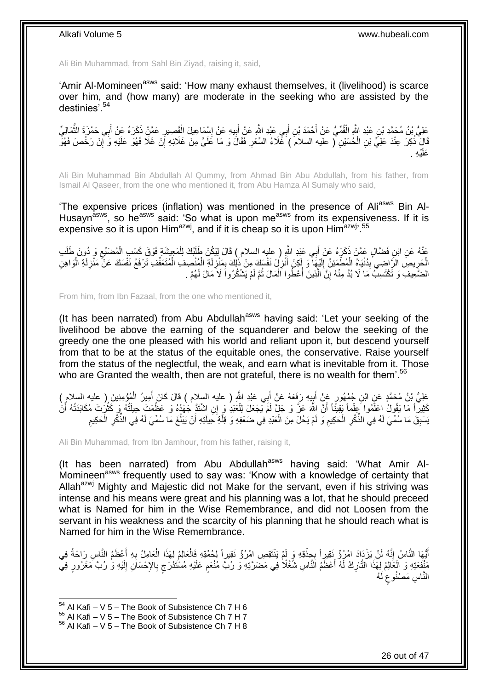Ali Bin Muhammad, from Sahl Bin Ziyad, raising it, said,

'Amir Al-Momineen<sup>asws</sup> said: 'How many exhaust themselves, it (livelihood) is scarce over him, and (how many) are moderate in the seeking who are assisted by the destinies'.<sup>54</sup>

َكِيُّ بْنُ مُحَمَّدِ بْنِ عَبْدِ اللَّهِ الْقُمِّيُّ عَنْ أَحْمَدَ بْنِ أَبِي عَبْدِ اللَّهِ عَنْ أَبِيهِ عَنْ إِسْمَاعِيلَ الْقَصِيرِ عَمَّنْ ذَكَرَهُ عَنْ أَبِي حَمْزَةَ النَّمَالِيِّ ِ ْ ِ **!** َ َ ْ ُ َ قَالَ ۖ ذُكِرَ عِنْدَ عَلِيٍّ بْنِ الْحُسَيْنِ لَّ عليه السلامَ ) غَّلَاءُ السِّعْرِ فَقَالَ وَ مَا عَلَيَّ مِنْ غَلَائِهِ إِنْ غَلَا فَهُوَ عَلَيْهِ وَ أَبِنْ رَخُصَ فَهُوَّ ِ ْ ِ ِ ْي ِه . َعلَ

Ali Bin Muhammad Bin Abdullah Al Qummy, from Ahmad Bin Abu Abdullah, from his father, from Ismail Al Qaseer, from the one who mentioned it, from Abu Hamza Al Sumaly who said,

'The expensive prices (inflation) was mentioned in the presence of Ali<sup>asws</sup> Bin Al-Husayn<sup>asws</sup>, so he<sup>asws</sup> said: 'So what is upon me<sup>asws</sup> from its expensiveness. If it is expensive so it is upon Him<sup>azwj</sup>, and if it is cheap so it is upon Him<sup>azwj</sup>.<sup>55</sup>

عَنْهُ عَنِ ابْنِ فَضَّالٍ عَمَّنْ ذَكَرَهُ عَنْ أَبِي عَيْدِ اللَّهِ ( عليه السلام ) قَالَ لِيَكُنْ طَلَبُكَ لِلْمَعِيشَةِ فَوْقَ كَسْبِ الْمُضَنِّعِ وَ دُوِنَ طَلَب ْ َ ِ ْ الْحَرِيصِّ الرَّاضِيِ بِدُنْيَاهُ الْمُطْمَئِنِّ إِلَيْهَا ۖ وَ إَكِنْ أَنْزِلُ نَفْسَكَ مِنْ ذَٰلِكَ بِمَنْزِلَةِ الْمُنْصِفِ الْمُتَعَفِّفِ تَرْفَعُ نَفْسَكَ عَنْ مَنْزِلَةِ الْوَاهِنِ ِ َ لَ  $\frac{1}{2}$ ْ ِ **∶** ْ ْ لَ ِ ْ ْ لَ **ٍ** ِ الضَّعِيفِ وَ تَكْتَسِبُّ مَا لَا بُدَّ مِنْهُ إِنَّ الَّذِينَ أُعْطُوا الْمَالَ ثُمَّ لَمْ يَشْكُرُوا لَا مَالَ لَهُمْ . ُ ْ ا<br>أ َّ יֲ<br>י

From him, from Ibn Fazaal, from the one who mentioned it,

(It has been narrated) from Abu Abdullah<sup>asws</sup> having said: 'Let your seeking of the livelihood be above the earning of the squanderer and below the seeking of the greedy one the one pleased with his world and reliant upon it, but descend yourself from that to be at the status of the equitable ones, the conservative. Raise yourself from the status of the neglectful, the weak, and earn what is inevitable from it. Those who are Granted the wealth, then are not grateful, there is no wealth for them'.<sup>56</sup>

عَلِيُّ بْنُ مُحَمَّدٍ عَنِ ابْنِ جُمْهُورٍ عَنْ أَبِيهِ رَفَعَهُ عَنْ أَبِي عَبْدِ اللَّهِ ( عليه السلام ) قَالَ كَانَ أَمِيرُ الْمُؤْمِنِينَ ( عليه السلام )<br>عَلَيُّ بْنُ مُحَمَّدٍ عَنِّي ابْنِ جُمْهُورٍ عَنْ أَبِيهِ رَفَ َ َ ¦ َ ْ كَثِيراً مَا يَقُولُ اعْلَمُوا عِلْماً يَقِيّنًا أَنَّ اللَّهَ عَنَّ وَ جَلٍّ لَمْ يَجْعَلْ لِلْعَبْدِ وَ إِنِ اشْتَذَ جَهْدُهُ وَ عَظَمَتْ حِيلَتُهُ وَ كَثُرُتْ مُكَابَدَتُهُ أَنْ ْ َ ا<br>انہ ْ ا<br>ا سْنِقَ مَا سُمِّيَ لَهُ فِي الذِّكْرِ الْحَكِيمِ وَ لَمْ يَحُلْ مِنَ الْعَبْدِ فِي ضَعْفِهِ وَ قِلَّةِ حَيلَتِهِ أَنْ يَبْلُغَ مَا سُمِّيَ لَهُ فِي الذِّكْرِ الْحَكِيمِ َ َّ ْ ِ ْ ِ ِ ِ ْ ِ

Ali Bin Muhammad, from Ibn Jamhour, from his father, raising it,

(It has been narrated) from Abu Abdullah<sup>asws</sup> having said: 'What Amir Al-Momineen<sup>asws</sup> frequently used to say was: 'Know with a knowledge of certainty that Allah<sup>azwj</sup> Mighty and Majestic did not Make for the servant, even if his striving was intense and his means were great and his planning was a lot, that he should preceed what is Named for him in the Wise Remembrance, and did not Loosen from the servant in his weakness and the scarcity of his planning that he should reach what is Named for him in the Wise Remembrance.

أَيُّهَا النَّاسُ إِنَّهُ لَنْ يَزْدَادَ امْرُؤٌ نَقِيرِاً بِجِذْقِهِ وَ لَمْ يَنْتَقِصِ امْرُؤٌ نَقِيراً لِحُمْقِهِ فَالْعَالِمُ لِهَذَا الْعَامِلُ بِهِ أَعْظَمُ النَّاسِ رَاحَةً فِي ْ **ٔ** ֦֦֦֧֝֝<u>֓</u> ِ َ َ **∶** ْ مُنْفَعَتِهِ وَ الْعَالِمُ لِهَذَا النَّارِكُ لَهُ أَعْظَمُ الَنَّاسِ شُغُلًا فِي مَضَرَّتِهِ وَ رُبَّ مُنْعَمٍ عَلَيْهِ مُسْتَدْرَجٍ بِالْإِحْسَانِ إِلَيْهِ وَ رُبَّ مَغْرُورٍ فِيُّ<br>نَفْعَلَمَ الْجَالِمُ لِهَذَا النَّارِ ٍ َ ِ ْ لَ ِ ِ ٍ ٍ النَّاسِ مَصْنُوعٍ لَهُ لَ

 $54$  Al Kafi – V 5 – The Book of Subsistence Ch 7 H 6

 $55$  Al Kafi – V 5 – The Book of Subsistence Ch 7 H 7

 $56$  Al Kafi – V 5 – The Book of Subsistence Ch 7 H 8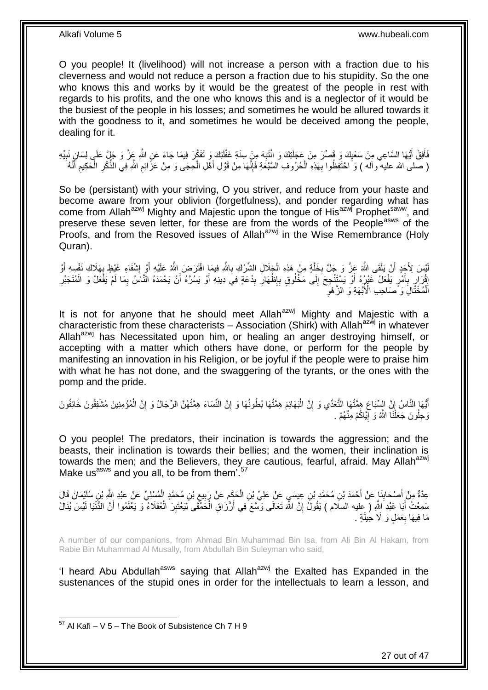O you people! It (livelihood) will not increase a person with a fraction due to his cleverness and would not reduce a person a fraction due to his stupidity. So the one who knows this and works by it would be the greatest of the people in rest with regards to his profits, and the one who knows this and is a neglector of it would be the busiest of the people in his losses; and sometimes he would be allured towards it with the goodness to it, and sometimes he would be deceived among the people, dealing for it.

فَأَفِقْ أَيُّهَا السَّاعِي مِنْ سَعْيِكَ وَ فَصِّرْ مِنْ عَجَلَتِكَ وَ انْتَبِهْ مِنْ سِنَةِ غَفْلَتِكَ وَ تَفَكَّرْ فِيمَا جَاءَ عَنِ اللَّهِ عَذَّ وَ جَلٍّ عَلَى لِسَانٍ نَبِيِّهِ لَ ِ ِ َ َ ِ ِ ( صَلَّى الله عليه ۖ وآله ) وَ احْتَفِظُوا بِهَذِهِ الْحُرُوفِ السَّبْعَةِ فَإِنَّهَا مِنْ قَوْلِ أَهْلِ الْحِجَى وَ مِنْ عَزَّائِمِ اللَّهِ فِي الذِّكْرِ الْحَكِيمِ أَنَّهُ ْ َ ِ ْ ِ ِ ْ ِ

So be (persistant) with your striving, O you striver, and reduce from your haste and become aware from your oblivion (forgetfulness), and ponder regarding what has come from Allah<sup>azwj</sup> Mighty and Majestic upon the tongue of His<sup>azwj</sup> Prophet<sup>saww</sup>, and preserve these seven letter, for these are from the words of the People<sup>asws</sup> of the Proofs, and from the Resoved issues of Allah $a^{2}$  in the Wise Remembrance (Holy Quran).

يْسَ لِأَجَدٍ أَنْ يَلْقَى اللَّهَ عَزَّ وَ جَلَّ بِخَلَّةٍ مِنْ هَذِهِ الْخِلَالِ الشَّرْكِ بِاللَّهِ فِيمَإِ افْتَرَضَ اللَّهُ عَلَيْهِ أَوْ إِشْفَاءِ غَيْظٍ بِهَلَاكِ نَفْسِهِ أَوْ ِ ْ َّ ِ ْ اً لَ **∶** ِ َ َ إِثْرَ إِرِ بِأَمْرٍ يَفْعَلُ غَيْرٍ هُ أَوْ يَسْتَتْجِحَ إِلَى مَخْلُوقٍ بِإِظْهَارِ بِدْعَةٍ فِيَ دِينِهِ أَوْ يَسْرَّهُ أَنْ يَحْمَدَهُ الْنَّاسُ بِمَا لَمْ يَفْعَلْ وَ الْمُتَجَبِّرِ اُ َ ِ ِ ∣∣<br>∶ **∶**  $\frac{1}{2}$ َ َ ِ ِ ِ ْ ِ ِ الْمُخْتَّالِۘ وَ ۖصَاحِبِ الْأَبَّهَةِ وَ ٱلزَّهْوِ ْ

It is not for anyone that he should meet Allah<sup>azwj</sup> Mighty and Majestic with a characteristic from these characterists – Association (Shirk) with Allah<sup>azwj</sup> in whatever Allah<sup>azwj</sup> has Necessitated upon him, or healing an anger destroying himself, or accepting with a matter which others have done, or perform for the people by manifesting an innovation in his Religion, or be joyful if the people were to praise him with what he has not done, and the swaggering of the tyrants, or the ones with the pomp and the pride.

أَيُّهَا النَّاسُ إِنَّ السِّبَاعَ هِمَّتُهَا التَّعَدِّي وَ إِنَّ الْبَهَائِمَ هِمَّتُهَا بُطُونُهَا وَ إِنَّ النِّسَاءَ هِمَّتُهُنَّ الرِّجَالُ وَ إِنَّ الْمُؤْمِنِينَ مُشْفِقُونَ خَائِفُونَ ِ ْ ِ ِ ْ ِ <u>֚֚֓</u>֛֖֦֧֦֧֚֡ وَحِلُونَ جَعَلَنَا اللَّهُ وَ إِيَّاكُمْ مِنْهُمْ .

O you people! The predators, their incination is towards the aggression; and the beasts, their inclination is towards their bellies; and the women, their inclination is towards the men; and the Believers, they are cautious, fearful, afraid. May Allah<sup>azwj</sup> Make us<sup>asws</sup> and you all, to be from them'.<sup>57</sup>

ْ عِدَّةٌ مِنْ أَصْحَابِذَإِ عَنْ أَحْمَدَ بْنِ مُحَمَّدِ بْنِ عِيسَيِ عَنْ عَلِيِّ بْنِ الْحَكَمِ عَنْ رَبِيعِ بْنِ مُحَمَّدٍ الْمُسْلِيِّ عَنْ عَبْدِ اللَّهِ بِنِ سُلَيْمَانَ قَالَ ِ ِ ِ ْ َ **∣** سَمِعْتُ أَبَا عَبْدِ اللَّهِ ( عِليه السلام ) يَقُولُ إِنَّ اللَّهَ تَعَالَى وَسَّعَ فِي أَرْزَاقِ الْحَمَّقَى لِيَعْتَبِرَ الْعُقَلَاءُ ۖ وَ يَعْلَمُوا أَنَّ الدُّنْيَا لَيْسَ يُنَالُ ْ ِ ْ َ ِ َ مَا فِيهَا بِعَمَلٍ وَ لَا حِيلَةٍ . **∶** 

A number of our companions, from Ahmad Bin Muhammad Bin Isa, from Ali Bin Al Hakam, from Rabie Bin Muhammad Al Musally, from Abdullah Bin Suleyman who said,

'I heard Abu Abdullah<sup>asws</sup> saying that Allah<sup>azwj</sup> the Exalted has Expanded in the sustenances of the stupid ones in order for the intellectuals to learn a lesson, and

<sup>1</sup>  $57$  Al Kafi – V 5 – The Book of Subsistence Ch 7 H 9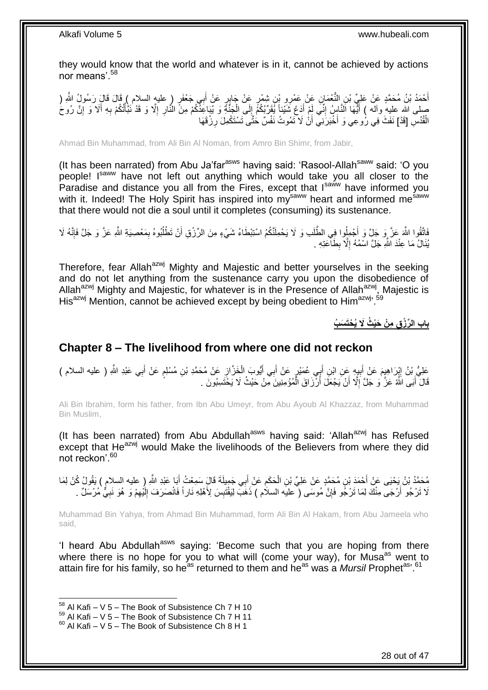they would know that the world and whatever is in it, cannot be achieved by actions nor means'.<sup>58</sup>

أَحْمَدُ بْنُ مُحَمَّدٍ عَنْ عَلِيِّ بْنِ النُّغْمَانِ عَنْ عَمْرِو بْنِ شِمْرٍ عَنْ جَابِرٍ عَنْ أَبِي جَعْفَرٍ ( عليه السلام ) قَالَ قَالَ رَسُولُ اللَّهِ (<br>أَحْمَدُ بْنُ مُحَمَّدٍ عَنْ عَلَيْ بْنِ النُّغْمَانِ عَنْ عَمْ َ َ صلى اللَّه عليهِ وآله ) أَيُّهَا اَلنَّاسُ إِنِّي لَمْ أَدَعُ شَيْئاً يُقَرِّبُكُمُّ إِلَى الْجَنَّةِ وَ يُبَاعِذُكُمْ مِنَّ النَّارِ إِلَّا وَ قَدْ نَبِّأُنُكُمْ بِهِ أَلَا وَ إِنَّ رُوحُ<br>ثُنُو حَدَّثتُهُ عَلِيهِ وآله ) ْ ∣∣<br>∶ ِ ِ َ ِ ُ ْ ِ الْقُدُسِ [قَدْ] نَفَثَ فِي رُوعِي وَ أُخْبَرَنِيْ أَنْ لَا تَمُوتُ نَفْسٌ حَتَّى تَسْتَكْمِلَ رِزْقَهَا اُ ْ ِ

Ahmad Bin Muhammad, from Ali Bin Al Noman, from Amro Bin Shimr, from Jabir,

(It has been narrated) from Abu Ja'far<sup>asws</sup> having said: 'Rasool-Allah<sup>saww</sup> said: 'O you people! Isaww have not left out anything which would take you all closer to the Paradise and distance you all from the Fires, except that Isaww have informed you with it. Indeed! The Holy Spirit has inspired into my<sup>saww</sup> heart and informed me<sup>saww</sup> that there would not die a soul until it completes (consuming) its sustenance.

الْقُوا اللَّهَ عَزَّ وَ جَلَّ وَ أَجْمِلُوا فِي الطَّلَبِ وَ لَا يَحْمِلَنَّكُمُ اسْتِبْطَاءُ شَيْءٍ مِنَ الرِّزْقِ أَنْ تَطْلُبُوهُ بِمَعْصِيبَةِ اللَّهِ عَزَّ وَ جَلَّ فَإِنَّهُ لَا  $\frac{1}{2}$ ِ ُ اُ يُّنَالُ مَا عِنْدَ اللَّهِ جَلَّ اسْمُهُ إِلَّا بِطَآْعَتِهِ . **ِ** ِ

Therefore, fear Allah<sup>azwj</sup> Mighty and Majestic and better yourselves in the seeking and do not let anything from the sustenance carry you upon the disobedience of Allah<sup>azwj</sup> Mighty and Majestic, for whatever is in the Presence of Allah<sup>azwj</sup>, Majestic is His<sup>azwj</sup> Mention, cannot be achieved except by being obedient to Him<sup>azwj, 59</sup>

**باب ال ِّر ْز ِق ِم ْن َحْي ُث َِل ُي ْحَت َس ُب**

## <span id="page-27-0"></span>**Chapter 8 – The livelihood from where one did not reckon**

عَلِيُّ بْنُ اِيْرَاهِيمَ عَنْ أَبِيهِ عَنِ ابْنِ أَبِي عُمَيْرٍ عَنْ أَبِي أَيُّوبَ الْخَزَّانِ عَنْ مُحَمَّدِ بْنِ مُسْلِمٍ عَنْ أَبِي عَبْدِ اللَّهِ ( عليه السلام ) ِ َ ٍ ِ ْ َ َ َ **!** َ قَالَ أَبَى اللَّهُ عَزَّ وَ جَلَّ إِلَّا أَنْ يَجْعَلَ أَرْزَاقَ الْمُؤْمِنِينَ مِّنْ حَيْثُ لَا يَخْتَسِبُونَ . ْ اُ ِ َ

Ali Bin Ibrahim, form his father, from Ibn Abu Umeyr, from Abu Ayoub Al Khazzaz, from Muhammad Bin Muslim,

(It has been narrated) from Abu Abdullah<sup>asws</sup> having said: 'Allah<sup>azwj</sup> has Refused except that He<sup>azwj</sup> would Make the livelihoods of the Believers from where they did not reckon'.<sup>60</sup>

مُحَمَّدُ بْنُ يَحْيَى عَنْ أَحْمَدَ بْنِ مُحَمَّدٍ عَنْ عَلِيِّ بْنِ الْحَكَمِ عَنْ أَبِي جَمِيلَةَ قَالٍَ سَمِعْتُ أَبَا عَبْدِ اللَّهِ ( عليه السلام ) يَقُولُ كُنْ لِمَا َ َ  $\ddot{\phantom{a}}$ ْ َ لَا تَرْجُو أَرْجَى مِنْكَ لِمَا تَرْجُو فَإِنَّ مُوسَى ("عليَه السلام ) ذَهَبَّ لِيَقْتَبِسَ لِأَهْلِهِ نَاراً فَانْصَرَفَ إِلَيْهِمْ وَ هُوَ نَبِيٌّ مُرْسَلٌ . ِ َ ِ ِ لَ ∣∣<br>∶ ِ

Muhammad Bin Yahya, from Ahmad Bin Muhammad, form Ali Bin Al Hakam, from Abu Jameela who said,

'I heard Abu Abdullah<sup>asws</sup> saying: 'Become such that you are hoping from there where there is no hope for you to what will (come your way), for Musa<sup>as</sup> went to attain fire for his family, so he<sup>as</sup> returned to them and he<sup>as</sup> was a *Mursil* Prophet<sup>as, 61</sup>

 $58$  Al Kafi – V 5 – The Book of Subsistence Ch 7 H 10

 $^{59}$  Al Kafi – V  $\overline{5}$  – The Book of Subsistence Ch 7 H 11

 $60$  Al Kafi – V 5 – The Book of Subsistence Ch 8 H 1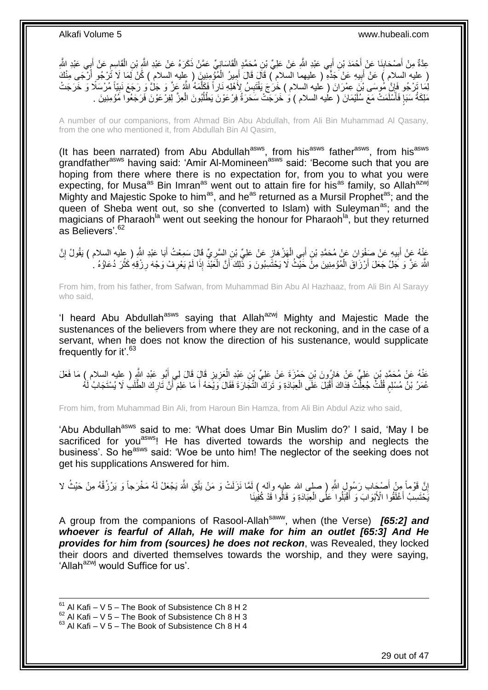عِدَّةٌ مِنْ أَصْحَابِنَا عَنْ أَحْمَدَ بْنِ أَبِي عَبْدِ اللَّهِ عَنْ عَلِيِّ بْنِ مُحَمَّدٍ الْقَاسَانِيِّ عَمَّنْ ذَكَرَهُ عَنْ عَبْدِ اللَّهِ بْنِ الْقَاسِمِ عَنْ أَبِي عَبْدِ اللَّهِ ْ اُ **∣** َ َ ِ ْ ( عليه السلام ) عَنْ أَبِيهِ عَنْ َجَدَّهِ ۖ ( عليهما السلام ) قَالَ قَالَ أَمِيرُ الْمُؤْمِنِينَ ( عِليه السلام ) كُنْ لَمَا لَا تُرْجُو أَرْجَى مِنْكَ ِ َ ْ َ لِّمَا تَرْجُو فَإِنَّ مُوسَى بْنَ عِمْرَانَ ( عَليه السلام ) خَرَجَ يَقْتَبِسُ لِأَهْلِهِ نَاراً فَكَلَّمَهُ اللَّهُ عَزَّ وَ جَلَّ وَ رَجَعَ نَبِيّاً مُرْسَلًا وَ خَرَجَتْ َّ **!** ِ **∶** مَلِكَةُ سَبَإٍ فَأَسْلَمَتْ مَعَ سُلَيْمَانَ ( عليه السلام ) وَ خَرَجَتْ سَحَرَةُ فِرْعَوْنَ يَطْلُبُونَ الْعِزَّ لِفِرْعَوْنَ فَرَجَعُوا مَؤْمِنِينَ . ْ ا<br>ا َ │

A number of our companions, from Ahmad Bin Abu Abdullah, from Ali Bin Muhammad Al Qasany, from the one who mentioned it, from Abdullah Bin Al Qasim,

(It has been narrated) from Abu Abdullah<sup>asws</sup>, from his<sup>asws</sup> father<sup>asws</sup>, from his<sup>asws</sup> grandfather<sup>asws</sup> having said: 'Amir Al-Momineen<sup>asws</sup> said: 'Become such that you are hoping from there where there is no expectation for, from you to what you were expecting, for Musa<sup>as</sup> Bin Imran<sup>as</sup> went out to attain fire for his<sup>as</sup> family, so Allah<sup>azwj</sup> Mighty and Majestic Spoke to him<sup>as</sup>, and he<sup>as</sup> returned as a Mursil Prophet<sup>as</sup>; and the queen of Sheba went out, so she (converted to Islam) with Suleyman<sup>as</sup>; and the magicians of Pharaoh<sup>la</sup> went out seeking the honour for Pharaoh<sup>la</sup>, but they returned as Believers<sup>' 62</sup>

عَنْهُ عَنْ أَبِيهِ عَنْ صَفْوَانَ عَنْ مُحَمَّدِ بْنِ أَبِي الْهَزْهَانِ عَنْ عَلِيِّ بْنِ السَّرِيِّ قَالَ سَمِعْتُ أَبَا عَبْدِ اللَّهِ ( عِليه السلام ) يَقُولُ إِنَّ َ ِ ِ ْ َ **!** َ ِ اللَّهَ عَنَّ وَ جَلَّ جَعَلَ أَرْزَاقَ الْمُؤْمِنِينَ مِنْ خَيْثُ لَا يَحْتَسِبُونَ وَ ذَّلِكَ أَنَّ الْغَبْذَ إِذَا لَمْ يَعْرِفْ وَجْهَ رِزْقِهِ كَثُرَ دُعَاؤُهُ لِ ْ اُ ا<br>ا ِ **∶** ْ اُ

From him, from his father, from Safwan, from Muhammad Bin Abu Al Hazhaaz, from Ali Bin Al Sarayy who said,

'I heard Abu Abdullah<sup>asws</sup> saying that Allah<sup>azwj</sup> Mighty and Majestic Made the sustenances of the believers from where they are not reckoning, and in the case of a servant, when he does not know the direction of his sustenance, would supplicate frequently for it'.<sup>63</sup>

عَنْهُ عَنْ مُحَمَّدٍ بْنِ عَلِيٍّ عَنْ هَارُونَ بْنِ حَمْزَةَ عَنْ عَلِيٍّ بْنِ عَبْدِ الْعَزِيزِ قَالَ لِي أَبُو عَبْدِ النَّهِ ( عِليه السلام ) مَا فَعَلَ<br>. َ **∶** ِ ْ عُمَرُ بْنُ مُسْلِمِ قُلْتُ جُعِلَّتُ فِدَاكَ أَقْبَلَ عَلَى الْعِبَادَةِ وَ تَرَكَ التِّجَارَةَ فَقَالَ وَيَكَهُ أَ مَا عَلِمَ أَنَّ تَارِكَ الطَّلَبِ لَا يُسْتَجَابُ لَهُ َ ْ َ ْ ْ ٍ ِ

From him, from Muhammad Bin Ali, from Haroun Bin Hamza, from Ali Bin Abdul Aziz who said,

'Abu Abdullah<sup>asws</sup> said to me: 'What does Umar Bin Muslim do?' I said, 'May I be sacrificed for you<sup>asws</sup>! He has diverted towards the worship and neglects the business'. So he<sup>asws</sup> said: 'Woe be unto him! The neglector of the seeking does not get his supplications Answered for him.

ْاِنَّ قَوْماً مِنْ أَصْبَحِاب رَسُولِ اللَّهِ ( صلى الله عليه وآلم ) لِمَّا نَزَلَتْ وَ مَنْ يَتَّقِ اللَّهَ يَجْعَلْ لَمُه مَخْرَجاً وَ يَرْزُقْهُ مِنْ حَيْثُ لا َ ا يَّخْتَسِبُ أَغْلَّقُوا الْأَبْوَابَ ۖ وَ أَقْبَلُوا عَلَٰى الْعِبَّادَةِ وَ قَالُوا قَدْ كُفِينَا ْ َ َ

A group from the companions of Rasool-Allah<sup>saww</sup>, when (the Verse) **[65:2] and** *whoever is fearful of Allah, He will make for him an outlet [65:3] And He provides for him from (sources) he does not reckon*, was Revealed, they locked their doors and diverted themselves towards the worship, and they were saying, 'Allah<sup>azwj</sup> would Suffice for us'.

 $61$  Al Kafi – V 5 – The Book of Subsistence Ch 8 H 2

 $^{62}$  Al Kafi – V 5 – The Book of Subsistence Ch 8 H 3

 $63$  Al Kafi – V 5 – The Book of Subsistence Ch 8 H 4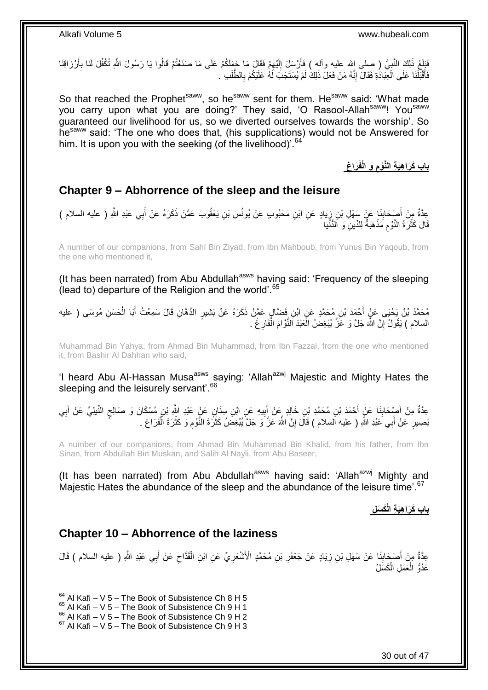فَلِّغَ ذَلِكَ النَّبِيَّ ( صلى اِلله عليه وآله ) فَأَرْسَلَ إِلَيْهِمْ فَقَالَ مَا حَمَلَكُمْ عَلَى مَا صَنَعْتُمْ قَالُوا يَا رَسُولَ اللَّهِ تُكُفِّلَ لَنَا بِأَرْزَاقِنَا ِ لَ ِ َ ្ត្ َ َ ِ فَأَقْبَلْنَا عَلَى الْعِبَادَةِ فَقَالَ إِنَّهُ مَنْ فَعَلّ ذَلِكَ لَمْ يُسْتَجَبْ لَهُ عَلَيْكُمْ بِالطَّلَبِ ٰ יִי (ו ْ ْ َ ِ لَ

So that reached the Prophet<sup>saww</sup>, so he<sup>saww</sup> sent for them. He<sup>saww</sup> said: 'What made you carry upon what you are doing?' They said, 'O Rasool-Allah<sup>saww</sup>! You<sup>saww</sup> guaranteed our livelihood for us, so we diverted ourselves towards the worship'. So hesaww said: 'The one who does that, (his supplications) would not be Answered for him. It is upon you with the seeking (of the livelihood)<sup>'.64</sup>

> **ِ َراغ َو الْفَ باب َكَرا ِهَي ِة الَّنْوم ِ**

### <span id="page-29-0"></span>**Chapter 9 – Abhorrence of the sleep and the leisure**

ِ عِدَّةٌ مِنْ أَصْحَابِنَا عَنْ سَهْلِ بْنِ زِيَادٍ عَنِ ابْنِ مَحْبُوبٍ عَنْ يُونُسَ بْنِ يَعْقُوبَ عَمَّنْ ذَكَرَهُ عَنْ أَبِي عَبْدِ اللَّهِ ( عليه السلام )<br>يَهْدُى تَّمُّسُ أَصَّبِحَابِنَا عَنْ سَمِّلْ بْنِ زِيَادٍ عَنِ َ ِ ِ َ قَالَ كَثْرَةُ النَّوْمِ مَذْهَبَةٌ لِلدِّينِۖ وَ اَلدُّنْيَا **ٔ** ِ ֦֘<u>֓</u>֖֖֖֖֧֓֓֓֓֓֝

A number of our companions, from Sahl Bin Ziyad, from Ibn Mahboub, from Yunus Bin Yaqoub, from the one who mentioned it,

(It has been narrated) from Abu Abdullah<sup>asws</sup> having said: 'Frequency of the sleeping (lead to) departure of the Religion and the world'.<sup>65</sup>

مُحَمَّدُ بْنُ يَحْيَى عَنٍْ أَحْمَدَ بْنِ مُحَمَّدٍ عَنِ ابْنِ فَضَّالٍ عَمَّنْ ذَكَرَهُ عَنْ بَشِيرٍ الدَّهَّانِ قَالَ سَمِعْتُ أَبَا الْحَسَنِ مُوسَى ( عليه ْ َ السلام ) يَقُولُ إِنَّ اللَّهَ جَلَّ وَ عََزَّ يُبْغِضُ الْعَبْدَ اَلنَّوَّامَ الْفَارِغَ . **∶** ْ **ٔ** اٍ

Muhammad Bin Yahya, from Ahmad Bin Muhammad, from Ibn Fazzal, from the one who mentioned it, from Bashir Al Dahhan who said,

'I heard Abu Al-Hassan Musa<sup>asws</sup> saying: 'Allah<sup>azwj</sup> Majestic and Mighty Hates the sleeping and the leisurely servant<sup>'.66</sup>

عِدَّةٌ مِنْ أَصْحَابِذَا عَنْ أَحْمَدَ بْنِ مُحَمَّدِ بْنِ خَالِدٍ عَنْ أَبِيهِ عَنِ ابْنِ سِذَانٍ عَنْ عَبْدِ اللَّهِ بْنِ مُسْكَانَ وَ صَالِحِ النَّبِلِيِّ عَنْ أَبِي َ **∣** َ ِ َ ٍ **!** َ بَصِيرٍ عَنْ أَبِي َعَبْدِ اللَّهِ ( عليه اَلسلام ) قَالَ إِنَّ اللَّهَ عَزَّ وَ جَلَّ يُبْغِضُ كَثْرَةَ النَّوْمِ وَ كَثْرَةَ الْفَرَاغِ . **ٔ** ِ **ٔ** ِ َ ِ ْ

A number of our companions, from Ahmad Bin Muhammad Bin Khalid, from his father, from Ibn Sinan, from Abdullah Bin Muskan, and Salih Al Nayli, from Abu Baseer,

(It has been narrated) from Abu Abdullah<sup>asws</sup> having said: 'Allah<sup>azwj</sup> Mighty and Majestic Hates the abundance of the sleep and the abundance of the leisure time'.<sup>67</sup>

**باب َكَرا ِهَي ِة الْ َك َس ِل**

### <span id="page-29-1"></span>**Chapter 10 – Abhorrence of the laziness**

َ عِدَّةٌ مِنْ أَصْدَابِنَا عَنْ سَهْلِ بْنِ زِيَادٍ عَنْ جَعْفَرِ بْنِ مُحَمَّدٍ الْأَشْعَرِيِّ عَنِ ابْنِ الْقَدَّاحِ عَنْ أَبِي عَبْدِ اللَّهِ ( عليه السلام ) قَالَ ِ ْ ِ ِ ِ **∣** َ عَدُوُّ الْعَمَلِ الْكَسَلُ ْ ْ

 $64$  Al Kafi – V 5 – The Book of Subsistence Ch 8 H 5

 $65$  Al Kafi – V 5 – The Book of Subsistence Ch 9 H 1

 $^{66}$  Al Kafi – V 5 – The Book of Subsistence Ch 9 H 2

 $67$  Al Kafi – V 5 – The Book of Subsistence Ch 9 H 3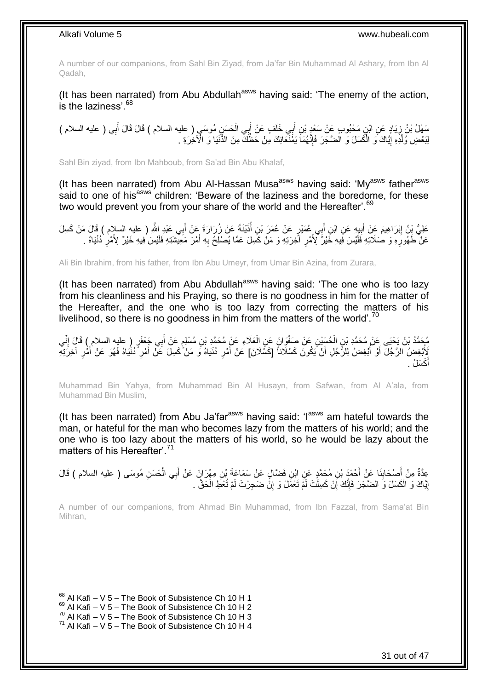A number of our companions, from Sahl Bin Ziyad, from Ja'far Bin Muhammad Al Ashary, from Ibn Al Qadah,

(It has been narrated) from Abu Abdullah<sup>asws</sup> having said: 'The enemy of the action,  $is$  the laziness'  $68$ 

سَهْلُ بْنُ زِيَادٍ عَنِ ابْنِ مَحْبُوبٍ عَنْ سَعْدٍ بْنِ أَبِي خَلَفٍ عَنْ أَبِي الْحَسَنِ مُوسَى ( عليه السلام ) قَالَ قَالَ أَبِي ( عليه السلام )<br>. ْ َ َ ِ ِ َ لِبَعْضِ وُلْدِهِ إِيَّاكَ وَ الْكَسَلَ وَ الْضَّجَرَ فَإِنَّهُمَا يَمْنَـٓعَانِكَ مِنْ حَظَّكَ مِنَ الذُّنْيَا وَ الْآخِرَةِ . ِ ْ ֖֧֚֚֚֚֚֚֚֚֚֚֚֚֚֓֡֡֓֡֘<u>֚֓</u> ْ

Sahl Bin ziyad, from Ibn Mahboub, from Sa'ad Bin Abu Khalaf,

(It has been narrated) from Abu Al-Hassan Musa<sup>asws</sup> having said: 'My<sup>asws</sup> father<sup>asws</sup> said to one of his<sup>asws</sup> children: 'Beware of the laziness and the boredome, for these two would prevent you from your share of the world and the Hereafter'.<sup>69</sup>

عَلِيُّ بِنُ إِبْرَاهِيمَ عَنْ أَبِيهِ عَنِ ابْنِ أَبِي عُمَيْرٍ عَنْ عُمَرَ بْنِ أُذَيْنَةً عَنْ زُرَارَةَ عَنْ أَبِي عَبْدِ اللَّهِ ( عليه السلام ) قَالَ مَنْ كَسِلَ<br>. **∣** َ َ َ عَنْ ۖ طَهُورِ هِ وَ صَلاَتِهِ فَلَيْسَ فِيهِ خَيْرٌ ۗ لِأَمْرِ ۚ أَخِرَتِهِ وَ مَنْ كَسِلَ عَمَّا يُصْلِحُ بِهِ أَمْرَ مَعِيشَنَةِ فَلَيْسَ فِيهِ خَيْرٌ ۗ لِأَمْرِ دُنْيَاهُ . َ **∶** ِ ِ ِ

Ali Bin Ibrahim, from his father, from Ibn Abu Umeyr, from Umar Bin Azina, from Zurara,

(It has been narrated) from Abu Abdullah $a<sup>asws</sup>$  having said: 'The one who is too lazy from his cleanliness and his Praying, so there is no goodness in him for the matter of the Hereafter, and the one who is too lazy from correcting the matters of his livelihood, so there is no goodness in him from the matters of the world'.<sup>70</sup>

يُحَمَّدُ بْنُ يَحْيَى عَنْ مُحَمَّدِ بْنِ الْحُسَيْنِ عَنْ صَغْوَانَ عَنِ الْعَلَاءِ عَنْ مُحَمَّدٍ بْنِ مُسْلِمٍ عَنْ أَبِي جَعْفَرٍ ( عليه السلام ) قَالَ إِنِّي ْ ِ َ ֧֖֧֖֖֖֖֧֧֖֖֧֧֧֧֦֧֧֧֦֧֧֚֚֚֚֚֚֚֚֝֝֟֓֝֓֝֓֟֓֝֬֟֓֟֓֟֓֝֬֝֓֝֓֟֓֡֬֓֝֬֝֓֟֓֓֝֬ ْ َ لِأُبْغِضُ الزَّجُلَ أَوْ أُبْغِضُ لِلْرِّجُلِ أَنْ يَكُونَ كَسْلَاناً [كَسِّلَانَ] عَنْ أَمْرِ دُنْيَاهُ وَ مَنْ كَسِلَ عَنْ أَمْرِ دُنْيَاهُ فَهُوَ عَنْ أَمْرِ آخِرَتِهِ ِ َ اً ُ ِ ِ َ أَكْسَلُ . َ

Muhammad Bin Yahya, from Muhammad Bin Al Husayn, from Safwan, from Al A'ala, from Muhammad Bin Muslim,

(It has been narrated) from Abu Ja'far<sup>asws</sup> having said: ' $I^{asws}$  am hateful towards the man, or hateful for the man who becomes lazy from the matters of his world; and the one who is too lazy about the matters of his world, so he would be lazy about the matters of his Hereafter<sup>' 71</sup>

A number of our companions, from Ahmad Bin Muhammad, from Ibn Fazzal, from Sama'at Bin Mihran,

عِدَّةٌ مِنْ أَصْحَابِنَا عَنْ أَحْمَدَ بْنِ مُحَمَّدٍ عَنِ ابْنِ فَضَّالٍ عَنْ سَمَاعَةَ بْنِ مِهْرَانَ عَنْ أَبِي الْحَسَنِ مُوسَى ( عليه السلام ) قَالَ َ ِ َ ْ َ إِيَّاكَ وَ الْكَسَلَ وَ الضَّجَرَ فَإِنَّكَ إِنْ كَسِلْتَ لَمْ تَعْمَلْ وَ إِنَّ ضَجِرْتَ لَمْ تُعْطِ الْحَقَّ . ْ ِ ْ ِ ِ ْ <u>֖֚֚֚֚֚֓</u>

 $68$  Al Kafi – V 5 – The Book of Subsistence Ch 10 H 1

 $69$  Al Kafi – V 5 – The Book of Subsistence Ch 10 H 2

 $^{70}$  Al Kafi – V 5 – The Book of Subsistence Ch 10 H 3

 $71$  Al Kafi – V 5 – The Book of Subsistence Ch 10 H 4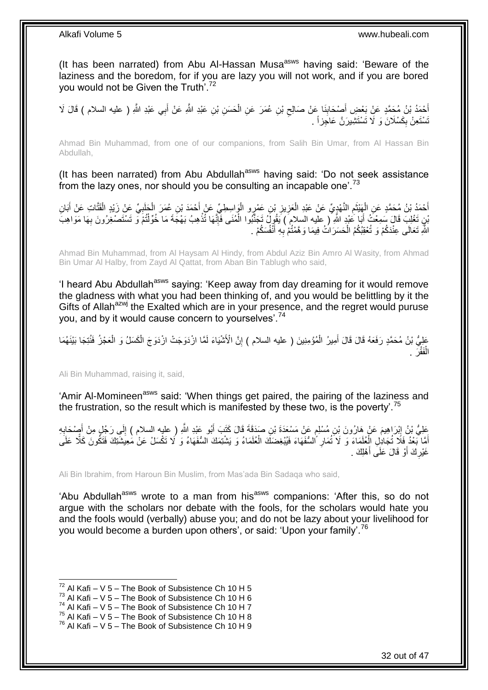(It has been narrated) from Abu Al-Hassan Musa<sup>asws</sup> having said: 'Beware of the laziness and the boredom, for if you are lazy you will not work, and if you are bored you would not be Given the Truth<sup>'.72</sup>

أَحْمَدُ بْنُ مُحَمَّدٍ عَنْ بَعْضِ أَصِنْحَابِنَا عَنْ صَالِحٍ بْنِ عُمَرَ عَنِ الْحَسَنِ بْنِ عَبْدِ اللَّهِ عَنْ أَبِي عَبْدِ اللَّهِ ( عليه السلام ) قَالَ لَا<br>بَيْتِ اللَّهِ ( َ َ َ ْ  $\zeta$ **∣** تَسْتَعِنْ بِكَسْلَانَ وَ لَا تَسْتَشِيرَنَّ عَاجِزاً <sub>.</sub> ِ

Ahmad Bin Muhammad, from one of our companions, from Salih Bin Umar, from Al Hassan Bin Abdullah,

(It has been narrated) from Abu Abdullah<sup>asws</sup> having said: 'Do not seek assistance from the lazy ones, nor should you be consulting an incapable one'.<sup>73</sup>

أَحْمَدُ بْنُ مُحَمَّدٍ عَنِ الْهَنْثَمِ النَّهْدِيِّ عَنْ عَبْدِ الْعَزِيزِ بْنِ عَمْرٍو الْوَاسِطِيِّ عَنْ أَحْمَدَ بْنِ عُمَرَ الْحَلَبِيِّ عَنْ زَيْدٍ الْقَتَّاتِ عَنْ أَبَانِ َ ْ ِ ِ ْ ِ  $\ddot{\phantom{0}}$ ْ َ َ ْ ِ ْ ْنِنِ تَغْلِبَ قَالَ سَمِعْتُ أَبَا عَبْدٍ اللَّهِ ( عليه السلام ) يَقُولُ تَجَنَّبُوا الْمُنَى فَإِنَّهَا تُذْهِبُ بَهْجَةَ مَا خُوِّلْتُمْ وَ تَسْتَصْغِرُونَ بِهَا مَوَاهِبَ َ ِ ْ **ٔ** ِ ْ اللَّهِ تَعَالَى عِنْدَكُمْ وَ تُعْقِبُكُمُ الْحَسَرَاتُ فِيمَا وَهَّمْتُمْ بِهِ أَنْفُسَكُمْ . َ ِ ْ

Ahmad Bin Muhammad, from Al Haysam Al Hindy, from Abdul Aziz Bin Amro Al Wasity, from Ahmad Bin Umar Al Halby, from Zayd Al Qattat, from Aban Bin Tablugh who said,

'I heard Abu Abdullah<sup>asws</sup> saying: 'Keep away from day dreaming for it would remove the gladness with what you had been thinking of, and you would be belittling by it the Gifts of Allah<sup>azwj</sup> the Exalted which are in your presence, and the regret would puruse you, and by it would cause concern to yourselves'.<sup>74</sup>

عَلِيُّ بْنُ مُحَمَّدٍ رَفَعَهُ قَالَ قَالَ أَمِيرُ الْمُؤْمِنِينَ ( عليه السلام ) إِنَّ الْأَشْيَاءَ لَمَّا ازْدَوَجَتْ ازْدَوَجَ الْكَسَلُ وَ الْعَجْزُ فَنُتِجَا بَيْنَهُمَا ِ ْ َ ْ ْ الْفَقْرَ . ْ

Ali Bin Muhammad, raising it, said,

'Amir Al-Momineen<sup>asws</sup> said: 'When things get paired, the pairing of the laziness and the frustration, so the result which is manifested by these two, is the poverty'.<sup>15</sup>

عَلِيُّ بْنُ إِبْرَاهِيمَ عَنْ هَارُونَ بْنِ مُسْلِمٍ عَنْ مَسْعَدَةَ بْنِ صَدَقَةَ قَالَ كَتَبَ أَبُو عَبْدِ اللَّهِ ( عليه السلام ) إِلَي رَجُلٍ مِنْ أَصْحَابِهِ َ ٍ **∣** ِ َ ِ أَمَّا بَعْدُ فَلَا تُجَادِلِ الْعُلَمَاءَ وَ لَا تُمَارِ السُّفَهَاءَ فَيُبْغِضَكَ الْعُلَمَاءُ وَ يَشْتِمَكَ السُّفَهَاءُ وَ لَا تَكْسَلْ عَنْ مَعِيشَتِكَ فَتَكُونَ كَلَّا عَلَى ْ ْ ِ لَ غَيْرِكَ أَوْ قَالَ عَلَى أَهْلِكَ . َ َ **∶** 

Ali Bin Ibrahim, from Haroun Bin Muslim, from Mas'ada Bin Sadaqa who said,

'Abu Abdullah<sup>asws</sup> wrote to a man from his<sup>asws</sup> companions: 'After this, so do not argue with the scholars nor debate with the fools, for the scholars would hate you and the fools would (verbally) abuse you; and do not be lazy about your livelihood for you would become a burden upon others', or said: 'Upon your family'.<sup>76</sup>

 $72$  Al Kafi – V 5 – The Book of Subsistence Ch 10 H 5

 $^{73}$  Al Kafi – V 5 – The Book of Subsistence Ch 10 H 6

 $74$  Al Kafi – V 5 – The Book of Subsistence Ch 10 H 7

 $75$  Al Kafi – V  $5$  – The Book of Subsistence Ch 10 H 8

 $76$  Al Kafi – V 5 – The Book of Subsistence Ch 10 H 9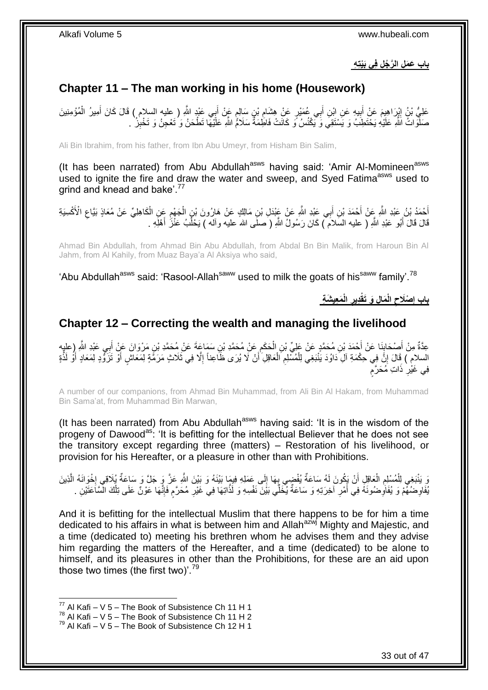**باب َع َم ِل ال َّر ُج ِل فِي َبْيتِ ِه**

# <span id="page-32-0"></span>**Chapter 11 – The man working in his home (Housework)**

عَلِيُّ بْنُ إِيْرَاهِيِمَ عَنْ أَبِيهِ عَنِ اِبْنِ أَبِي عُمَيْرٍ عَنْ هِشَامٍ بْنِ سَالِمٍ عَنْ أَبِي عَبْدٍ اللَّهِ ( عليه السلام ) قَالَ كَانَ أَمِيرُ الْمُؤْمِنِينَ َ ֧֖֧֧֧֧֧֧֧֧֧֧֧֧֚֚֚֚֚֚֚֚֚֚֚֚֚֚֚֚֚֚֚֚֚֚֚֚֚֝֝֝֝֝֓֝֓֝֓֝֓֝֓֝֬֝֓֝֓֡֝֬֝֬֝֬֜ ِ َ ِ َ **֓**ׇ֦֦֦֖֦֓֡֝֝ ْ َ صَلَّوۡ اتۡ اَللَّهِ عَلَيۡهِ يَحۡتَظِبُ وَ يَاشَتَقِيَ وَ يَكۡنُسُ ۗ وَ كَانَتْ فَاطَِٰمَةٌ سَلَامُ اللَّهِ عَلَيْهَا تَطۡحَنُ وَ تُعۡجِنُ وَ تَخْبِرُ ۚ . ِ

Ali Bin Ibrahim, from his father, from Ibn Abu Umeyr, from Hisham Bin Salim,

(It has been narrated) from Abu Abdullah<sup>asws</sup> having said: 'Amir Al-Momineen<sup>asws</sup> used to ignite the fire and draw the water and sweep, and Syed Fatima<sup>asws</sup> used to grind and knead and bake'.<sup>77</sup>

ِ أَحْمَدُ بْنُ عَبْدِ اللَّهِ عِنْ أَحْمَدَ بْنِ أَبِي عَبْدِ اللَّهِ عَنْ عَبْدَلِ بْنِ مَالِكٍ عَنْ هَارُونَ بْنِ الْجَهْمِ عَنِ الْكَاهِلِيِّ عَنْ مُعَاذٍ بَيَّاعِ الْأَكْسِيَةِ ْ َ َ ِ ْ قَالَ قَالَ أَبُو عَبْدِ اللَّهِ ( عليه السَلاَمَ ّ) كَانَ رَسُولُ اللَّهِ ( َصلَى الله عليه وآله ) يَحْلُبُ عَنْزُ أَهْلَهِ . َ َ ُ

Ahmad Bin Abdullah, from Ahmad Bin Abu Abdullah, from Abdal Bn Bin Malik, from Haroun Bin Al Jahm, from Al Kahily, from Muaz Baya'a Al Aksiya who said,

'Abu Abdullah<sup>asws</sup> said: 'Rasool-Allah<sup>saww</sup> used to milk the goats of his<sup>saww</sup> family'.<sup>78</sup>

**َم ِعي َش ِة الْ ِدير َما ِل َو َتقْ الْ ْصَالح باب إ ِ ِ ِ**

## <span id="page-32-1"></span>**Chapter 12 – Correcting the wealth and managing the livelihood**

عِدَّةٌ مِنْ أَصْحَابِنَا عَنْ أَحْمَدَ بْنِ مُحَمَّدٍ عَنْ عَلِيِّ بْنِ الْحَكَمِ عَنْ مُحَمَّدِ بْنِ سَمَاعَةَ عَنْ مُحَمَّدِ بْنِ مَرْوَانَ عَنْ أَبِي عَبْدِ اللَّهِ رِعلِيهِ ِ ْ َ **⊥** َ اُ السلامِ ) قَالَ إِنَّ فِي حِكْمَةِ آلِ َدَاوُدَ يَنْبَغِي لِلْمُسْلِمِ الْعَاقِلِ أَنْ لَا يُرَى ظَاعِناً إِلَّا فِي ثَلَاثٍ مَرَمَّةٍ لِمَعَاشٍ أَوْ تَزَوُّدٍ لِمَعَادٍ أَوْ لَذَّةٍ ْ ِ ْ ֝׀֧<br>֧֧֪֝֜֘ َ َ ِ ٍ فِي غَيْٰرِ ذَاتِ مُحَرَّم ِ

A number of our companions, from Ahmad Bin Muhammad, from Ali Bin Al Hakam, from Muhammad Bin Sama'at, from Muhammad Bin Marwan,

(It has been narrated) from Abu Abdullah<sup>asws</sup> having said: 'It is in the wisdom of the progeny of Dawood<sup>as</sup>: 'It is befitting for the intellectual Believer that he does not see the transitory except regarding three (matters) – Restoration of his livelihood, or provision for his Hereafter, or a pleasure in other than with Prohibitions.

وَ يَنْبَغِي لِلْمُسْلِمِ الْعَاقِلِ أَنْ يَكُونَ لَهُ سَاعَةٌ يُفْضِي بِهَا إِلَى عَمَلِهِ فِيمَا بَيْنَهُ وَ بَيْنَ اللَّهِ عَنَّ وَِ جَلَّ وَ سَاعَةٌ يُلَاقِي إِخْوَانَهُ الَّذِينَ  $\frac{1}{2}$ ِ َ ْ ِ ْ  $\frac{1}{2}$ َّ م ُفَاوِضُهُّمْ وَ يُفَاوِضُونَهُ فِي أَمْرِ آخِرَتِهِ وَ سَاعَةٌ يُخَلِّي بَيْنَ نَفْسِهِ وَ لَذَّاتِهَا فِي غَيْرِ مُحَرَّمٍ فَإِنَّهَا عَوْنٌ عَلَى تِلْكَ الْمَنَاعَتَيْنِ . ِ ِ َ ِ ِ ْ ׀ו<br>ِי

And it is befitting for the intellectual Muslim that there happens to be for him a time dedicated to his affairs in what is between him and Allah<sup>azwj</sup> Mighty and Majestic, and a time (dedicated to) meeting his brethren whom he advises them and they advise him regarding the matters of the Hereafter, and a time (dedicated) to be alone to himself, and its pleasures in other than the Prohibitions, for these are an aid upon those two times (the first two)'.<sup>79</sup>

 $^{77}$  Al Kafi – V 5 – The Book of Subsistence Ch 11 H 1

 $^{78}$  Al Kafi – V 5 – The Book of Subsistence Ch 11 H 2

 $^{79}$  Al Kafi – V 5 – The Book of Subsistence Ch 12 H 1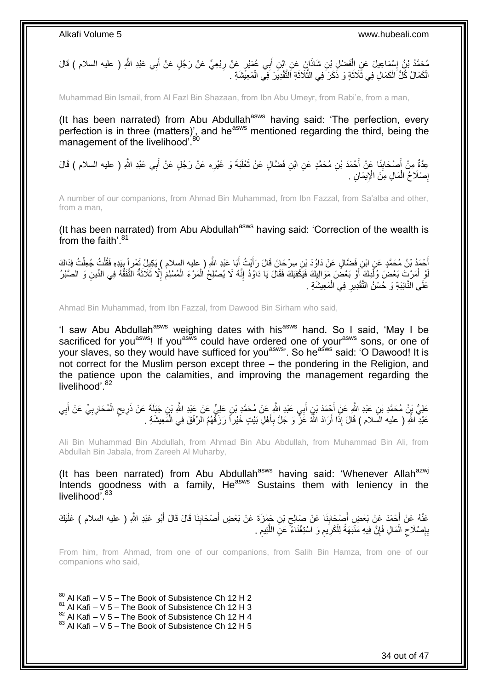ِي َعْب ب ْب ِع ٍّي َع ْن َر ُج ٍل َع ْن أ ٍر َع ْن ر ِي ُع َمْي ب ِن أ ا َن َع ِن اْب ِن َشاذَ َف ْض ِل ْب ْس َما ِعي َل َع ِن ال ََّّللا ُم َح َّمُد ْب ُن إ ِد ِ ) عليه السالم ( َقا َلَ ِ َ ْ ∣l<br>∶ الْكَمَالُ كُلُّ الْكَمَالِ فِي ثَلَاثَةٍ وَ ذَكَرَ فِي الثَّلَاثَةِ اَلتَّقْدِيرَ فِي الْمَعِيَّشَةِ . ْ ة<br>أ َّ ة<br>أ ْ ْ

Muhammad Bin Ismail, from Al Fazl Bin Shazaan, from Ibn Abu Umeyr, from Rabi'e, from a man,

(It has been narrated) from Abu Abdullah<sup>asws</sup> having said: 'The perfection, every perfection is in three (matters)', and he<sup>asws</sup> mentioned regarding the third, being the management of the livelihood<sup>'80</sup>

عِدَّةٌ مِنْ أَصْحَابِنَا عَنْ أَحْمَدَ بْنِ مُحَمَّدٍ عَنِ ابْنِ فَضَّالٍ عَنْ ثَعْلَبَةَ وَ غَيْرِهِ عَنْ رَجُلٍ عَنْ أَبِي عَبْدِ اللَّهِ ( عليه السلام ) قَالَ **∣** َ َ ِ َ إِصْلَاحُ الْمَالِ مِنَ الْإِيمَانِ . ْ ِ

A number of our companions, from Ahmad Bin Muhammad, from Ibn Fazzal, from Sa'alba and other, from a man,

(It has been narrated) from Abu Abdullah<sup>asws</sup> having said: 'Correction of the wealth is from the faith'.<sup>81</sup>

أَحْمَدُ بْنُ مُحَمَّدٍ عَنِ ابْنِ فَضَّالٍ عَنْ دَاوُدَ بْنِ سِرْحَانَ قَالَ رَأَيْتُ أَبَا عَبْدِ اللَّهِ ( عليه السلام ) يَكِبِلُ تَمْرٍ إِّ بِيَدِهِ فَقُلْتُ جُعِلْتُ فِدَاكَ<br>أَحْمَدُ بْنُ مُحَمَّدٍ عنِ ابْنِ فَضَّالٍ َ َ ْ ْ ِ لْوِ أَمَرْتَ بَعْضَ وُلِّدِكَ ۖ أَوْ بَعْضَ مَوَالِيِكَ فَيَكْفِيَكَ فَقَالَ يَا دَاوُدُ إِنَّهُ لَا يُصْلِحُ الْمَرْءَ الْمُسْلِمَ إِلَّا ثَلَاثَةٌ النَّفَقُّهُ فِي الدِّينِ وَ الصَّبْرُ ْ ْ ِ َ ْ َ ِ عَلَى النَّائِبَةِ وَ حُسْنُ التَّقْدِيرِ فِي الْمَعِيشَةِ . ْ **ٍ** 

Ahmad Bin Muhammad, from Ibn Fazzal, from Dawood Bin Sirham who said,

'I saw Abu Abdullah<sup>asws</sup> weighing dates with his<sup>asws</sup> hand. So I said, 'May I be sacrificed for you<sup>asws</sup>! If you<sup>asws</sup> could have ordered one of your<sup>asws</sup> sons, or one of your slaves, so they would have sufficed for you<sup>asws</sup>. So he<sup>asws</sup> said: 'O Dawood! It is not correct for the Muslim person except three – the pondering in the Religion, and the patience upon the calamities, and improving the management regarding the livelihood'.<sup>82</sup>

عَلِيُّ بِنُ مُحَمَّدِ بْنِ عَبْدِ اللَّهِ عَنْ أَجْمَدَ بْنِ أَبِي عَبْدِ اللَّهِ عَنْ مُحَمَّدِ بْنِ عَلِيٍّ عَنْ عَبْدِ اللَّهِ بْنِ جَبَلَةَ عَنْ ذَرِيحِ الْمُحَارِبِيِّ عَنْ أَبِي َ َ ِ َ ِ ِ ْ ٍ ِ عَبْدِ اللَّهِ ( عليه السلام ) قَالَ إِذَا أَرَادَ اللَّهُ عََنَّ وَ جَلَّ بِأَهْلِ بَيْتٍ خَيْرٍ اَ رَزَقَهُمُ الرِّفْقَ فِي الْمَعِيشَةِ . َ **∶** َ ْ

Ali Bin Muhammad Bin Abdullah, from Ahmad Bin Abu Abdullah, from Muhammad Bin Ali, from Abdullah Bin Jabala, from Zareeh Al Muharby,

(It has been narrated) from Abu Abdullah<sup>asws</sup> having said: 'Whenever Allah<sup>azwj</sup> Intends goodness with a family, He<sup>asws</sup> Sustains them with leniency in the livelihood<sup>783</sup>

عَنْهُ عَنْ أَحْمَدَ عَنْ بَعْضٍ أَصِبْحَابِنَا عَنْ صَالِحِ بْنِ جَمْزَةَ عَنْ بَعْضِ أَصْحَابِنَا قَالَ قَالَ أَبُو عَبْدِ اللَّهِ ( عليه السلام ) عَلَيْكَ َ ِ َ ِ ِ َ بِإِصْلَاحِ الْمَالِ فَإِنَّ فِيهِ مَنْبَهَةً لِلْكَرِيمِ وَ اسْتِغْنَاءً ۚ عَنِ اللَّٰئِيمِ . ِ ِ ِ َّ ِ ِ ْ ِ ْ ِ

From him, from Ahmad, from one of our companions, from Salih Bin Hamza, from one of our companions who said,

 $80$  Al Kafi – V 5 – The Book of Subsistence Ch 12 H 2

1

- $81$  Al Kafi V 5 The Book of Subsistence Ch 12 H 3
- $82$  Al Kafi V  $5$  The Book of Subsistence Ch 12 H 4

 $83$  Al Kafi – V 5 – The Book of Subsistence Ch 12 H 5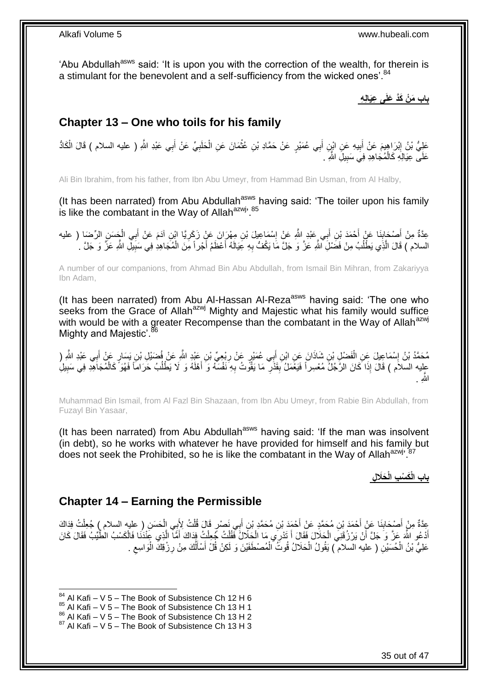'Abu Abdullah<sup>asws</sup> said: 'It is upon you with the correction of the wealth, for therein is a stimulant for the benevolent and a self-sufficiency from the wicked ones'.<sup>84</sup>

**باب َم ْن َكَّد َعلَى ِعَيالِ ِه**

# <span id="page-34-0"></span>**Chapter 13 – One who toils for his family**

عَلِيُّ بْنُ إِبْرَاهِيمَ عَنْ أَبِيهِ عَنِ ابْنِ أَبِي عُمَيْرٍ عَنْ حَمَّادِ بْنِ عُثْمَانَ عَنِ الْحَلَبِيِّ عَنْ أَبِي عَبْدِ اللَّهِ ( عليه السلام ) قَالَ الْكَادُّ َ ِ َ **ֽוּ** ْ َ **∶** ْ ْ عَلَى عِيَالِهِ كَالْمُجَاهِدِ فِيَ سَبِيلَِ الثَّهِ َ ـ ِ ْ

Ali Bin Ibrahim, from his father, from Ibn Abu Umeyr, from Hammad Bin Usman, from Al Halby,

(It has been narrated) from Abu Abdullah<sup>asws</sup> having said: 'The toiler upon his family is like the combatant in the Way of Allah $a$ <sup>2Wj, 85</sup>

عِدَّةٌ مِنْ أَصْحَابِنَا عَنْ أَحْمَدَ بْنِ أَبِي عَبْدِ اللَّهِ عَنْ إِسْمَاعِيلَ بْنِ مِهْرَانَ عَنْ زَكَرِيًا ابْنِ آدَمَ عَنْ أَبِي الْجَسَنِ الرِّضَا ( عليه ِ ِ َ َ **∣** َ ْ َ السلام ) قَالَ الَّذِي يَطْلُبُ مِنْ فَضَلِّ اللَّهِ عَزَّ وَ جَلَّ مَا يَكُفُّ بِهِ عِيَالَهُ أَعْظَمُ أَجْراً مِّنَ الْمُجَاهِدِ فِي سَبَبِلِّ اللَّهِ عَزَّ وَ جَلَّ . ْ َ َ **∶** ُ ِ

A number of our companions, from Ahmad Bin Abu Abdullah, from Ismail Bin Mihran, from Zakariyya Ibn Adam,

(It has been narrated) from Abu Al-Hassan Al-Reza<sup>asws</sup> having said: 'The one who seeks from the Grace of Allah<sup>azwj</sup> Mighty and Majestic what his family would suffice with would be with a greater Recompense than the combatant in the Way of Allah<sup>azwj</sup> Mighty and Majestic'.<sup>86</sup>

مُحَمَّدُ بْنُ إِسْمَاعِيلَ عَنِ الْفَضْلِ بْنِ شَاذَانَ عَنِ ابْنِ أَبِي عُمَيْرٍ عَنْ رِبْعِيِّ بْنِ عَبْدِ اللَّهِ عَنْ فُضَيْلِ بْنِ يَسَارٍ عَنْ أَبِي عَبْدِ اللَّهِ ( ِ َ ْ יִין<br>∶ َ عِلِيه السلاَم ) قَالَ إِذَا كَانَ الرَّجُلُّ مُعْسِراً فَيَغْمَلُ بِقَذْرٍ مَا يَقُونُ بِهِ نَفْسَهُ وَ أَهْلَهُ وَ لَا يَطْلُبُ حَرَاماً فَهُوَ ۚ كَالْمُجَاهِدِ فِي سَبِيلِ ُ َ ِ ِ **∣** ْ ََّّللاِ .

Muhammad Bin Ismail, from Al Fazl Bin Shazaan, from Ibn Abu Umeyr, from Rabie Bin Abdullah, from Fuzayl Bin Yasaar,

(It has been narrated) from Abu Abdullah<sup>asws</sup> having said: 'If the man was insolvent (in debt), so he works with whatever he have provided for himself and his family but does not seek the Prohibited, so he is like the combatant in the Way of Allah<sup>azwj</sup><sup>57</sup>

**َحَال ِل باب الْ َك ْس ِب الْ**

## <span id="page-34-1"></span>**Chapter 14 – Earning the Permissible**

عِدَّةٌ مِنْ أَصْحَابِنَا عَنْ أَحْمَدَ بْنِ مُحَمَّدٍ عَنْ أَحْمَدَ بْنِ مُحَمَّدٍ بْنِ أَبِي نَصْرٍ قَالَ قُلْتُ لِأَبِي الْحَسَنِ ( عليه السلام ) جُعِلْتُ فِذَاكَ<br>أَمَدتُ الْمَسْرَ الْمَسْرَ الْمَسْرَ الْمَسْرَ الْمَسْ َ َ **ِ** َ ْ ْ ْ َ اْدْعُو اللَّهَ عَزَّ وَ جَلَّ أَنْ يَرْزُقَنِيَ الْحَلَالَ فَقَالَ أَ تَذْرِي مَا الْحَلَالُ فَقُلْتُ جُعِلْت<br>المُمْرِدِ فَقَالَ الْحَلَّةِ الْمَرْسَلَةِ مِنْ الْحَلَالِ فَقَالَ أَ تَذْرِي مَا الْحَلَالُ فَقُلْتُ جُعِلْت َ ْ ْ ْ َ ْ َ َ ْ ْ عَلِيُّ بْنُ الْحُسَيْنِ ( عليه السلام ) يَقُولُ الْحَلَالُ قُوتُ الْمُصْطَفَيْنَ وَ لَكِنْ قُلْ أَسْأَلُكَ مِنْ رِزْقِكَ الْوَاسِعِ . ِ ُ َ َ ْ ْ ْ ِ

<sup>1</sup>  $84$  Al Kafi – V 5 – The Book of Subsistence Ch 12 H 6

<sup>85</sup> Al Kafi – V 5 – The Book of Subsistence Ch 13 H 1

 $^{86}_{-2}$  Al Kafi – V 5 – The Book of Subsistence Ch 13 H 2

 $87$  Al Kafi – V 5 – The Book of Subsistence Ch 13 H 3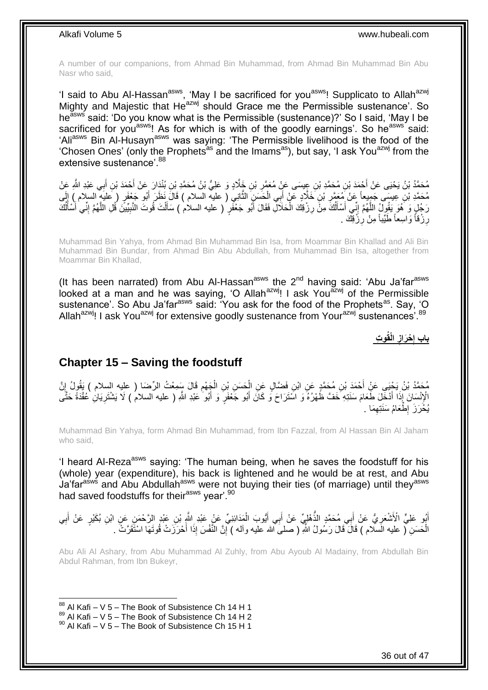A number of our companions, from Ahmad Bin Muhammad, from Ahmad Bin Muhammad Bin Abu Nasr who said,

'I said to Abu Al-Hassan<sup>asws</sup>, 'May I be sacrificed for you<sup>asws</sup>! Supplicato to Allah<sup>azwj</sup> Mighty and Majestic that He<sup>azwj</sup> should Grace me the Permissible sustenance'. So he<sup>asws</sup> said: 'Do you know what is the Permissible (sustenance)?' So I said, 'May I be sacrificed for you<sup>asws</sup>! As for which is with of the goodly earnings'. So he<sup>asws</sup> said: 'Aliasws Bin Al-Husaynasws was saying: 'The Permissible livelihood is the food of the 'Chosen Ones' (only the Prophets<sup>as</sup> and the Imams<sup>as</sup>), but say, 'I ask You<sup>azwj</sup> from the extensive sustenance'. 88

مُحَمَّدُ بْنُ يَحْيَى عَنْ أَحْمَدَ بْنِ مُحَمَّدِ بْنِ عِِيسَى عَنْ مُعَمَّرِ بْنِ خَالَّا وِ عَلِيُّ بْنُ مُحَمَّدِ بْنِ بُنْدَارَ عَنْ أَحْمَدَ بْنِ أَبِي عَبْدِ اللَّهِ عَنْ<br>مُحَمَّدِ بْنُ يَحْيَى عَنْ أَحْمَدَ بْنِ م ِ َ َ مُحَمَّدِ بْنِ عِيسَى جَمِيعاً عَنْ مُعَمَّرِ بْنِ خَلَّادٍ عَنْ أَبِي الْحَسَنِ الثَّانِي ( عليه السلام ) قَالَ نَظَرَ أَبُو جَعْفَرٍ ( عَليه السلام ) إِلَى<br>مُحَمَّدِ بْنِ عَيْمِينَ مَّنْ مَثَّنِينَ مَّنْ مَثَّنَ بِمَثَّل لَ ِ َ َّ ْ ِ رَ جُلٍ وَ هُوَ يَقُولُ اللَّهُمَّ إِنِّي أَسْأَلُكَ مِنْ رِزْقِكَ الْحَلَالِ فَقَالَ أَبُو جَعْفَرٍ ( عليه السلام ) سَأَلْتَ قُوتَ النَّبِيِّينَ قُلِ اللَّهُمَّ إِنِّي أَسْأَلُكَ ْ َ َ ْ ِ اً َ َ ∣l<br>⊱ َّ ِ ُ َ َ ِ َّ رِزْقاً وَاسِعاً طَيِّباً مِنْ رِزَّقِكَ . ِ ِ

Muhammad Bin Yahya, from Ahmad Bin Muhammad Bin Isa, from Moammar Bin Khallad and Ali Bin Muhammad Bin Bundar, from Ahmad Bin Abu Abdullah, from Muhammad Bin Isa, altogether from Moammar Bin Khallad,

(It has been narrated) from Abu Al-Hassan<sup>asws</sup> the 2<sup>nd</sup> having said: 'Abu Ja'far<sup>asws</sup> looked at a man and he was saying, 'O Allah $a^{2}$ wi! I ask You $a^{2}$ wi of the Permissible sustenance'. So Abu Ja'far<sup>asws</sup> said: 'You ask for the food of the Prophets<sup>as</sup>. Say, 'O Allah<sup>azwj</sup>! I ask You<sup>azwj</sup> for extensive goodly sustenance from Your<sup>azwj</sup> sustenances<sup>'. 89</sup>

> **الْقُو ِت ْح َراز باب إ ِ ِ**

### <span id="page-35-0"></span>**Chapter 15 – Saving the foodstuff**

مُحَمَّدُ بْنُ يَجْيَى عَنِْ أَحْمَدَ بْنِ مُحَمَّدٍ عَنِ ابْنِ فَضَّالٍ عَنِ الْجَسَنِ بْنِ الْجَهْمِ قَالَ سَمِعْتُ الرِّضَا ( عليه السلام ) يَقُولُ إِنَّ ِ ِ ْ ْ الْإِنْسَانَ إِذَا أَدْخَلَ طَعَامَ سَنَتِهِ خَفَّ ظُهْرُهُ وَ اسْتَرَاحَ وَ كَانَ أَبُو جَعْفَرٍ وَ أَبُو عَبْدِ اللَّهِ ( عليه السلام ) لَا يَشْتَرِيَانِ عُقْدَةً حَتَّى َ َ َ ِ يُخَرَزَ إِطْعَامُ سَنَتِهِمَا . ِ ِ

Muhammad Bin Yahya, form Ahmad Bin Muhammad, from Ibn Fazzal, from Al Hassan Bin Al Jaham who said,

'I heard Al-Reza<sup>asws</sup> saying: 'The human being, when he saves the foodstuff for his (whole) year (expenditure), his back is lightened and he would be at rest, and Abu Ja'far<sup>asws</sup> and Abu Abdullah<sup>asws</sup> were not buying their ties (of marriage) until they<sup>asws</sup> had saved foodstuffs for their<sup>asws</sup> year'.<sup>90</sup>

أَبُو عَلِيٍّ الْأَشْعَرِيُّ عَنْ أَبِي مُحَمَّدٍ الذُّهْلِيِّ عَنْ أَبِي أَيُّوبَ الْمَدَائِنِيِّ عَنْ عَبْدِ النَّهِ بِن عَبْدِ الرَّحْمَنِ عَنِ ابْنِ بُكَيْرٍ عَنْ أَبِي َ ِ ِ َ ْ َ َ الْحَسَنِ ( عليه الَسَّلام ) قَالَ قَالَ رَسُولُ اللَّهِ ( صلىَ الله عليه وأله ) إِنَّ النَّفْسَ إِذَا أَحْرَزَتْ قُوتَهَا اسْتَقَرَّتْ َ ِ ْ

Abu Ali Al Ashary, from Abu Muhammad Al Zuhly, from Abu Ayoub Al Madainy, from Abdullah Bin Abdul Rahman, from Ibn Bukeyr,

 $88$  Al Kafi – V 5 – The Book of Subsistence Ch 14 H 1

1

- $89$  Al Kafi V  $5$  The Book of Subsistence Ch 14 H 2
- $90$  Al Kafi V 5 The Book of Subsistence Ch 15 H 1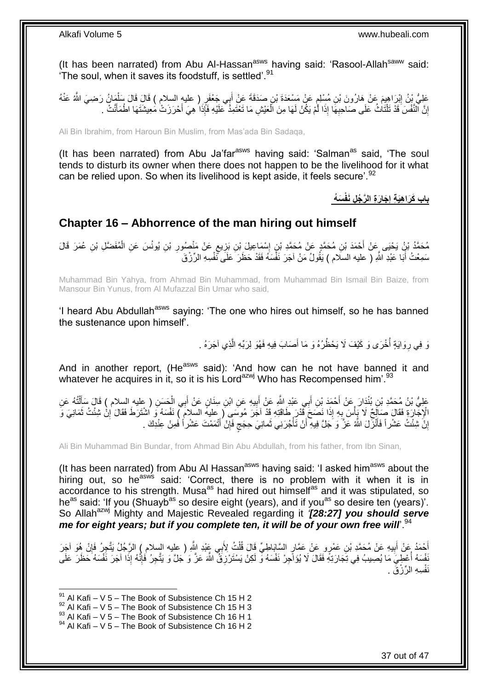(It has been narrated) from Abu Al-Hassan<sup>asws</sup> having said: 'Rasool-Allah<sup>saww</sup> said: 'The soul, when it saves its foodstuff, is settled'.<sup>91</sup>

عَلِيُّ بِنُ إِبْرَاهِيمَ عَنْ هَارُونَ بْنِ مُسْلِمٍ عَنْ مَسْعَدَةَ بْنِ صَدَقَةَ عَنْ أَبِي جَعْفَرٍ ( عليه السلام ) قَالَ قَالَ سَلْمَانُ رَضِيَ اللَّهُ عَنْهُ َ ٍ ِ ْ إِنَّ ٱلنَّفْسَ قَدْ تَلْتَاتُ عَلَى صَاحِبِهَا إِذَا لَمْ يَكُّلْ لَهَا مِنَ الْعَيْشِ مَا تَعْتَمِذَ كَمَلَيْهِ فَإِذَا هِيَ أَحْرَزَتْ مُعِيشَتَهَا اطْمَأَنَتْ بِ ْ **∶** ْ <u>֖֚֚֚֚֚֚֚֓</u> َ َ

Ali Bin Ibrahim, from Haroun Bin Muslim, from Mas'ada Bin Sadaqa,

(It has been narrated) from Abu Ja'far $a<sup>asws</sup>$  having said: 'Salman $a<sup>as</sup>$  said, 'The soul tends to disturb its owner when there does not happen to be the livelihood for it what can be relied upon. So when its livelihood is kept aside, it feels secure'.<sup>92</sup>

> **َس ُه َجا َر ِة ال َّر ُج ِل َنفْ باب َكَرا ِهَي ِة إ ِ**

## <span id="page-36-0"></span>**Chapter 16 – Abhorrence of the man hiring out himself**

مُحَمَّدُ بْنُ يَحْيَى عَنْ أَحْمَدَ بْنِ مُحَمَّدٍ عَنْ مُحَمَّدِ بْنِ إِسْمَاعِيلَ بْنِ بَزِيعٍ عَنْ مَنْصُورِ بْنِ يُونُسَ عَنِ الْمُفَضَّلِ بْنِ عُمَرَ قَالَ ِ ٍ **∶** ׀֧<br>֪֝֝֝֝֝֝֝֝ ْ سَمِعْتُ أَبَا عَبْدِ اللَّهِ ( عليه السلام ) يَقُولُ مَنْ آجَرَ نَفْسَهُ فَقَدْ حَظَرَ عَلَى ثَّفْسِهِ الرِّزْقَ ۔<br>ا

Muhammad Bin Yahya, from Ahmad Bin Muhammad, from Muhammad Bin Ismail Bin Baize, from Mansour Bin Yunus, from Al Mufazzal Bin Umar who said,

'I heard Abu Abdullah<sup>asws</sup> saying: 'The one who hires out himself, so he has banned the sustenance upon himself'.

> وَ فِي رِوَايَةٍ أُخْرَى وَ كَيْفَ لَا يَحْظُرُهُ وَ مَا أَصَابَ فِيهِ فَهُوَ لِرَبِّهِ الَّذِي آجَرَهُ . َّ َ ا<br>ا ِ

And in another report, (He<sup>asws</sup> said): 'And how can he not have banned it and whatever he acquires in it, so it is his Lord<sup>azwj</sup> Who has Recompensed him'.<sup>93</sup>

عَلِيُّ بْنُ مُحَمَّدِ بْنِ بُنْدَارَ عَنْ أَحْمَدَ بْنِ أَبِي عَبْدِ اللَّهِ عَنْ أَبِيهِ عَنِ ابْنِ سِنَانٍ عَنْ أَبِي الْحَسَنِ ( عليه السلام ) قَالَ سَأَلْتُهُ عَنِ ْ َ **!** َ ْ ĺ الْإِجْارَةِ فَقَالَ صَالِحٌ لَا يَأْسَ بِهِ إِذَا نَصَحَ قَذْرَ طَاقَتِهِ قَدْ آخَرَ مُوسَى (عليه السلام ) نَفْسَهُ وَ اشْتَرَطَ فَقَالَ إِنْ شِئْتُ ثَمَانِيَ وَ ِ ،<br>ا اً<br>ا ِ إِنَّ شِئْتُ عَشْرٍ أَ فَأَنْزَلَ اللَّهُ عَزَّ وَ جَلَّ فِيهِ أَنْ تَأْجُرَنِي ثَمانِيَ حِجَجٍ فَإِنْ أَتْمَمْتَ عَشْرٍ أَ فَمِنْ عِنْدِكَ . ة<br>أ اُ َ <u>֖֚֚֚֚֚֚֚֓</u> َ ِ ٍ

Ali Bin Muhammad Bin Bundar, from Ahmad Bin Abu Abdullah, from his father, from Ibn Sinan,

(It has been narrated) from Abu AI Hassan<sup>asws</sup> having said: 'I asked him<sup>asws</sup> about the hiring out, so he<sup>asws</sup> said: 'Correct, there is no problem with it when it is in accordance to his strength. Musa<sup>as</sup> had hired out himself<sup>as</sup> and it was stipulated, so he<sup>as</sup> said: 'If you (Shuayb<sup>as</sup> so desire eight (years), and if you<sup>as</sup> so desire ten (years)'. So Allah<sup>azwj</sup> Mighty and Majestic Revealed regarding it **'[28:27] you should serve** *me for eight years; but if you complete ten, it will be of your own free will*.<sup>94</sup>

أَحْمَدُ عَنْ أَبِيهِ عَنْ مُحَمَّدِ بْنِ عَمْرٍ و عَنْ عَمَّارٍ السَّابَاطِيِّ قَالَ قُلْتُ لِأَبِي عَنْدِ اللَّهِ ( عليه السلام ) الرَّجُلُ يَتَّجِرُ. فَإِنْ هُوَ آخِرَ ْ ِ َ ِ ُّفْسَهُ أُعْطِيَ مَا يُصِيبُ فِي تِجَارَتِهِ فَقَالَ لَا يُؤَاجِرْ نَفْسَهُ وَّ لَكِنْ يَسْتَرْزِقُ اللَّهَ عَزَّ وَ يُجَلَّ وَ يَتَّحِرُ فَإِنَّهُ إِذَا آجَرَ نَفْسَهُ حَظَرَ عَلَى **ٍ** :<br>:<br>: ׀ו<br>ְי نَفْسِهِ الرِّزْقَ .

 $91$  Al Kafi – V 5 – The Book of Subsistence Ch 15 H 2

 $92$  Al Kafi – V 5 – The Book of Subsistence Ch 15 H 3

 $93$  Al Kafi – V  $5$  – The Book of Subsistence Ch 16 H 1

 $94$  Al Kafi – V 5 – The Book of Subsistence Ch 16 H 2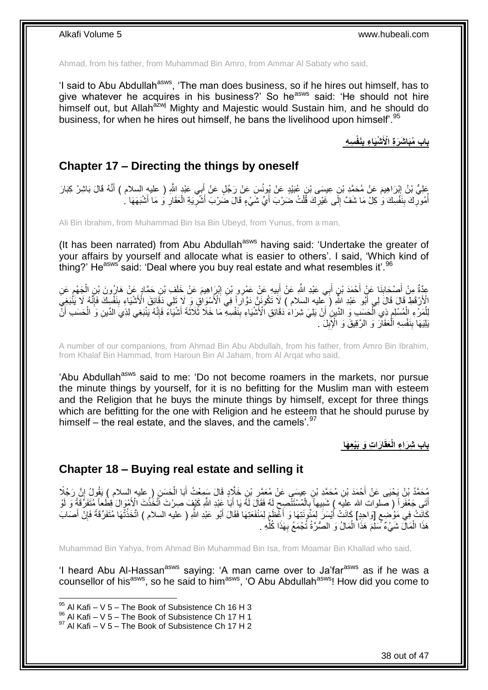Ahmad, from his father, from Muhammad Bin Amro, from Ammar Al Sabaty who said,

'I said to Abu Abdullah<sup>asws</sup>, 'The man does business, so if he hires out himself, has to give whatever he acquires in his business?' So he<sup>asws</sup> said: 'He should not hire himself out, but Allah<sup>azwj</sup> Mighty and Majestic would Sustain him, and he should do business, for when he hires out himself, he bans the livelihood upon himself<sup>'.95</sup>

> **ِس ِه َنفْ ْشَيا ِء ب باب ُمَبا َشَر ِة اْْلَ ِ**

### <span id="page-37-0"></span>**Chapter 17 – Directing the things by oneself**

عْلِيُّ بْنُ إِبْرَاهِيمَ عَنْ مُحَمَّدِ بْنِ عِيسَى بْنِ عُبَيْدٍ عَنْ يُونُسَ عَنْ رَجُلٍ عَنْ أَبِي عَبْدٍ اللَّهِ ( عليهِ السلام ) أَنَّهُ قَالَ بَاشِرْ كِبَارَ َ ।<br>⊽ َ أُمُورِكَ بِنَفْسِكَ وَ كِلْ مَا شَفَّ إِلَى غَيْرِكَ قُلْتُ ضَرْبَ أَيٍّ شَيْءٍ قَالَ ضَرْبَ أَشْرِيَةِ الْعَقَارِ وَ مَا أَشْبَهَهَا ـ َ ْ ِ ِ ِ ِ ا<br>ا َ ِ ْ ِ َ

Ali Bin Ibrahim, from Muhammad Bin Isa Bin Ubeyd, from Yunus, from a man,

(It has been narrated) from Abu Abdullah<sup>asws</sup> having said: 'Undertake the greater of your affairs by yourself and allocate what is easier to others'. I said, 'Which kind of thing?' He<sup>asws'</sup> said: 'Deal where you buy real estate and what resembles it'.<sup>96</sup>

عِدَّةٌ مِنْ أَصْحَابِذَا عَنْ أَحْمَدَ بْنِ أَبِي عَبْدِ اللَّهِ عَنْ أَبِيهِ عَنْ عَمْرِو بْنِ إِبْرَاهِيمَ عَنْ خَلَفٍ بْنِ حَمَّادٍ عَنْ هَارُونَ بْنِ الْجَهْمِ عَنِ<br>فَقَدَّمَ ذَبَعَتْ ذَبَعَتْ فَقَدَ بِنَّ أَبِي عَبْ ِ ِ َ َ َ ِ َ ِ ْ الْأَرْقَطِ قَالَ فَالَ لِي أَبُو عَبْدِ اللَّهِ (َ عِليه السلام ) لَاَ تَكُونَنَّ دَوَّاراً فِيَ الْأَسْوَاقِ وَ لَا تَلِي دَقَائِقَ الْأَسْيَاءِ بِنَفْسِكَ فَإِنَّهُ لَا يَنْبَغِيَ ِ ِ لِلْمَرْءِ الْمُسْلِمِ ذِي الّْحَسِبِ وَ الدَّينِ أَنْ يَلِيَ شِرَاءَ دَقَائِقِ الْأَشْيَاءِ بِنَفْسِهِ مَا خَلَّا ثَلاثَةَ أَشْيَاءَ فَإِنَّهُ يَنْبَغِي لِذِي الدِّينِ وَ الْحَسَبِ أَنَّ ْ ِ ْ ْ ْ ׀ו<br>ِי َ ِ َ بَلِيَهَا بِنَفْسِهِ اَلْعَقَارَ وَ الرَّقِيقَ وَ الْإِبِلَ <sub>.</sub> **!** ْ **!** 

A number of our companions, from Ahmad Bin Abu Abdullah, from his father, from Amro Bin Ibrahim, from Khalaf Bin Hammad, from Haroun Bin Al Jaham, from Al Arqat who said,

'Abu Abdullah<sup>asws</sup> said to me: 'Do not become roamers in the markets, nor pursue the minute things by yourself, for it is no befitting for the Muslim man with esteem and the Religion that he buys the minute things by himself, except for three things which are befitting for the one with Religion and he esteem that he should puruse by himself – the real estate, and the slaves, and the camels'. $97$ 

**ا َرا ِت َو َبْيِع َها َعقَ باب ِشَرا ِء الْ**

### <span id="page-37-1"></span>**Chapter 18 – Buying real estate and selling it**

مُحَمَّدُ بْنُ يَحْيَى عَنْ أَحْمَدَ بْنِ مُحَمَّدِ بْنٍ عِيسَى عَنْ مُعَمَّرِ بْنِ خَلَّادٍ قَالَ سَمِعْتُ أَبَا الْحَسَنِ ( عليه السلام ) يَقُولُ إِنَّ رَجُلًا<br>يَــَمـَّـدُ بْنُ يَحْيَى عَنْ أَحْمَدَ بْنِ مُحَمَّدِ بْنٍ ْ َ ِ اِ أَتَى جَعْفَراً ( صلوات الله عليه ) شَبِيهاً بِالْمُسْتَنْصِحِ لَهُ فَقَالَ لَهُ يَا أَبَا عَبْدِ اللّهِ كَيْفَ صِرْتَ أَتَّخَذْتَ الْأَهْوَالَ قِطْعاً مِّتَفَرِّقَةً وَ لَوْ **ٔ:** َ لَ ِ ْ **∶** ِ كَانَتْ فِي مَوْضِعِ [وَاحِدٍ] كَانَتْ أَيْسَرَ لِمَثُونَتِهَا وَ أَعْظَمَ لِمَنْفَعَتِهَا فَقَالَ أَبُو عَبْدِ اللّهِ ( عليه السلام ) اتَّخَذْتُهَا مُتَفَرِّقَةً فَإِنْ أَصَابَ َ َ ٍ َ ∣ٍ إ **ٔ** َ هَذَا الْمَالَ شَيْءٌ مَّىلِّمَ هَذَا الْمَالُ وَ الصُّرَّةُ تُجْمَعُ بِهَذَا كُلِّهِ . ْ ِّ **∶** ْ

Muhammad Bin Yahya, from Ahmad Bin Muhammad Bin Isa, from Moamar Bin Khallad who said,

'I heard Abu Al-Hassan<sup>asws</sup> saying: 'A man came over to Ja'far<sup>asws</sup> as if he was a counsellor of his<sup>asws</sup>, so he said to him<sup>asws</sup>, 'O Abu Abdullah<sup>asws</sup>! How did you come to

 $95$  Al Kafi – V 5 – The Book of Subsistence Ch 16 H 3

 $96$  Al Kafi – V  $5$  – The Book of Subsistence Ch 17 H 1

 $97$  Al Kafi – V 5 – The Book of Subsistence Ch 17 H 2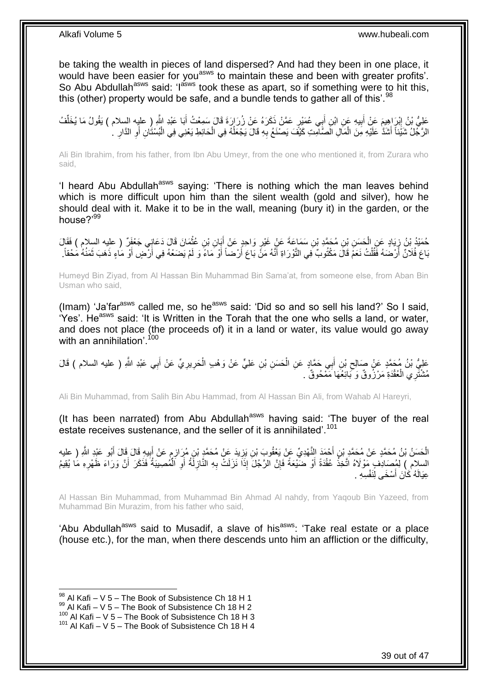be taking the wealth in pieces of land dispersed? And had they been in one place, it would have been easier for you<sup>asws</sup> to maintain these and been with greater profits'. So Abu Abdullah<sup>asws</sup> said: 'l<sup>asws</sup> took these as apart, so if something were to hit this, this (other) property would be safe, and a bundle tends to gather all of this'.<sup>98</sup>

عَلِيُّ بْنُ إِبْرَاهِيمَ عَنْ أَبِيهِ عَنِ ابْنِ أَبِي عُمَيْرٍ عَمَّنْ ذَكَرَهُ عَنْ زُرَارَةَ قَالَ سَمِعْتُ أَبَا عَبْدِ اللَّهِ ( عليه السلام ) يَقُولُ مَا يُخَلِّفُ<br>دَيَنِينَ إِبْرَاهِيمَ عَنْ أَبِيهِ عَنِ ابْنِ أَب َ ِ َ ׀<br>ׇׇ֚֝֝֝֘֝֝֝֝֝ ِّ الرَّجْلُ شَيِّئاً أَشَدَّ عَلَيْهِ مِنَ الْمَالِ الْصَّاْمِتِ كَيْفَ يَصنْغَ بِهِ قَالَ يَجْعَلُهُ فِي الْحَائِطِ يَعْنِي فِي الْبُسْتَانِ أَوِ الذَّارِ ۚ. ْ ان<br>ا ِ ْ َ ِ ِ اً ْ

Ali Bin Ibrahim, from his father, from Ibn Abu Umeyr, from the one who mentioned it, from Zurara who said,

'I heard Abu Abdullah<sup>asws</sup> saying: 'There is nothing which the man leaves behind which is more difficult upon him than the silent wealth (gold and silver), how he should deal with it. Make it to be in the wall, meaning (bury it) in the garden, or the house?'99

حُمَنْدُ بْنُ زِيَادٍ عَنِ الْحَسَنِ بْنِ مُحَمَّدِ بْنِ سَمَاعَةَ عَنْ غَيْرِ وَاحِدٍ عَنْ أَبَانِ بْنِ عُثْمَانَ قَالَ دَعَانٍِي جَعْفَرٌ ( عليه السلام ) فَقَالَ<br>-**ٔ** َ ِ ْ ∫<br>≀ بَاعَ فُلَانٌ أَرْضَهُ فَقُلْتُ نَعَمْ قَالَ مَكْتُوبٌ فِي التَّوْرَاةِ أَنَّهُ مَنْ بَاعَ أَرْضاً أَوْ مَاءً وَ لَمْ يَضَعْهُ فِي أَرْضٍ أَوْ مَاءٍ ذَهَبَ ثَمَنُهُ مَحْقاً. َ ْ َ َ َ اُ َ

Humeyd Bin Ziyad, from Al Hassan Bin Muhammad Bin Sama'at, from someone else, from Aban Bin Usman who said,

(Imam) 'Ja'far<sup>asws</sup> called me, so he<sup>asws</sup> said: 'Did so and so sell his land?' So I said, 'Yes'. He<sup>asws</sup> said: 'It is Written in the Torah that the one who sells a land, or water, and does not place (the proceeds of) it in a land or water, its value would go away with an annihilation'.  $100$ 

عَلِيُّ بْنُ مُحَمَّدٍ عَنْ صَالِحِ بْنِ أَبِي حَمَّادٍ عَنِ الْحَسَنِ بْنِ عَلِيٍّ عَنْ وَهْبِ الْحَرِيرِيِّ عَنْ أَبِي عَبْدِ اللَّهِ ( عليه السلام ) قَالَ<br>. َ ِ ِ ْ ْ َ ِ مُشْتَرِي الْعُقْدَةِ مَرْزُوقٌ وَكَبائِعُهَا مَمْحُوقٌ . ْ

Ali Bin Muhammad, from Salih Bin Abu Hammad, from Al Hassan Bin Ali, from Wahab Al Hareyri,

(It has been narrated) from Abu Abdullah<sup>asws</sup> having said: 'The buyer of the real estate receives sustenance, and the seller of it is annihilated'.<sup>101</sup>

الْحَسَنُ بْنُ مُحَمَّدٍ عَنْ مُحَمَّدٍ بْنِ أَحْمَدَ النَّهْدِيِّ عَنْ يَعْقُوبَ بْنِ يَزِيدَ عَنْ مُحَمَّدٍ بْنِ مُرَازِمٍ عَنْ أَبِيهِ قَالَ قَالَ أَبُو عَبْدِ اللَّهِ ( عليه َ َ ِ َ ֧֧֧֧֦֧֚֩֘֝֝֝֘֝֝֬ ِ ِ السلام ِ) لِمُصَادِفٍ مَوْلَاهُ اتَّخِذْ عُقْدَةً أَوْ ضَيْعَةً فَإِنَّ الرَّجُلَ إِذَا نَزَلَتْ بِهِ النَّازِلَةُ أَوِ اَلْمُصِيبَةُ فَذَكَرَ أَنَّ وَرَاءَ ظَهْرِهِ مَا يُقِيمُ ْ **∶** َ **ٍ** ِ ِ اُ ْ َ ِ عِيَالَهُ كَانَ أَسْخَى لِنَفْسِهِ . اُ،

Al Hassan Bin Muhammad, from Muhammad Bin Ahmad Al nahdy, from Yaqoub Bin Yazeed, from Muhammad Bin Murazim, from his father who said,

'Abu Abdullah<sup>asws</sup> said to Musadif, a slave of his<sup>asws</sup>: 'Take real estate or a place (house etc.), for the man, when there descends unto him an affliction or the difficulty,

 $98$  Al Kafi – V 5 – The Book of Subsistence Ch 18 H 1

 $^{99}$  Al Kafi – V 5 – The Book of Subsistence Ch 18 H 2

 $^{100}$  Al Kafi – V 5 – The Book of Subsistence Ch 18 H 3

 $101$  Al Kafi – V 5 – The Book of Subsistence Ch 18 H 4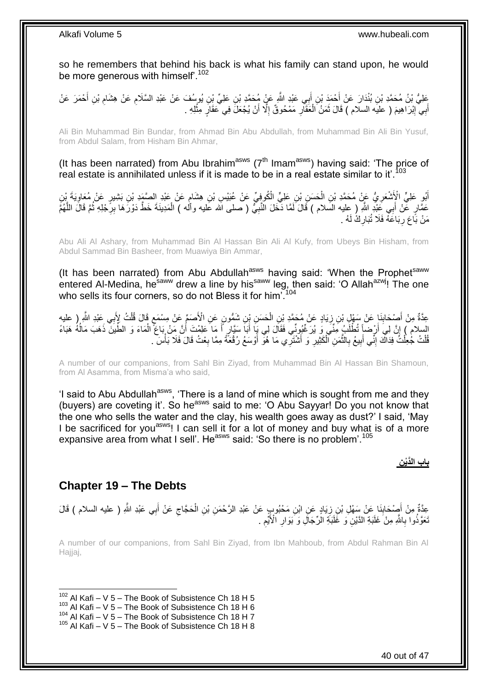so he remembers that behind his back is what his family can stand upon, he would be more generous with himself'.<sup>102</sup>

َعْلِيُّ بْنُ مُحَمَّدِ بْنِ بُنْدَارَ عَنْ أَحْمَدَ بْنِ أَبِي عَبْدِ اللَّهِ عَنٍْ مُحَمَّدِ بْنِ عَلِيٍّ بْنِ يُوسُفَ عَنْ عَبْدِ السَّلَامِ عَنْ هِشَامِ بْنِ أَحْمَرَ عَنْ ِ َ ِ أَبِيّ إِبْرَاهِيمَ ( عليَه السلام ) قَالَ ثَمَنُ الْعَقَارِ مَمْحُوقٌ إِلَّا أَنْ يُجْعَلَ فِي عَقَارٍ مِثْلِهِ **ٔ** ِ ِ ْ َ **ֽ**ו َ

Ali Bin Muhammad Bin Bundar, from Ahmad Bin Abu Abdullah, from Muhammad Bin Ali Bin Yusuf, from Abdul Salam, from Hisham Bin Ahmar,

(It has been narrated) from Abu Ibrahim<sup>asws</sup> ( $7<sup>th</sup>$  Imam<sup>asws</sup>) having said: 'The price of real estate is annihilated unless if it is made to be in a real estate similar to it'.<sup>103</sup>

أَبُو عَلِيٍّ الْإَشْعَرِ يُّ عَنْ مُحَمَّدِ بْنِ الْحَسَنِ بْنِ عَلِيٍّ الْكُوفِيِّ عَنْ عُبَيْسِ بْنِ هِشَامٍ عَنْ عَبْدِ الصَّمَدِ بْنِ بَشِيرٍ عَنْ مُعَاوِيَةَ بِّنِ ٍ ْ ِ َ ِ عَمَّارٍ عَّنْ أَبِي عَِبْدِ اللَّهِ ( عِليه السَلام ) قَالَ لَمَّا ذَّخَلَ النَّبِيُّ ( صلى الله عَليه وأَله ) الْمَدِينَةَ خَطَّ دَوْرَهَا بِرِّجْلِهِ ثُمَّ قَالَ اللَّهُمَّ َ ُ ِ ْ ِ َّ مَنْ بَّاعَ رِبَاعَهُ فَلَا تُبَارِكٌ لَهُ . ِ **∶** 

Abu Ali Al Ashary, from Muhammad Bin Al Hassan Bin Ali Al Kufy, from Ubeys Bin Hisham, from Abdul Sammad Bin Basheer, from Muawiya Bin Ammar,

(It has been narrated) from Abu Abdullah<sup>asws</sup> having said: 'When the Prophet<sup>saww</sup> entered Al-Medina, he<sup>saww</sup> drew a line by his<sup>saww</sup> leg, then said: 'O Allah<sup>azwj</sup>! The one who sells its four corners, so do not Bless it for him'.<sup>104</sup>

ٍ عِدَّةٌ مِنْ أَصْحَابِنَا عَنْ سَهْلٍ بْنِ زِيَادٍ عَنْ مُحَمَّدِ بْنِ الْحَسَنِ بْنِ شَمُّونٍ عَنِ الْأَصَمِّ عَنْ مِسْمَعٍ قَالَ قُلْتُ لِإَبِي عِبْدِ اللَّهِ ( عليهِ ْ **∶** ِ ْ السلام ) إِنَّ لِي أَرْضَاً تُطْلَبُ مِّئْيَ وَ يُرَخِّبُونِّي فَقَالَ لِي بِأَ أَبَأَ سَيَّارٍ أَ مَا عَلِمْتَ أَنَّ مَنْ بَاعَ الْمَاءَ وَ الطِّينَ ذَهَبَ مَالُهُ هَبَاءً َ ِ ُ ْ َ َ َ قُلْتُ جُعِلْتُ فِدَاكَ إِنِّي أَبِيعُ بِالنَّمَنِ ٱلْكَثِيرِ وَ أَشْنَرِّي مَا هُوَ أَوْسَعُ رُقْعَةً مِمَّا بِعْتُ قَالَ فَلَا بَأْسَ ِ َ َ **∶** ْ َّ ِ ِ َ יִי (ו ْ ْ ا<br>أ

A number of our companions, from Sahl Bin Ziyad, from Muhammad Bin Al Hassan Bin Shamoun, from Al Asamma, from Misma'a who said,

'I said to Abu Abdullah<sup>asws</sup>, 'There is a land of mine which is sought from me and they (buyers) are coveting it'. So he<sup>asws</sup> said to me: 'O Abu Sayyar! Do you not know that the one who sells the water and the clay, his wealth goes away as dust?' I said, 'May I be sacrificed for you<sup>asws</sup>! I can sell it for a lot of money and buy what is of a more expansive area from what I sell'. He<sup>asws</sup> said: 'So there is no problem'.<sup>105</sup>

**ِن باب الَّدْي**

### <span id="page-39-0"></span>**Chapter 19 – The Debts**

عِدَّةٌ مِنْ أَصْحَابِنَا عَنْ سَهْلِ بْنِ زِيَادٍ عَنِ ابْنِ مَحْبُودٍ عِنْ عَبْدِ الرَّحْمَنِ بْنِ الْحَجَّاجِ عَنْ أَبِي عَبْدِ اللَّهِ ( عليه السلام ) قَالَ َ ِ ْ ¦ **ِ** َ نَعَوَّذُوا بِاللَّهِ مِنْ َغَلَبَةِ الدَّيْنِ وَ غََلْبَةِ الزَّجَالِ وَ بَوَارِ الْأَيَّمِ . ِ **∶ ∶** 

A number of our companions, from Sahl Bin Ziyad, from Ibn Mahboub, from Abdul Rahman Bin Al Hajjaj,

1  $102$  Al Kafi – V 5 – The Book of Subsistence Ch 18 H 5

 $^{104}$  Al Kafi – V 5 – The Book of Subsistence Ch 18 H 7

 $103$  Al Kafi – V 5 – The Book of Subsistence Ch 18 H 6

 $105$  Al Kafi – V 5 – The Book of Subsistence Ch 18 H 8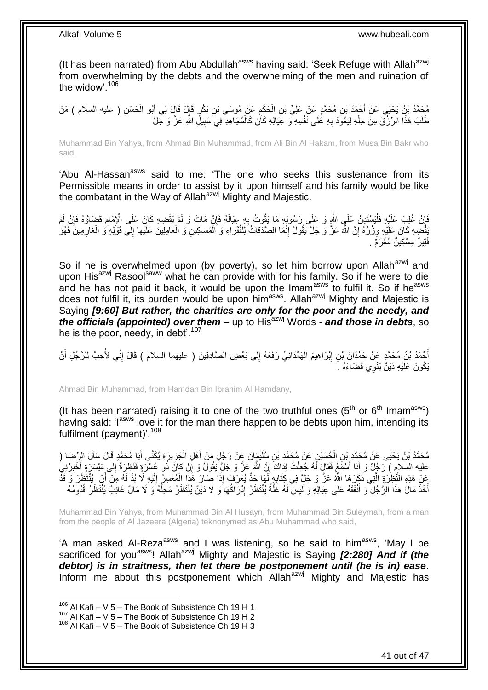(It has been narrated) from Abu Abdullah<sup>asws</sup> having said: 'Seek Refuge with Allah<sup>azwj</sup> from overwhelming by the debts and the overwhelming of the men and ruination of the widow'.<sup>106</sup>

مُحَمَّدُ بْنُ يَحْيَى عَنْ أَحْمَدَ بْنِ مُحَمَّدٍ عَنْ عَلِيِّ بْنِ الْحَكِمِ عَنْ مُوسَى بْنِ بَكْرٍ ۚ قَالَ فَي أَبُو الْحَسَنِ ( عليه السلام ) مَنْ<br>ءَ َ ِ ْ ْ طَلَبَ هَذَا الرِّزْقَ مِنْ حِلِّهِ لِيَعُوَدَ بِهِ عَلَى نَفْسِهِ ۚ وَ عَِيَالِهِ كَأَنَ كَالْمُجَاهِدِ فِيَ سَبِيلِ اللَّهِ عَزَّ وَ جَلَّ ْ **∶** ِّ **!** 

Muhammad Bin Yahya, from Ahmad Bin Muhammad, from Ali Bin Al Hakam, from Musa Bin Bakr who said,

'Abu Al-Hassan<sup>asws</sup> said to me: 'The one who seeks this sustenance from its Permissible means in order to assist by it upon himself and his family would be like the combatant in the Way of Allah<sup>azwj</sup> Mighty and Majestic.

فَإِنْ غُلِبَ عَلَيْهِ فَلْيَسْتَدِنْ عَلَى اللَّهِ وَ عَلَى رَسُولِهِ مَا يَقُوتُ بِهِ عِيَالَهُ فَإِنْ مَاتَ وَ لَمْ يَقْضِهِ كَانَ عَلَى الْإِمَامِ قَضَاؤُهُ فَإِنْ لَمْ<br>فَإِنْ غُلِبَ عَلَيْهِ فَلْيَسْتَدِنْ عَلَى اللَ ِ **∶** ْ ِ ِ ∣ٍ ْ يَقْضِهِ كَانَ عَلَيْهِ وِزْرُهُ إِنَّ اللَّهَ عَزَّ وَ جَلَّ يَقُولُ إِنَّمَا الصَّدَقاتُ لِلْفُقَراءِ وَ الْمَساكِينِ وَ الْعامِلِينَ عَلَيْها إِلَى قَوْلِهِ وَ الْغارِمِينَ فَهُوَ ْ ْ ∣l<br>∶ **׀** ِ ِ ْ ِ فَقير ٌ مِسْكِينٌ مُغْرَمٌ .

So if he is overwhelmed upon (by poverty), so let him borrow upon Allah<sup>azwj</sup> and upon His<sup>azwj</sup> Rasool<sup>saww</sup> what he can provide with for his family. So if he were to die and he has not paid it back, it would be upon the Imam<sup>asws</sup> to fulfil it. So if he<sup>asws</sup> does not fulfil it, its burden would be upon him<sup>asws</sup>. Allah<sup>azwj</sup> Mighty and Majestic is Saying *[9:60] But rather, the charities are only for the poor and the needy, and the officials (appointed) over them* – up to His<sup>azwj</sup> Words - *and those in debts*, so he is the poor, needy, in debt'.<sup>107</sup>

أَحْمَدُ بْنُ مُحَمَّدٍ عَنْ حَمْدَانَ بْنِ إِبْرَاهِيمَ الْهَمْدَانِيِّ رَفَعَهُ إِلَى بَعْضِ الصَّادِقِينَ ( عليهما السلام ) قَالَ إِنِّي لَأُحِبُّ لِلرَّجُلِ أَنْ ِ ْ ِ َ ِ يَكُونَ عَلَيْهِ دَيْنٌ يَنْوِي قَضَاءَهُ ۚ أَ

Ahmad Bin Muhammad, from Hamdan Bin Ibrahim Al Hamdany,

(It has been narrated) raising it to one of the two truthful ones  $(5<sup>th</sup>$  or  $6<sup>th</sup>$  Imam<sup>asws</sup>) having said: 'l<sup>asws</sup> love it for the man there happen to be debts upon him, intending its fulfilment (payment)'.<sup>108</sup>

مُحَمَّدُ بْنُ يَحْيَى عَنْ مُحَمَّدٍ بْنِ الْحُسَيْنِ عَنْ مُحَمَّدِ بْنِ سُلَيْمَانَ عَنْ رَجُلٍ مِنْ أَهْلِ الْجَزِيرَةِ يُكَنَّى أَبَا مُحَمَّدٍ قَالَ سَأَلَ الرِّصَا (<br>. ِ ْ َ ْ Í َ عليه السلام ) رَجُلٌ وَ أَنَا أَسْمَعُ فَقَالٍ لَهُ جُعِلْتُ فِدَاكَ إِنَّ اللَّهَ عَنَّ وَ جَلَّ يَقُولُ وَ إِلَ كَانَ ذُو عُسْرَةٍ فَنَظِرَةٌ إِلِي مَيْسَرَةٍ أَخْبِرْنِيُ ِ ْ َ َ ِ ِ عَنْ هَذِهِ النَّظِرَةِ الَّتِي ذَكَرَهَا اللَّهُ عَنَّ وَ جَلَّ فِي كِتَابِهٍ لَهَا حَدٌّ يُعْرَفُ إِذَا صَارَ هَذَا الْمُعْسِرُ إِلَيْهِ لَا بُدَّ لَهُ مِنْ أَنْ يُنْتَظَرَ وَ قَذْ ْ **∶** َّ َ لَ ِ أَخَذَ مَالَ هَذَا الْرَّجُلِ ۖ وَ أَنْفَقَهُ عَلَى عِيَالِهِ وَ لَيْسَ لَهُ غَلَّةٌ يُنْتَظَرُ إِدْرَاكُهَا وَ لَا دَيْنٌ يُنْتَظَرُ مَحِلَّهُ وَلَا مَالٌ غَائِبٌ يُنْتَظَرُ فُدُومُهُ ِ َّ َ ُّ

Muhammad Bin Yahya, from Muhammad Bin Al Husayn, from Muhammad Bin Suleyman, from a man from the people of Al Jazeera (Algeria) teknonymed as Abu Muhammad who said,

'A man asked Al-Reza<sup>asws</sup> and I was listening, so he said to him<sup>asws</sup>, 'May I be sacrificed for you<sup>asws</sup>! Allah<sup>azwj</sup> Mighty and Majestic is Saying **[2:280] And if (the** *debtor) is in straitness, then let there be postponement until (he is in) ease*. Inform me about this postponement which Allah $a^{2}$  Mighty and Majestic has

 $106$  Al Kafi – V 5 – The Book of Subsistence Ch 19 H 1

 $107$  Al Kafi – V 5 – The Book of Subsistence Ch 19 H 2

 $108$  Al Kafi – V 5 – The Book of Subsistence Ch 19 H 3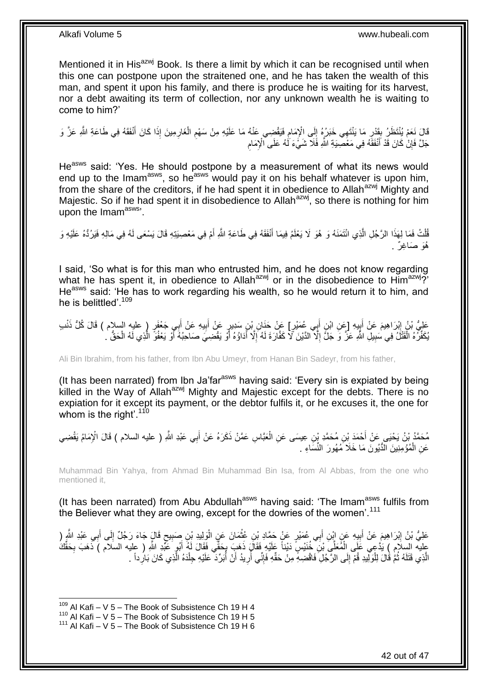Mentioned it in His<sup>azwj</sup> Book. Is there a limit by which it can be recognised until when this one can postpone upon the straitened one, and he has taken the wealth of this man, and spent it upon his family, and there is produce he is waiting for its harvest, nor a debt awaiting its term of collection, nor any unknown wealth he is waiting to come to him?'

قَالَ نَعَمْ يُنْتَظَرُ بِقَدْرٍ مَا يَنْتَهِي خَبَرُهُ إِلَى الْإِمَامِ فَيَقْضِي عَنْهُ مَا عَلَيْهِ مِنْ سَهْمِ الْغَارِمِينَ إِذَا كَانَ أَنْفَقَهُ فِي طَاعَةِ اللَّهِ عَزَّ وَ ِ ْ ِ ِ ِ ِ ׇ֧<u>֓</u> َ جَلَّ فَإِنْ كَانَ قَدْ أَنْفَقَهُ فِي مَعْصِيبَةِ اللَّهِ فَلَا شَيَّءَ لَهُ عَلَى الْإِمَامِ َ ِ ِ

He<sup>asws</sup> said: 'Yes. He should postpone by a measurement of what its news would end up to the Imam<sup>asws</sup>, so he<sup>asws</sup> would pay it on his behalf whatever is upon him, from the share of the creditors, if he had spent it in obedience to Allah<sup>azwj</sup> Mighty and Majestic. So if he had spent it in disobedience to Allah<sup>azwj</sup>, so there is nothing for him upon the  $\text{Imam}^{\text{asws}}$ .

ُفَّلْتُ فَمَا لِهَذَا الرَّجُلِ الَّذِي ائْتَمَنَهُ وَ هُوَ لَا يَعْلَمُ فِيمَا أَنْفَقَهُ فِي طَاعَةِ اللَّهِ أَمْ فِي مَعْصِبَتِهِ قَالَ يَسْعَى لَهُ فِي مَالِهِ فَيَرُدُّهُ عَلَيْهِ وَ َ َ َّ ْ هُوَ صَاغِرٌ .

I said, 'So what is for this man who entrusted him, and he does not know regarding what he has spent it, in obedience to Allah<sup>azwj</sup> or in the disobedience to Him<sup>azwj</sup>?' He<sup>asws</sup> said: 'He has to work regarding his wealth, so he would return it to him, and he is belittled'.<sup>109</sup>

عَلِيُّ بْنُ إِبْرَاهِيمَ عَنْ أَبِيهِ [عَنِ ابْنِ أَبِي عُمَيْرٍ] عَنْ جَذَانِ بْنِ سَدِيرٍ عَنْ أَبِيهِ عَنْ أَبِي جَعْفَرٍ ( عليه السلام ) قَالَ كُلُّ ذَنْبِ َ ِ َ َ ¦ َ ِ يُكَفِّرُهُ الْقَتْلُ فِي سَبِيلِ اللَّهِ عَزَّ وَ جَلَّ إِلَّا الدَّيْنَ لَا كَفَّارَةَ لَهُ إِلَّا أَدَاؤُهُ أَوْ يَقْضِيَ صَاحِبُهُ أَوْ يَعْفُوَ الَّذِي لَهُ الْحَقُّ . َ ِ ِ **!** ْ ْ َّ َ

Ali Bin Ibrahim, from his father, from Ibn Abu Umeyr, from Hanan Bin Sadeyr, from his father,

(It has been narrated) from Ibn Ja'far $a<sup>asws</sup>$  having said: 'Every sin is expiated by being killed in the Way of Allah<sup>azwj</sup> Mighty and Majestic except for the debts. There is no expiation for it except its payment, or the debtor fulfils it, or he excuses it, the one for whom is the right'. $110$ 

مُحَمَّدُ بْنُ يَحْيَى عَنْ أَحْمَدَ بْنِ مُحَمَّدٍ بْنِ عِيسَى عَنِ الْعَبَّاسِ عَمَّنْ ذَكَرَهُ عَنْ أَبِي عَبْدِ اللَّهِ ( عليه السلام ) قَالَ الْإِمَامُ يَقْضِي<br>. ْ َ عَنِ الْمُؤْمِنِينَ الذُّيُونَ مَا خَلَا مُهُورَ النِّسَاءِ . ْ

Muhammad Bin Yahya, from Ahmad Bin Muhammad Bin Isa, from Al Abbas, from the one who mentioned it,

(It has been narrated) from Abu Abdullah<sup>asws</sup> having said: 'The Imam<sup>asws</sup> fulfils from the Believer what they are owing, except for the dowries of the women'.<sup>111</sup>

عَلِيُّ بْنُ إِبْرَاهِيمَ عَنْ أَبِيهِ عَنٍ إِبْنِ أَبِي عُمَيْرٍ عَنٍْ حَمَّادِ بْنِ عُثْمَانَ عَنٍ الْوَلِيدِ بْنِ صَبِيحٍ قَالٍَ جَاءَ رَجُلٌ إِلَى أَبِي عَبْدِ الثَّهِ ( ْ ْ َ **!** َ יִין<br>∶ َ ِ ֦֦֚֝֝֝֝֝֝֝֝֝֝֝֓֟֓֟׆֧֞ ِ عليه السلام ) يَدُّعِي عَلَى الْمُعَلِّي بْنِ ۖ خُنَيْسٍ َ دَيْناً عَلَيْهِ فَقَالَ ذَهَبَ بِحَقِّي فَقَالَ لَهُ أَبُو عَبْدِ اللَّهِ ( عليه السلام ) ذَهَبَ بِحَقِّكَ<br>يَجْمَعُ مَنَّهُمْ مَنْ يَعْبَهُمْ عَلَى الْمُعَلِّي ب َ ِ ْ ِ :<br>ا الَّذِي قَتَلَهُ ثُمَّ قَالَ لِلْوَلِيدِ قُمْ إِلَى الرَّجُلِ فَاقْضِهِ مِنْ حَقِّهِ فَإِنِّي أَرِيدُ أَنْ أَبَرِّدَ عَلَيْهِ جِلْدَهُ الَّذِي كَانَ بَارِداً . ان<br>سا َّ ِ َّ ْ ُ َ ِ ُ ِ  $\frac{1}{2}$ 

 $109$  Al Kafi – V 5 – The Book of Subsistence Ch 19 H 4

<sup>110</sup> Al Kafi – V  $5 -$  The Book of Subsistence Ch 19 H 5

 $111$  Al Kafi – V 5 – The Book of Subsistence Ch 19 H 6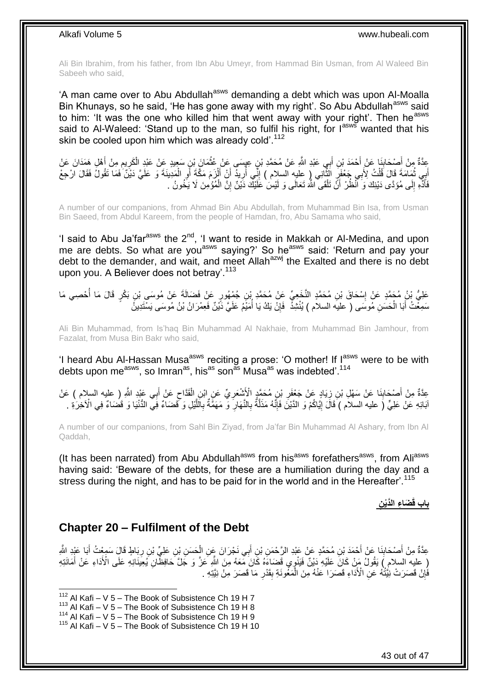Ali Bin Ibrahim, from his father, from Ibn Abu Umeyr, from Hammad Bin Usman, from Al Waleed Bin Sabeeh who said,

'A man came over to Abu Abdullah<sup>asws</sup> demanding a debt which was upon Al-Moalla Bin Khunays, so he said, 'He has gone away with my right'. So Abu Abdullah<sup>asws</sup> said to him: 'It was the one who killed him that went away with your right'. Then he<sup>asws</sup> said to Al-Waleed: 'Stand up to the man, so fulfil his right, for lasws wanted that his skin be cooled upon him which was already cold'.<sup>112</sup>

عِدَّةٌ مِنْ أَصْحَابِنَا عَنْ أَحْمَدَ بْنِ أَبِي عَبْدِ اللَّهِ عَنْ مُحَمَّدِ بْنٍ عِهِسَى عَنْ عُثْمَانَ بْنِ سَعِيدٍ عَنْ عَبْدِ الْكَرِيمِ مِنْ أَهْلِ هَمَدَانَ عَنْ **ٔ** َ ِ َ **ٍ** َ ِ أَبِي ثُمَامَةَ قَالَ قُلْتُ لِأَبِي جَعْفَرٍ الثَّانِي ( عليه السلام ) إِنِّي أُرِيدٌ أَنِّ أَلْزَمَ مَكَّةَ أَو الْمَدِينَةَ وَ عَلَيَّ دَيْنٌ فَمَا تَقُولُ فَقَالَ الْحِعْ ْ **∶** َ ْ َ َ ; ر<br>ا ِ َّ ْ ُ فَأَدًّهِ إِلَى مُؤَدَّى دَيْنِكَ وَ انْظُرْ أَنَّ تَلْقَى اللَّهَ تَعَالَى وَ لَيْسَ عََلَيْكَ دَيْنٌ إِنَّ الْمُؤْمِنَ لَا يَخُونُ . ∣ا<br>∶ َ ْ ِ ْ

A number of our companions, from Ahmad Bin Abu Abdullah, from Muhammad Bin Isa, from Usman Bin Saeed, from Abdul Kareem, from the people of Hamdan, fro, Abu Samama who said,

'I said to Abu Ja'far<sup>asws</sup> the  $2^{nd}$ , 'I want to reside in Makkah or Al-Medina, and upon me are debts. So what are you<sup>asws</sup> saying?' So he<sup>asws</sup> said: 'Return and pay your debt to the demander, and wait, and meet Allah<sup>azwj</sup> the Exalted and there is no debt upon you. A Believer does not betray'.<sup>113</sup>

عَلِيُّ بْنُ مُجَمَّدٍ عَنْ إِسْحَاقَ بْنِ مُحَمَّدٍ النَّخَعِيِّ عَنْ مُحَمَّدٍ بْنِ جُمْهُورٍ عَنْ فَضَالَةَ عَنْ مُوسَى بْنِ بَكْرٍ قَالَ مَا أُحْصِي مَا ِ ُ سَمِغْتُ أَبَا الْحَسَنِ مُوسَى ( عليه السلام ) يُنْشِذُ ۖ فَإِنْ يَكُ يَا أُمَيْمُ عَلَيّ دَّيْنٌ فَعِمْرَانُ بْنُ مُوسَى يَسْتَدِينُ ْ ا<br>ا ِ

Ali Bin Muhammad, from Is'haq Bin Muhammad Al Nakhaie, from Muhammad Bin Jamhour, from Fazalat, from Musa Bin Bakr who said,

'I heard Abu Al-Hassan Musa<sup>asws</sup> reciting a prose: 'O mother! If  $I_{\text{max}}^{\text{asws}}$  were to be with debts upon me<sup>asws</sup>, so Imran<sup>as</sup>, his<sup>as</sup> son<sup>as</sup> Musa<sup>as</sup> was indebted<sup>'.114</sup>

 $\zeta$ عِدَّةٌ مِنْ أَصْحَابِنَا عَنْ سَهْلِ بْنِ زِيَادٍ عَنْ جَعْفَرِ بْنِ مُحَمَّدٍ الْأَشْعَرِيِّ عَنِ ابْنِ الْقَدَّاحِ عَنْ أَبِي عَبْدِ اللَّهِ ( عليه السلام ) عَنْ ْ ِ ¦ ِ **ِ** َ َ اْبَائِهِ عَنْ عَلِيٍّ (َ عليه السلام ) َقَالَ إِيَّاكُمْ وَ الذَّيْنَ فَإِنَّهُ مَذَلَّةٌ بِالنَّهَارِ ۖ وَ مَهَمَّةٌ بِاللَّيْلِ وَ فَضَاءٌ فِي الْأَخْرَةِ . وَلَا تَضَاءُ فِي الْأَخْرَةِ . َّ ِ ِ ِ َّ ∣اٍ<br>∶ ِ

A number of our companions, from Sahl Bin Ziyad, from Ja'far Bin Muhammad Al Ashary, from Ibn Al Qaddah,

(It has been narrated) from Abu Abdullah<sup>asws</sup> from his<sup>asws</sup> forefathers<sup>asws</sup>, from Ali<sup>asws</sup> having said: 'Beware of the debts, for these are a humiliation during the day and a stress during the night, and has to be paid for in the world and in the Hereafter'.<sup>115</sup>

## **ِن َضا ِء الَّدْي باب قَ**

### <span id="page-42-0"></span>**Chapter 20 – Fulfilment of the Debt**

عِدَّةٌ مِنْ أَصْحَابِنَا عَنْ أَحْمَدَ بْنِ مُحَمَّدٍ عَنْ عَبْدِ الرَّحْمَنِ بْنِ أَبِي نَجْرَانَ عَنِ الْحَسَنِ بْنِ عَلِيِّ بْنِ رِبَاطٍ قَالَ سَمِعْتُ أَبَا عَبْدِ الثَّهِ ْ َ **∣** َ ِ (ِ عِلْيِه السلامِ ) يَقُولُ مَنْ كَانَ عَلَيْهِ دَيْنٌ فَيَنْوٍي قَضَاءَهُ كَانَ مَّعَهُ مِنَ اللَّهِ عَنْ الَّذَا عَلَى النَّا عَلَى الْأَدَاءِ عَنْ أَمَانَتِهِ َ فَإِنْ قَصَرَتْ نِيَّتُهُ عَنِّ الْأَذَاءِ قَصَرَا عَنْهُ مِنَ الْمَغُونَةِ بِقَدْرِ مَا قَصَرَ مِنْ نِيَّتِهِ ِ **∶ ِ** ْ

 $112$  Al Kafi – V 5 – The Book of Subsistence Ch 19 H 7

 $113$  Al Kafi – V 5 – The Book of Subsistence Ch 19 H 8

 $114$  Al Kafi – V  $5$  – The Book of Subsistence Ch 19 H 9

 $115$  Al Kafi – V 5 – The Book of Subsistence Ch 19 H 10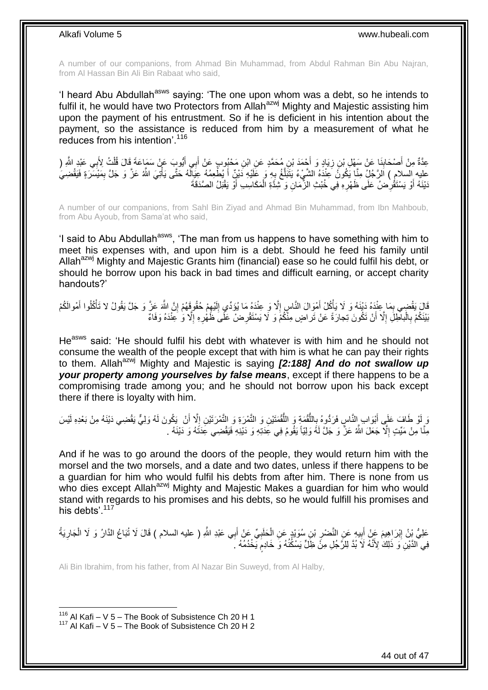A number of our companions, from Ahmad Bin Muhammad, from Abdul Rahman Bin Abu Najran, from Al Hassan Bin Ali Bin Rabaat who said,

'I heard Abu Abdullah<sup>asws</sup> saying: 'The one upon whom was a debt, so he intends to fulfil it, he would have two Protectors from Allah<sup>azwj</sup> Mighty and Majestic assisting him upon the payment of his entrustment. So if he is deficient in his intention about the payment, so the assistance is reduced from him by a measurement of what he reduces from his intention'.<sup>116</sup>

عِدَّةٌ مِنْ أَصْحَابِذَا عَنْ سَهْلِ بْنِ زِيَادٍ وَ أَحْمَدَ بْنِ مُحَمَّدٍ عَنِ ابْنِ مَحْبُودٍ عَنْ أَبِي أَيُّودٍ عَنْ سَمَاعَةَ قَالَ قُلْتُ لِأَبِي عَبْدِ اللَّهِ ( َ َ َ ِ ِ َ ْ عليه السلام ) اَلرَّجُلٍّ مِنَّا يَكُونُ عِنْدَهُ الشَّيْءُ يَتَبَلَّغُ بِهِ وَ عَلَيْهِ دَيْنٌٍ أَ يُطْعِمُهُ عِيَالَهُ حَتَّى يَأْتِيَ اللَّهُ عَنَّ وَ جَلَّ بِمَيْسَرَةٍ فَيَقْضِيَٰ ֖֧֖֧֖֧֧֦֖֧֦֖֧֖֧֪֖֧֪֧֖֧֧֖֧֖֧֧֖֚֡֟֟֟֟֟֟֟֟֟֟֟֟֟֟֓֟֓֟֓֟֓֟֓֟֬֟֩֓֟֩֓֟֩֓֝֟֓֝֬֝֬֝֓֝֬֝֬֝֓֝֬֝֬֝֬֝֬֝֬֝֬֝֬ َ ِ َّ دَيْنَهُ أَوْ يَسْتَقْرِضُ عَلَى ظَهْرِهِ فِي خُبْثِ الزَّمَانِ وَ تَبْدَّةِ الْمَكَاسِبِ أَوْ يَقْبَلُ الصَّدَقَةَ ْ ِ ِ َ ر<br>ا

A number of our companions, from Sahl Bin Ziyad and Ahmad Bin Muhammad, from Ibn Mahboub, from Abu Ayoub, from Sama'at who said,

'I said to Abu Abdullah<sup>asws</sup>, 'The man from us happens to have something with him to meet his expenses with, and upon him is a debt. Should he feed his family until Allah<sup>azwj</sup> Mighty and Majestic Grants him (financial) ease so he could fulfil his debt, or should he borrow upon his back in bad times and difficult earning, or accept charity handouts?'

ْمَالَ يَقْضِي بِمَا عِنْدَهُ وَلَيْنَهُ وَ لَا يَأْكُلْ أَمْوِالَ النَّاسِ إِلَّا وَ عِنْدَهُ مَا يُؤَدِّي إِلَيْهِمْ حُقُوقَهُمْ إِنَّ اللَّهَ عَزَّ وَ جَلَّ يَقُولُ لا تَأْكُلُوا أَمْوالَكُمْ ِ لَ ِ ِ َ :<br>أ ِ َ ْ ِ بَيْنَكُمْ بِالْبالْحِلِّلِ إِلَّا أَنْ تَكُونَ تِجارَةً عَنْ تَراضٍ مِنْكُمْ وَ لَا يَسْتَقْرِضْ عَلَىَ ظَهْرِهِ إِلَّا وَ عِنْدَهُ وَفَاءٌ اً ِ ْ ِ ا<br>ا ِ ِ

He<sup>asws</sup> said: 'He should fulfil his debt with whatever is with him and he should not consume the wealth of the people except that with him is what he can pay their rights to them. Allah<sup>azwj</sup> Mighty and Majestic is saying *[2:188] And do not swallow up your property among yourselves by false means*, except if there happens to be a compromising trade among you; and he should not borrow upon his back except there if there is loyalty with him.

َ وَ إِنْ طَافَ عَلَى أَبْوَابِ إِلنَّاسٍ فَرَدُّوهُ بِاللُّقْمَةِ وَ اللُّقْمَتَيْنِ وَ النَّمْرِ نَيْنِ إِلَّا أَنْ يَكُونَ لَهُ وَلِيٌّ يَقْضِي دَيْنَهُ مِنْ بَعْدِهِ لَيْسَ ا<br>د م ُّ ُّ ֦֧<u>֓</u> َ مِنْا مِنْ مَيِّتٍ إِلَّا جَعَلَ اللَّهُ عَزَّ وَ جَلَّ لَهُ وَلِيّاً يَقُومُ فِي عِدَتِهِ وَ دَيْنِهِ فَيَقْضِي عِدَتَهُ وَ دَيْنَهُ . ِ

And if he was to go around the doors of the people, they would return him with the morsel and the two morsels, and a date and two dates, unless if there happens to be a guardian for him who would fulfil his debts from after him. There is none from us who dies except Allah<sup>azwj</sup> Mighty and Majestic Makes a guardian for him who would stand with regards to his promises and his debts, so he would fulfill his promises and his debts<sup>' 117</sup>

عَلِيُّ بِنُ إِبْرَاهِيمَ عَنْ أَبِيهِ عَنِ النَّصْرِ بْنِ سُوَيْدٍ عَنِ الْحَلَبِيِّ عَنْ أَبِي عَبْدِ اللَّهِ ( عليه السلام ) قَالَ لَا تُبَاعُ الدَّارُ وَ لَا الْجَارِيَةُ ِ ْ ِ **!** ِ ِ ْ ֧֧֧֧֧֧֧֧֓֝֓֝֓֝֓֝֬֟֓֓֓֓֓֓֝֬֓֓<del>֛</del> فِي ۗالدَّيْنِۢ وَ ۖ ذَلِكَ ٰ لِأَنَّهُ لَا ۢ بُدَّ لِلرَّجُلِ مِنْۡ ظِّلٍّ يَسْكُنُهُ وَۖ خَادِمٍ يَّخْدُمُهُ ۚ رَ

Ali Bin Ibrahim, from his father, from Al Nazar Bin Suweyd, from Al Halby,

 $116$  Al Kafi – V 5 – The Book of Subsistence Ch 20 H 1  $117$  Al Kafi – V 5 – The Book of Subsistence Ch 20 H 2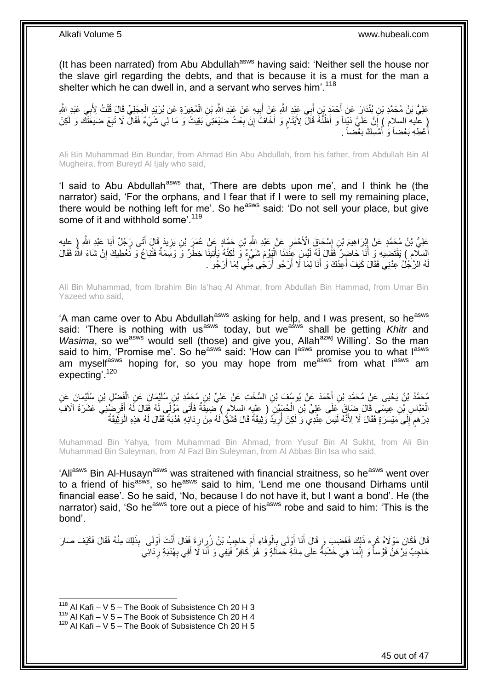(It has been narrated) from Abu Abdullah<sup>asws</sup> having said: 'Neither sell the house nor the slave girl regarding the debts, and that is because it is a must for the man a shelter which he can dwell in, and a servant who serves him'.<sup>118</sup>

عَلِيُّ بْنُ مُحَمَّدِ بْنِ بُنْدَارٍ عَنْ أَحْمَدَ بْنِ أَبِي عَيْدِ اللَّهِ عَنْ أَبِيهِ عَنْ عَيْدِ اللَّهِ بَنِ الْمُغِيرَةِ عَنْ بُرَيْدٍ الْعِجْلِيِّ قَالَ قُلْتُ لِأَبِي عَبْدِ اللَّهِ ْ **!** َ َ ْ ْ ( عَليه السلام ) إِنَّ عَلَيَّ دَيْناً وَ أَظُنُّهُ قَالَ لِأَيْتَامٍ وَ أَخَافُ إِنْ بِعْثُ ضَيْعَتِيَ بَقِيتُ وَ مَا لِي شَيْءٌ فَقَالَ لَا تَبِعْ ضَيْعَتَكَ وَ لَكِنْ **∶** ِ َ ٍ ِ أَعْطِهِ بَعْضاً وَ أَمْسِكٌ بَعْضاً . َ َ

Ali Bin Muhammad Bin Bundar, from Ahmad Bin Abu Abdullah, from his father, from Abdullah Bin Al Mugheira, from Bureyd Al Ijaly who said,

'I said to Abu Abdullah<sup>asws</sup> that, 'There are debts upon me', and I think he (the narrator) said, 'For the orphans, and I fear that if I were to sell my remaining place, there would be nothing left for me'. So heasws said: 'Do not sell your place, but give some of it and withhold some'.<sup>119</sup>

َعْلِيُّ بْنُ مُحَمَّدٍ عَنْ إِبْرَاهِيمَ بْنِ إِسْحَاقَ الْأَحْمَرِ عَنْ عَبْدِ اللَّهِ بْنِ حَمَّادٍ عَنْ عُمَرَ بْنِ يَزِيدَ قَالَ أَتَى رَجُلٌ أَبَا عَبْدِ اللَّهِ رِإِ عِليهِ ¦ ِ ِ َ َ ِ السلّام ) يَقْتَضِيهِ وَ أَنَا حَاضِرٌ فَقَالَ لِهُ لَيْسَ عِنَّدَنَا الْيَوْمَ شَيْءٌ وَ لَكِنَّهُ يَأْتِينَا خِطْرٌ وَ وَسَمَةٌ فَتُبَاعُ وَ نُعْطِيكَ إِنْ شَاءَ اللَّهُ فَقَالَ ا<br>ا َ ِ ْ لَهُ الرَّجُلُ عِدْنِي فَقَالَ كَيْفَ أَعِدُكَ وَ أَنَا لِمَا لَا أَرْجُو أَرْجَى مِّنِّي لِمَا أَرْجُو . َ اُ َ َ َ

Ali Bin Muhammad, from Ibrahim Bin Is'haq Al Ahmar, from Abdullah Bin Hammad, from Umar Bin Yazeed who said,

'A man came over to Abu Abdullah<sup>asws</sup> asking for help, and I was present, so he<sup>asws</sup> said: 'There is nothing with us<sup>asws</sup> today, but we<sup>asws</sup> shall be getting *Khitr* and *Wasima*, so we<sup>asws</sup> would sell (those) and give you, Allah<sup>azwj</sup> Willing'. So the man said to him, 'Promise me'. So he<sup>asws</sup> said: 'How can l<sup>asws</sup> promise you to what lasws am myself<sup>asws</sup> hoping for, so you may hope from me<sup>asws</sup> from what l<sup>asws</sup> am expecting'.<sup>120</sup>

ْي َما َن ِن ُسلَ ِن ُم َح َّمِد ْب ِن ال ُّس ْخ ِت َع ْن َعلِ ِّي ْب ْح َمَد َع ْن ُيو ُس َف ْب ِن أ ْي َما َن َع ِن ُم َح َّمُد ْب ُن َي ْحَيى َع ْن ُم َح َّمِد ْب ِن ُسلَ َف ْض ِل ْب َع ِن ال ْ َ الْعَنَّاسِ بْنِ عِيسَى قَالَ ضَبَاقٍ عَلَى عَلِيِّ بْنِ الْحُسَيْنِ ( عِليهِ السلامِ ) ضِيقَةٌ فَأَتَى مَوْلَى لَهُ فَقَالَ لَهُ أَفْرِضْنِيَ عَشَرَةَ آلَافَ ْ ِ َ َدِرْ هَم َإِلَى مَيْسَرَةٍ فَقَالَ لَا لِأَنَّهُ لَيْسَ عِنْدِي وَ لَكِنْ أُرِيَّدُ وُثِيقَةً قَالَ فَشَقٌّ لَهُ مِنْ رِدَائِهِ هُدْبَةً فَقَالَ لَهُ هَذِهِ الْوَثِّيقَةُ ِ ِ ُ  $\frac{1}{2}$ ٍ ْ

Muhammad Bin Yahya, from Muhammad Bin Ahmad, from Yusuf Bin Al Sukht, from Ali Bin Muhammad Bin Suleyman, from Al Fazl Bin Suleyman, from Al Abbas Bin Isa who said,

'Ali<sup>asws</sup> Bin Al-Husayn<sup>asws</sup> was straitened with financial straitness, so he<sup>asws</sup> went over to a friend of his<sup>asws</sup>, so he<sup>asws</sup> said to him, 'Lend me one thousand Dirhams until financial ease'. So he said, 'No, because I do not have it, but I want a bond'. He (the narrator) said, 'So he<sup>asws</sup> tore out a piece of his<sup>asws</sup> robe and said to him: 'This is the bond'.

قَالَ فَكَانَ مَوْلَاهُ كَرِهَ ذَلِكَ فَغَضِبَ وَ قَالَ أَنَا أُوْلَى بِالْوَفَاءِ أَمْ حَاجِبُ بْنُ زُرِارَةَ فَقَالَ أَنْتَ أُوْلَى بِلَاقَاءِ أَمْ حَاجِبُ بِأَنْ زَلَيْهِ وَقَالَ أَنْتَ أُوْلَى بِلَاقَاءِ أَمْ حَارَ َ َ ْ ِ َ َ ِ حَاجِبٌ يَرْ هَنُ قَوْساً وَ إِنَّمَا هِيَ خَشَبَةٌ عَلَى مِائَةِ حَمَاَلَةٍ وَ هُوَ كَافِرٌ فَيَفِي وَ أَنَا لَا أَفِي بِهُدْبَةِ رِدَانِّي ِ ِ ِ َ َ

 $118$  Al Kafi – V 5 – The Book of Subsistence Ch 20 H 3

 $119$  Al Kafi – V 5 – The Book of Subsistence Ch 20 H 4

 $120$  Al Kafi – V 5 – The Book of Subsistence Ch 20 H 5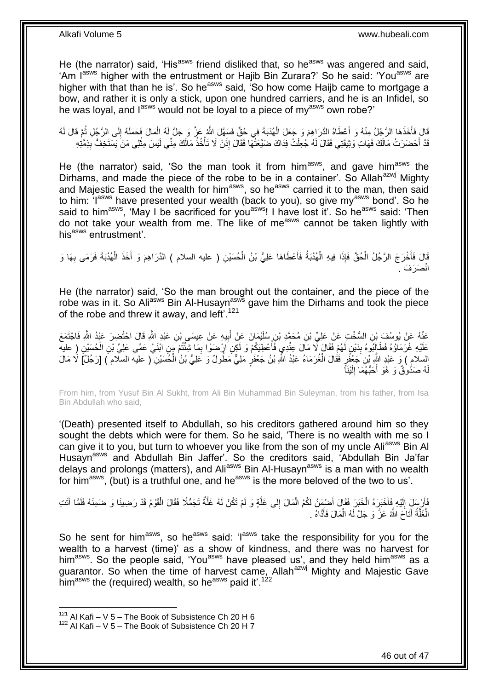He (the narrator) said, 'His<sup>asws</sup> friend disliked that, so he<sup>asws</sup> was angered and said, 'Am I<sup>asws</sup> higher with the entrustment or Hajib Bin Zurara?' So he said: 'You<sup>asws</sup> are higher with that than he is'. So he<sup>asws</sup> said, 'So how come Haijb came to mortgage a bow, and rather it is only a stick, upon one hundred carriers, and he is an Infidel, so he was loyal, and  $I^{asws}$  would not be loyal to a piece of my<sup>asws</sup> own robe?'

قَالَ فَأَخَذَهَا الرَّجُلُ مِنْهُ وَ أَعْطَاهُ الدَّرَاهِمَ وَ جَعَلَ الْهُدْبَةَ فِي حُقٍّ فَسَهَّلَ اللَّهُ عَزَّ وَ جَلَّ لَهُ الْمَالَ فَحَمَلَهُ إِلَى الرَّجُلِ ثُمَّ قَالَ لَهُ َ َ ا پایا<br>سال ِ ْ ْ قَدْ أَحْضَرْتُ مَالَكَ فَهَاتِ وَثِيقَتِي فَقَالَ لَهُ جُعِلْتُ فِدَاكَ ضَيَّعْتُهَا فَقَالَ إِذَنْ لَا تَأْخُذُ مَالَكَ مِنِّي لَيْسَ مِثْلِي مَنْ يَسْتَخِفُّ بِذِمَّتِهِ ْ ْ ِ ْ

He (the narrator) said, 'So the man took it from him<sup>asws</sup>, and gave him<sup>asws</sup> the Dirhams, and made the piece of the robe to be in a container'. So Allah<sup>azwj</sup> Mighty and Majestic Eased the wealth for him<sup>asws</sup>, so he<sup>asws</sup> carried it to the man, then said to him: 'I<sup>asws</sup> have presented your wealth (back to you), so give my<sup>asws</sup> bond'. So he said to him<sup>asws</sup>, 'May I be sacrificed for you<sup>asws</sup>! I have lost it'. So he<sup>asws</sup> said: 'Then do not take your wealth from me. The like of me<sup>asws</sup> cannot be taken lightly with his<sup>asws</sup> entrustment'.

قَالَ فَأَخْرَجَ الرَّجُلُ الْحُقَّ فَإِذَا فِيهِ الْهُدْبَةُ فَأَعْطَاهَا عَلِيُّ بْنُ الْحُسَيْنِ ( عليه السلام ) الذَّرَاهِمَ وَ أَخَذَ الْهُدْبَةَ فَرَمَى بِهَا وَ ْ َ ْ ْ َ ِ ْ َ صَرَفَ . انْ

He (the narrator) said, 'So the man brought out the container, and the piece of the robe was in it. So Ali<sup>asws</sup> Bin Al-Husayn<sup>asws</sup> gave him the Dirhams and took the piece of the robe and threw it away, and left<sup>'.121</sup>

عَنْهُ عَنْ يُوسُفَ بْنِ السُّخْتِ عَنْ عَلِيِّ بْنِ مُحَمَّدِ بْنِ سُلَيْمَانَ عَنْ أَبِيهِ عَنْ عِيسَى بْنِ عَبْدِ اللَّهِ قَالَ احْتُضِرَ عَبْدُ اللَّهِ فَاجْتَمَعَ ِ َ عَلَيْهِ غُرَمَاؤُهُ فَطَالَئِوهُ بِدَيْنِ لَهُمْ فَقَالَ لَا مَالَ عِنْدِي فَأُعْطِيَكُمْ وَ لَكِنِ ارْضَوْا بِمَا شِنْتُمْ مِنِ ابْنَيْ عَمِّي عَلِيٍّ بْنِ الْحُسَيْنِ (ِ عليه ِ اب<br>ا **∣** ْ ْ السلام ) وَ عَبْدِ اللَّهِ بْنِ جَعْفَرٍ فَقَالَ الْغُرَمَاءُ عَبْدُ اللَّهِ بْنُ جَعْفَرٍ مَلِيٌّ مَطُولٌ وَ عَلِيُّ بْنُ الْحُسَيْنِ ( عليه السلام ) [رَجُلٌ] لَا مَالَ ْ هُ صَدُوقٌ وَ هُوَ أَحَبُّهُمَا إِلَيْنَاً لَ ِ لَ

From him, from Yusuf Bin Al Sukht, from Ali Bin Muhammad Bin Suleyman, from his father, from Isa Bin Abdullah who said,

'(Death) presented itself to Abdullah, so his creditors gathered around him so they sought the debts which were for them. So he said, 'There is no wealth with me so I can give it to you, but turn to whoever you like from the son of my uncle Ali<sup>asws</sup> Bin Al Husaynasws and Abdullah Bin Jaffer'. So the creditors said, 'Abdullah Bin Ja'far delays and prolongs (matters), and Ali<sup>asws</sup> Bin Al-Husayn<sup>asws</sup> is a man with no wealth for him<sup>asws</sup>, (but) is a truthful one, and he<sup>asws</sup> is the more beloved of the two to us'.

فَأَرْسِلَِ إِلَيْهِ فَأَخْبَرَهُ الْخَبَرِ فَقَالَ أَضْمِنُ لَكُمُ الْمَالَ إِلَى غَلَّةٍ وَ لَمْ تَكُنْ لَهُ غَلَّةٌ تَجَمُّلًا فَقَالَ الْقَوْمُ قَدْ رَضِينَا وَ ضَمِنَهُ فَلَمَّا أَتَتِ َّ َّ ِ ْ َ ْ َ لَ יִי (ו َ َ ْ الْغَلَّةُ أَتَـاَحَ اللَّهُ عَزَّ وَ جَلَّ لَهُ الْمَالَ فَأَدَّاهُ . َ ْ َ َّ ْ

So he sent for him<sup>asws</sup>, so he<sup>asws</sup> said: 'I<sup>asws</sup> take the responsibility for you for the wealth to a harvest (time)' as a show of kindness, and there was no harvest for him<sup>asws</sup>. So the people said, 'You<sup>asws</sup> have pleased us', and they held him<sup>asws</sup> as a guarantor. So when the time of harvest came, Allah<sup>azwj</sup> Mighty and Majestic Gave him<sup>asws</sup> the (required) wealth, so he<sup>asws</sup> paid it<sup>'.122</sup>

 $121$  Al Kafi – V 5 – The Book of Subsistence Ch 20 H 6

 $122$  Al Kafi – V 5 – The Book of Subsistence Ch 20 H 7